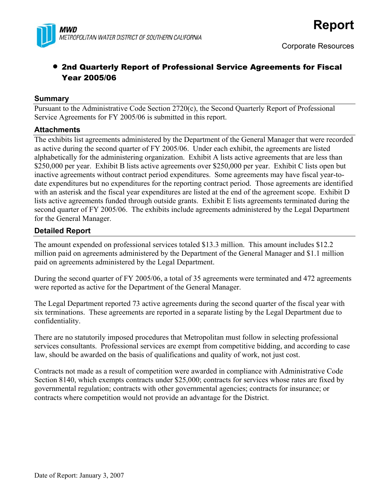

# • 2nd Quarterly Report of Professional Service Agreements for Fiscal Year 2005/06

#### **Summary**

Pursuant to the Administrative Code Section 2720(c), the Second Quarterly Report of Professional Service Agreements for FY 2005/06 is submitted in this report.

#### **Attachments**

The exhibits list agreements administered by the Department of the General Manager that were recorded as active during the second quarter of FY 2005/06. Under each exhibit, the agreements are listed alphabetically for the administering organization. Exhibit A lists active agreements that are less than \$250,000 per year. Exhibit B lists active agreements over \$250,000 per year. Exhibit C lists open but inactive agreements without contract period expenditures. Some agreements may have fiscal year-todate expenditures but no expenditures for the reporting contract period. Those agreements are identified with an asterisk and the fiscal year expenditures are listed at the end of the agreement scope. Exhibit D lists active agreements funded through outside grants. Exhibit E lists agreements terminated during the second quarter of FY 2005/06. The exhibits include agreements administered by the Legal Department for the General Manager.

#### **Detailed Report**

The amount expended on professional services totaled \$13.3 million. This amount includes \$12.2 million paid on agreements administered by the Department of the General Manager and \$1.1 million paid on agreements administered by the Legal Department.

During the second quarter of FY 2005/06, a total of 35 agreements were terminated and 472 agreements were reported as active for the Department of the General Manager.

The Legal Department reported 73 active agreements during the second quarter of the fiscal year with six terminations. These agreements are reported in a separate listing by the Legal Department due to confidentiality.

There are no statutorily imposed procedures that Metropolitan must follow in selecting professional services consultants. Professional services are exempt from competitive bidding, and according to case law, should be awarded on the basis of qualifications and quality of work, not just cost.

Contracts not made as a result of competition were awarded in compliance with Administrative Code Section 8140, which exempts contracts under \$25,000; contracts for services whose rates are fixed by governmental regulation; contracts with other governmental agencies; contracts for insurance; or contracts where competition would not provide an advantage for the District.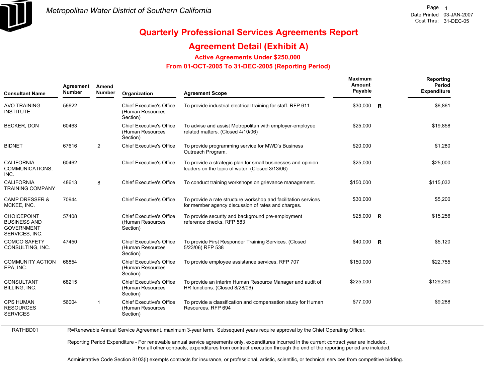

### **Agreement Detail (Exhibit A)**

**Active Agreements Under \$250,000** 

#### **From 01-OCT-2005 To 31-DEC-2005 (Reporting Period)**

| <b>Consultant Name</b>                                                           | Agreement<br><b>Number</b> | Amend<br><b>Number</b> | Organization                                                    | <b>Agreement Scope</b>                                                                                                       | Maximum<br>Amount<br>Payable | Reporting<br>Period<br><b>Expenditure</b> |
|----------------------------------------------------------------------------------|----------------------------|------------------------|-----------------------------------------------------------------|------------------------------------------------------------------------------------------------------------------------------|------------------------------|-------------------------------------------|
| <b>AVO TRAINING</b><br><b>INSTITUTE</b>                                          | 56622                      |                        | <b>Chief Executive's Office</b><br>(Human Resources<br>Section) | To provide industrial electrical training for staff. RFP 611                                                                 | \$30,000 R                   | \$6,861                                   |
| <b>BECKER, DON</b>                                                               | 60463                      |                        | <b>Chief Executive's Office</b><br>(Human Resources<br>Section) | To advise and assist Metropolitan with employer-employee<br>related matters. (Closed 4/10/06)                                | \$25,000                     | \$19,858                                  |
| <b>BIDNET</b>                                                                    | 67616                      | 2                      | <b>Chief Executive's Office</b>                                 | To provide programming service for MWD's Business<br>Outreach Program.                                                       | \$20,000                     | \$1,280                                   |
| <b>CALIFORNIA</b><br>COMMUNICATIONS,<br>INC.                                     | 60462                      |                        | <b>Chief Executive's Office</b>                                 | To provide a strategic plan for small businesses and opinion<br>leaders on the topic of water. (Closed 3/13/06)              | \$25,000                     | \$25,000                                  |
| <b>CALIFORNIA</b><br><b>TRAINING COMPANY</b>                                     | 48613                      | 8                      | <b>Chief Executive's Office</b>                                 | To conduct training workshops on grievance management.                                                                       | \$150,000                    | \$115,032                                 |
| <b>CAMP DRESSER &amp;</b><br>MCKEE, INC.                                         | 70944                      |                        | <b>Chief Executive's Office</b>                                 | To provide a rate structure workshop and facilitation services<br>for member agency discussion of rates and charges.         | \$30,000                     | \$5,200                                   |
| <b>CHOICEPOINT</b><br><b>BUSINESS AND</b><br><b>GOVERNMENT</b><br>SERVICES, INC. | 57408                      |                        | <b>Chief Executive's Office</b><br>(Human Resources<br>Section) | To provide security and background pre-employment<br>reference checks. RFP 583                                               | $$25,000$ R                  | \$15,256                                  |
| <b>COMCO SAFETY</b><br>CONSULTING, INC.                                          | 47450                      |                        | <b>Chief Executive's Office</b><br>(Human Resources<br>Section) | To provide First Responder Training Services. (Closed<br>5/23/06) RFP 538                                                    | $$40,000$ R                  | \$5,120                                   |
| <b>COMMUNITY ACTION</b><br>EPA, INC.                                             | 68854                      |                        | <b>Chief Executive's Office</b><br>(Human Resources<br>Section) | To provide employee assistance services. RFP 707                                                                             | \$150,000                    | \$22,755                                  |
| CONSULTANT<br>BILLING, INC.                                                      | 68215                      |                        | <b>Chief Executive's Office</b><br>(Human Resources<br>Section) | To provide an interim Human Resource Manager and audit of<br>HR functions. (Closed 8/28/06)                                  | \$225,000                    | \$129,290                                 |
| <b>CPS HUMAN</b><br><b>RESOURCES</b><br><b>SERVICES</b>                          | 56004                      | $\overline{1}$         | <b>Chief Executive's Office</b><br>(Human Resources<br>Section) | To provide a classification and compensation study for Human<br>Resources, RFP 694                                           | \$77,000                     | \$9,288                                   |
| RATHBD01                                                                         |                            |                        |                                                                 | R=Renewable Annual Service Agreement, maximum 3-year term. Subsequent years require approval by the Chief Operating Officer. |                              |                                           |

R=Renewable Annual Service Agreement, maximum 3-year term. Subsequent years require approval by the Chief Operating Officer.

Reporting Period Expenditure - For renewable annual service agreements only, expenditures incurred in the current contract year are included. For all other contracts, expenditures from contract execution through the end of the reporting period are included.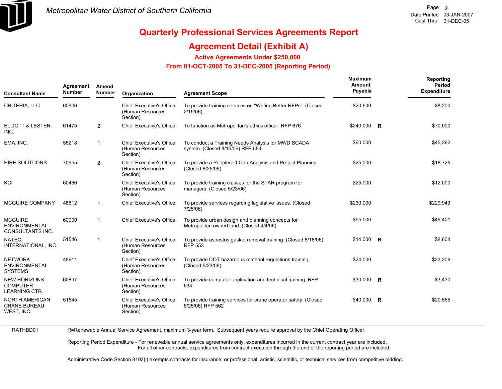

RATHBD01

# **Quarterly Professional Services Agreements Report**

### **Agreement Detail (Exhibit A)**

**Active Agreements Under \$250,000** 

 **From 01-OCT-2005 To 31-DEC-2005 (Reporting Period)** 

| <b>Consultant Name</b>                                            | Agreement<br><b>Number</b> | Amend<br><b>Number</b> | Organization                                                    | <b>Agreement Scope</b>                                                                        | Maximum<br>Amount<br>Payable | Reporting<br>Period<br><b>Expenditure</b> |
|-------------------------------------------------------------------|----------------------------|------------------------|-----------------------------------------------------------------|-----------------------------------------------------------------------------------------------|------------------------------|-------------------------------------------|
| CRITERIA, LLC                                                     | 60906                      |                        | <b>Chief Executive's Office</b><br>(Human Resources<br>Section) | To provide training services on "Writing Better RFPs". (Closed<br>2/15/06                     | \$20,500                     | \$8,200                                   |
| ELLIOTT & LESTER,<br>INC.                                         | 61475                      | 2                      | <b>Chief Executive's Office</b>                                 | To function as Metropolitan's ethics officer. RFP 676                                         | \$240,000 R                  | \$70,000                                  |
| EMA, INC.                                                         | 55218                      | -1                     | <b>Chief Executive's Office</b><br>(Human Resources<br>Section) | To conduct a Training Needs Analysis for MWD SCADA<br>system. (Closed 8/15/06) RFP 554        | \$60,000                     | \$45,362                                  |
| <b>HIRE SOLUTIONS</b>                                             | 70955                      | 2                      | <b>Chief Executive's Office</b><br>(Human Resources<br>Section) | To provide a Peoplesoft Gap Analysis and Project Planning.<br>(Closed 8/25/06)                | \$25,000                     | \$18,725                                  |
| KCI                                                               | 60466                      |                        | <b>Chief Executive's Office</b><br>(Human Resources<br>Section) | To provide training classes for the STAR program for<br>managers. (Closed 5/23/06)            | \$25,000                     | \$12,000                                  |
| <b>MCGUIRE COMPANY</b>                                            | 48612                      | $\mathbf 1$            | <b>Chief Executive's Office</b>                                 | To provide services regarding legislative issues. (Closed<br>$7/25/06$ )                      | \$230,000                    | \$229,943                                 |
| <b>MCGUIRE</b><br><b>ENVIRONMENTAL</b><br><b>CONSULTANTS INC.</b> | 60900                      | $\mathbf 1$            | <b>Chief Executive's Office</b>                                 | To provide urban design and planning concepts for<br>Metropolitan owned land. (Closed 4/4/06) | \$55,000                     | \$49,401                                  |
| <b>NATEC</b><br>INTERNATIONAL, INC.                               | 51546                      | -1                     | <b>Chief Executive's Office</b><br>(Human Resources<br>Section) | To provide asbestos gasket removal training. (Closed 8/18/06)<br><b>RFP 553</b>               | $$14,000$ R                  | \$8,604                                   |
| <b>NETWORK</b><br><b>ENVIRONMENTAL</b><br><b>SYSTEMS</b>          | 48611                      |                        | <b>Chief Executive's Office</b><br>(Human Resources<br>Section) | To provide DOT hazardous material regulations training.<br>(Closed 5/23/06)                   | \$24,000                     | \$23,306                                  |
| <b>NEW HORIZONS</b><br><b>COMPUTER</b><br><b>LEARNING CTR.</b>    | 60897                      |                        | <b>Chief Executive's Office</b><br>(Human Resources<br>Section) | To provide computer application and technical training. RFP<br>634                            | \$30,000 R                   | \$3,430                                   |
| <b>NORTH AMERICAN</b><br><b>CRANE BUREAU</b><br>WEST, INC.        | 51545                      |                        | <b>Chief Executive's Office</b><br>(Human Resources<br>Section) | To provide training services for crane operator safety. (Closed<br>8/25/06) RFP 562           | \$40,000 R                   | \$20,565                                  |

R=Renewable Annual Service Agreement, maximum 3-year term. Subsequent years require approval by the Chief Operating Officer.

Reporting Period Expenditure - For renewable annual service agreements only, expenditures incurred in the current contract year are included. For all other contracts, expenditures from contract execution through the end of the reporting period are included.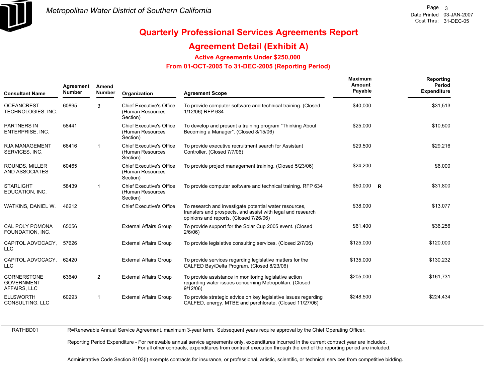

### **Agreement Detail (Exhibit A)**

**Active Agreements Under \$250,000** 

 **From 01-OCT-2005 To 31-DEC-2005 (Reporting Period)** 

| <b>Consultant Name</b>                                  | Agreement<br><b>Number</b> | Amend<br><b>Number</b> | Organization                                                    | <b>Agreement Scope</b>                                                                                                                                          | <b>Maximum</b><br>Amount<br>Payable | Reporting<br>Period<br><b>Expenditure</b> |
|---------------------------------------------------------|----------------------------|------------------------|-----------------------------------------------------------------|-----------------------------------------------------------------------------------------------------------------------------------------------------------------|-------------------------------------|-------------------------------------------|
| <b>OCEANCREST</b><br>TECHNOLOGIES, INC.                 | 60895                      | 3                      | <b>Chief Executive's Office</b><br>(Human Resources<br>Section) | To provide computer software and technical training. (Closed<br>1/12/06) RFP 634                                                                                | \$40,000                            | \$31,513                                  |
| <b>PARTNERS IN</b><br><b>ENTERPRISE, INC.</b>           | 58441                      |                        | <b>Chief Executive's Office</b><br>(Human Resources<br>Section) | To develop and present a training program "Thinking About"<br>Becoming a Manager". (Closed 8/15/06)                                                             | \$25,000                            | \$10,500                                  |
| <b>RJA MANAGEMENT</b><br>SERVICES, INC.                 | 66416                      | $\mathbf{1}$           | <b>Chief Executive's Office</b><br>(Human Resources<br>Section) | To provide executive recruitment search for Assistant<br>Controller. (Closed 7/7/06)                                                                            | \$29,500                            | \$29,216                                  |
| ROUNDS, MILLER<br>AND ASSOCIATES                        | 60465                      |                        | <b>Chief Executive's Office</b><br>(Human Resources<br>Section) | To provide project management training. (Closed 5/23/06)                                                                                                        | \$24,200                            | \$6,000                                   |
| <b>STARLIGHT</b><br>EDUCATION, INC.                     | 58439                      | $\mathbf{1}$           | <b>Chief Executive's Office</b><br>(Human Resources<br>Section) | To provide computer software and technical training. RFP 634                                                                                                    | \$50,000 R                          | \$31,800                                  |
| WATKINS, DANIEL W.                                      | 46212                      |                        | <b>Chief Executive's Office</b>                                 | To research and investigate potential water resources,<br>transfers and prospects, and assist with legal and research<br>opinions and reports. (Closed 7/26/06) | \$38,000                            | \$13,077                                  |
| <b>CAL POLY POMONA</b><br>FOUNDATION, INC.              | 65056                      |                        | <b>External Affairs Group</b>                                   | To provide support for the Solar Cup 2005 event. (Closed<br>$2/6/06$ )                                                                                          | \$61,400                            | \$36,256                                  |
| CAPITOL ADVOCACY,<br>LLC                                | 57626                      |                        | <b>External Affairs Group</b>                                   | To provide legislative consulting services. (Closed 2/7/06)                                                                                                     | \$125,000                           | \$120,000                                 |
| CAPITOL ADVOCACY,<br>LLC                                | 62420                      |                        | <b>External Affairs Group</b>                                   | To provide services regarding legislative matters for the<br>CALFED Bay/Delta Program. (Closed 8/23/06)                                                         | \$135,000                           | \$130,232                                 |
| <b>CORNERSTONE</b><br><b>GOVERNMENT</b><br>AFFAIRS, LLC | 63640                      | $\overline{2}$         | <b>External Affairs Group</b>                                   | To provide assistance in monitoring legislative action<br>regarding water issues concerning Metropolitan. (Closed<br>9/12/06                                    | \$205,000                           | \$161,731                                 |
| <b>ELLSWORTH</b><br>CONSULTING, LLC                     | 60293                      | 1                      | <b>External Affairs Group</b>                                   | To provide strategic advice on key legislative issues regarding<br>CALFED, energy, MTBE and perchlorate. (Closed 11/27/06)                                      | \$248.500                           | \$224,434                                 |

RATHBD01

R=Renewable Annual Service Agreement, maximum 3-year term. Subsequent years require approval by the Chief Operating Officer.

Reporting Period Expenditure - For renewable annual service agreements only, expenditures incurred in the current contract year are included. For all other contracts, expenditures from contract execution through the end of the reporting period are included.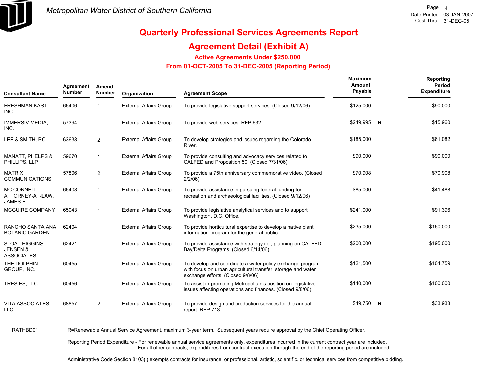

### **Agreement Detail (Exhibit A)**

**Active Agreements Under \$250,000** 

 **From 01-OCT-2005 To 31-DEC-2005 (Reporting Period)** 

| Agreement<br><b>Number</b> | Amend<br><b>Number</b> | Organization                  | <b>Agreement Scope</b>                                                                                                                                         | Maximum<br>Amount<br>Payable | Reporting<br>Period<br><b>Expenditure</b> |
|----------------------------|------------------------|-------------------------------|----------------------------------------------------------------------------------------------------------------------------------------------------------------|------------------------------|-------------------------------------------|
| 66406                      | 1                      | <b>External Affairs Group</b> | To provide legislative support services. (Closed 9/12/06)                                                                                                      | \$125,000                    | \$90,000                                  |
| 57394                      |                        | <b>External Affairs Group</b> | To provide web services. RFP 632                                                                                                                               |                              | \$15,960                                  |
| 63638                      | $\overline{2}$         | <b>External Affairs Group</b> | To develop strategies and issues regarding the Colorado<br>River.                                                                                              | \$185,000                    | \$61,082                                  |
| 59670                      | -1                     | <b>External Affairs Group</b> | To provide consulting and advocacy services related to<br>CALFED and Proposition 50. (Closed 7/31/06)                                                          | \$90,000                     | \$90,000                                  |
| 57806                      | 2                      | <b>External Affairs Group</b> | To provide a 75th anniversary commemorative video. (Closed<br>$2/2/06$ )                                                                                       | \$70,908                     | \$70,908                                  |
| 66408                      | 1                      | <b>External Affairs Group</b> | To provide assistance in pursuing federal funding for<br>recreation and archaeological facilities. (Closed 9/12/06)                                            | \$85,000                     | \$41,488                                  |
| 65043                      | $\mathbf{1}$           | <b>External Affairs Group</b> | To provide legislative analytical services and to support<br>Washington, D.C. Office.                                                                          | \$241,000                    | \$91,396                                  |
| 62404                      |                        | <b>External Affairs Group</b> | To provide horticultural expertise to develop a native plant<br>information program for the general public.                                                    | \$235,000                    | \$160,000                                 |
| 62421                      |                        | <b>External Affairs Group</b> | To provide assistance with strategy i.e., planning on CALFED<br>Bay/Delta Programs. (Closed 6/14/06)                                                           | \$200,000                    | \$195,000                                 |
| 60455                      |                        | <b>External Affairs Group</b> | To develop and coordinate a water policy exchange program<br>with focus on urban agricultural transfer, storage and water<br>exchange efforts. (Closed 9/8/06) | \$121,500                    | \$104,759                                 |
| 60456                      |                        | <b>External Affairs Group</b> | To assist in promoting Metropolitan's position on legislative<br>issues affecting operations and finances. (Closed 9/8/06)                                     | \$140,000                    | \$100,000                                 |
| 68857                      | 2                      | <b>External Affairs Group</b> | To provide design and production services for the annual<br>report. RFP 713                                                                                    |                              | \$33,938                                  |
|                            |                        |                               |                                                                                                                                                                |                              | \$249,995 R<br>\$49,750 R                 |

RATHBD01 R=Renewable Annual Service Agreement, maximum 3-year term. Subsequent years require approval by the Chief Operating Officer.

> Reporting Period Expenditure - For renewable annual service agreements only, expenditures incurred in the current contract year are included. For all other contracts, expenditures from contract execution through the end of the reporting period are included.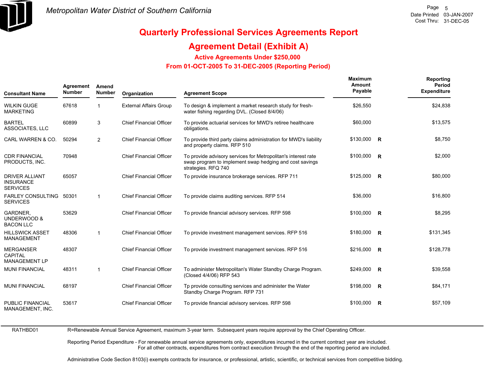

### **Agreement Detail (Exhibit A)**

**Active Agreements Under \$250,000** 

 **From 01-OCT-2005 To 31-DEC-2005 (Reporting Period)** 

| <b>Consultant Name</b>                                       | Agreement<br><b>Number</b> | Amend<br><b>Number</b> | Organization                   | <b>Agreement Scope</b>                                                                                                                          | Maximum<br>Amount<br>Payable | Reporting<br><b>Period</b><br><b>Expenditure</b> |
|--------------------------------------------------------------|----------------------------|------------------------|--------------------------------|-------------------------------------------------------------------------------------------------------------------------------------------------|------------------------------|--------------------------------------------------|
| <b>WILKIN GUGE</b><br><b>MARKETING</b>                       | 67618                      | 1                      | <b>External Affairs Group</b>  | To design & implement a market research study for fresh-<br>water fishing regarding DVL. (Closed 8/4/06)                                        | \$26,550                     | \$24,838                                         |
| <b>BARTEL</b><br>ASSOCIATES, LLC                             | 60899                      | 3                      | <b>Chief Financial Officer</b> | To provide actuarial services for MWD's retiree healthcare<br>obligations.                                                                      | \$60,000                     | \$13,575                                         |
| CARL WARREN & CO.                                            | 50294                      | 2                      | <b>Chief Financial Officer</b> | To provide third party claims administration for MWD's liability<br>and property claims. RFP 510                                                | $$130,000$ R                 | \$8,750                                          |
| <b>CDR FINANCIAL</b><br>PRODUCTS, INC.                       | 70948                      |                        | <b>Chief Financial Officer</b> | To provide advisory services for Metropolitan's interest rate<br>swap program to implement swap hedging and cost savings<br>strategies. RFQ 740 | $$100,000$ R                 | \$2,000                                          |
| <b>DRIVER ALLIANT</b><br><b>INSURANCE</b><br><b>SERVICES</b> | 65057                      |                        | <b>Chief Financial Officer</b> | To provide insurance brokerage services. RFP 711                                                                                                | $$125,000$ R                 | \$80,000                                         |
| <b>FARLEY CONSULTING</b><br><b>SERVICES</b>                  | 50301                      | $\mathbf 1$            | <b>Chief Financial Officer</b> | To provide claims auditing services. RFP 514                                                                                                    | \$36,000                     | \$16,800                                         |
| <b>GARDNER.</b><br>UNDERWOOD &<br><b>BACON LLC</b>           | 53629                      |                        | <b>Chief Financial Officer</b> | To provide financial advisory services. RFP 598                                                                                                 | $$100,000$ R                 | \$8,295                                          |
| <b>HILLSWICK ASSET</b><br><b>MANAGEMENT</b>                  | 48306                      | $\mathbf 1$            | <b>Chief Financial Officer</b> | To provide investment management services. RFP 516                                                                                              | \$180,000 R                  | \$131,345                                        |
| <b>MERGANSER</b><br><b>CAPITAL</b><br><b>MANAGEMENT LP</b>   | 48307                      |                        | <b>Chief Financial Officer</b> | To provide investment management services. RFP 516                                                                                              | \$216,000 R                  | \$128,778                                        |
| <b>MUNI FINANCIAL</b>                                        | 48311                      | $\mathbf{1}$           | <b>Chief Financial Officer</b> | To administer Metropolitan's Water Standby Charge Program.<br>(Closed 4/4/06) RFP 543                                                           | \$249,000 R                  | \$39,558                                         |
| <b>MUNI FINANCIAL</b>                                        | 68197                      |                        | <b>Chief Financial Officer</b> | Tp provide consulting services and administer the Water<br>Standby Charge Program. RFP 731                                                      | \$198,000 R                  | \$84,171                                         |
| PUBLIC FINANCIAL<br>MANAGEMENT, INC.                         | 53617                      |                        | <b>Chief Financial Officer</b> | To provide financial advisory services. RFP 598                                                                                                 | $$100,000$ R                 | \$57,109                                         |

RATHBD01

R=Renewable Annual Service Agreement, maximum 3-year term. Subsequent years require approval by the Chief Operating Officer.

Reporting Period Expenditure - For renewable annual service agreements only, expenditures incurred in the current contract year are included. For all other contracts, expenditures from contract execution through the end of the reporting period are included.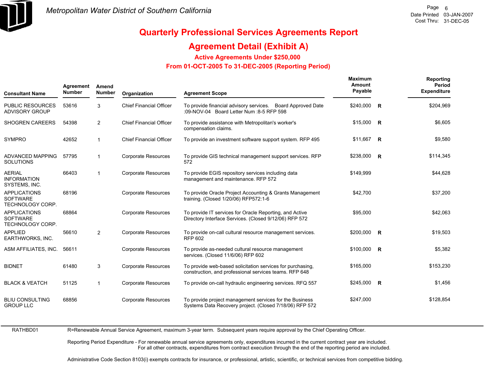

### **Agreement Detail (Exhibit A)**

**Active Agreements Under \$250,000** 

 **From 01-OCT-2005 To 31-DEC-2005 (Reporting Period)** 

| <b>Consultant Name</b>                                     | Agreement<br><b>Number</b> | Amend<br><b>Number</b> | Organization                   | <b>Agreement Scope</b>                                                                                               | Maximum<br>Amount<br>Payable | Reporting<br>Period<br><b>Expenditure</b> |
|------------------------------------------------------------|----------------------------|------------------------|--------------------------------|----------------------------------------------------------------------------------------------------------------------|------------------------------|-------------------------------------------|
| <b>PUBLIC RESOURCES</b><br><b>ADVISORY GROUP</b>           | 53616                      | 3                      | <b>Chief Financial Officer</b> | To provide financial advisory services. Board Approved Date<br>:09-NOV-04 Board Letter Num :8-5 RFP 598              | \$240,000 R                  | \$204,969                                 |
| <b>SHOGREN CAREERS</b>                                     | 54398                      | 2                      | <b>Chief Financial Officer</b> | To provide assistance with Metropolitan's worker's<br>compensation claims.                                           | $$15,000$ R                  | \$6,605                                   |
| <b>SYMPRO</b>                                              | 42652                      | $\mathbf 1$            | <b>Chief Financial Officer</b> | To provide an investment software support system. RFP 495                                                            | $$11,667$ R                  | \$9,580                                   |
| ADVANCED MAPPING<br><b>SOLUTIONS</b>                       | 57795                      | 1                      | <b>Corporate Resources</b>     | To provide GIS technical management support services. RFP<br>572                                                     | \$238,000 R                  | \$114,345                                 |
| <b>AERIAL</b><br><b>INFORMATION</b><br>SYSTEMS, INC.       | 66403                      | 1                      | <b>Corporate Resources</b>     | To provide EGIS repository services including data<br>management and maintenance. RFP 572                            | \$149,999                    | \$44,628                                  |
| <b>APPLICATIONS</b><br><b>SOFTWARE</b><br>TECHNOLOGY CORP. | 68196                      |                        | <b>Corporate Resources</b>     | To provide Oracle Project Accounting & Grants Management<br>training. (Closed 1/20/06) RFP572:1-6                    | \$42,700                     | \$37,200                                  |
| <b>APPLICATIONS</b><br><b>SOFTWARE</b><br>TECHNOLOGY CORP. | 68864                      |                        | Corporate Resources            | To provide IT services for Oracle Reporting, and Active<br>Directory Interface Services. (Closed 9/12/06) RFP 572    | \$95,000                     | \$42,063                                  |
| <b>APPLIED</b><br>EARTHWORKS, INC.                         | 56610                      | $\overline{2}$         | Corporate Resources            | To provide on-call cultural resource management services.<br><b>RFP 602</b>                                          | $$200,000$ R                 | \$19,503                                  |
| ASM AFFILIATES, INC.                                       | 56611                      |                        | <b>Corporate Resources</b>     | To provide as-needed cultural resource management<br>services. (Closed 11/6/06) RFP 602                              | $$100,000$ R                 | \$5,382                                   |
| <b>BIDNET</b>                                              | 61480                      | 3                      | <b>Corporate Resources</b>     | To provide web-based solicitation services for purchasing.<br>construction, and professional services teams. RFP 648 | \$165,000                    | \$153,230                                 |
| <b>BLACK &amp; VEATCH</b>                                  | 51125                      | 1                      | <b>Corporate Resources</b>     | To provide on-call hydraulic engineering services. RFQ 557                                                           | \$245,000 R                  | \$1,456                                   |
| <b>BLIU CONSULTING</b><br><b>GROUP LLC</b>                 | 68856                      |                        | <b>Corporate Resources</b>     | To provide project management services for the Business<br>Systems Data Recovery project. (Closed 7/18/06) RFP 572   | \$247,000                    | \$128,854                                 |

RATHBD01

R=Renewable Annual Service Agreement, maximum 3-year term. Subsequent years require approval by the Chief Operating Officer.

Reporting Period Expenditure - For renewable annual service agreements only, expenditures incurred in the current contract year are included. For all other contracts, expenditures from contract execution through the end of the reporting period are included.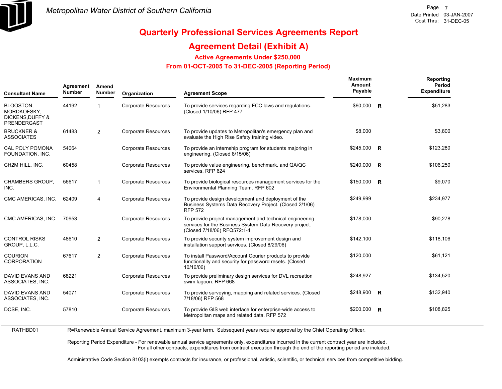

RATHBD01

# **Quarterly Professional Services Agreements Report**

### **Agreement Detail (Exhibit A)**

**Active Agreements Under \$250,000** 

 **From 01-OCT-2005 To 31-DEC-2005 (Reporting Period)** 

| Agreement<br><b>Number</b> | Amend<br><b>Number</b> | Organization               | <b>Agreement Scope</b>                                                                                                                            | Maximum<br>Amount<br>Payable |   | Reporting<br>Period<br><b>Expenditure</b>                                       |
|----------------------------|------------------------|----------------------------|---------------------------------------------------------------------------------------------------------------------------------------------------|------------------------------|---|---------------------------------------------------------------------------------|
| 44192                      | $\mathbf 1$            | <b>Corporate Resources</b> | To provide services regarding FCC laws and regulations.<br>(Closed 1/10/06) RFP 477                                                               | \$60,000                     | R | \$51,283                                                                        |
| 61483                      | 2                      | <b>Corporate Resources</b> | To provide updates to Metropolitan's emergency plan and<br>evaluate the High Rise Safety training video.                                          | \$8,000                      |   | \$3,800                                                                         |
| 54064                      |                        | <b>Corporate Resources</b> | To provide an internship program for students majoring in<br>engineering. (Closed 8/15/06)                                                        | \$245,000                    |   | \$123,280                                                                       |
| 60458                      |                        | <b>Corporate Resources</b> | To provide value engineering, benchmark, and QA/QC<br>services. RFP 624                                                                           | \$240,000                    |   | \$106,250                                                                       |
| 56617                      | $\mathbf{1}$           | <b>Corporate Resources</b> | To provide biological resources management services for the<br>Environmental Planning Team. RFP 602                                               |                              |   | \$9,070                                                                         |
| 62409                      | 4                      | <b>Corporate Resources</b> | To provide design development and deployment of the<br>Business Systems Data Recovery Project. (Closed 2/1/06)<br><b>RFP 572</b>                  | \$249,999                    |   | \$234,977                                                                       |
| 70953                      |                        | <b>Corporate Resources</b> | To provide project management and technical engineering<br>services for the Business System Data Recovery project.<br>(Closed 7/18/06) RFQ572:1-4 | \$178,000                    |   | \$90,278                                                                        |
| 48610                      | 2                      | <b>Corporate Resources</b> | To provide security system improvement design and<br>installation support services. (Closed 8/29/06)                                              | \$142,100                    |   | \$118,106                                                                       |
| 67617                      | 2                      | <b>Corporate Resources</b> | To install Password/Account Courier products to provide<br>functionality and security for password resets. (Closed<br>10/16/06)                   | \$120,000                    |   | \$61,121                                                                        |
| 68221                      |                        | <b>Corporate Resources</b> | To provide preliminary design services for DVL recreation<br>swim lagoon. RFP 668                                                                 | \$248,927                    |   | \$134,520                                                                       |
| 54071                      |                        | <b>Corporate Resources</b> | To provide surveying, mapping and related services. (Closed<br>7/18/06) RFP 568                                                                   |                              |   | \$132,940                                                                       |
| 57810                      |                        | <b>Corporate Resources</b> | To provide GIS web interface for enterprise-wide access to<br>Metropolitan maps and related data. RFP 572                                         |                              |   | \$108,825                                                                       |
|                            |                        |                            |                                                                                                                                                   |                              |   | $\overline{R}$<br>$\overline{R}$<br>\$150,000 R<br>$$248,900$ R<br>$$200,000$ R |

R=Renewable Annual Service Agreement, maximum 3-year term. Subsequent years require approval by the Chief Operating Officer.

Reporting Period Expenditure - For renewable annual service agreements only, expenditures incurred in the current contract year are included. For all other contracts, expenditures from contract execution through the end of the reporting period are included.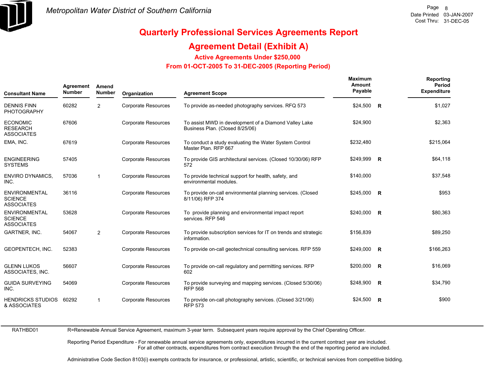

### **Agreement Detail (Exhibit A)**

**Active Agreements Under \$250,000** 

 **From 01-OCT-2005 To 31-DEC-2005 (Reporting Period)** 

| <b>Consultant Name</b>                                      | Agreement<br><b>Number</b> | Amend<br><b>Number</b> | Organization               | <b>Agreement Scope</b>                                                                   | Maximum<br>Amount<br>Payable | Reporting<br>Period<br><b>Expenditure</b> |
|-------------------------------------------------------------|----------------------------|------------------------|----------------------------|------------------------------------------------------------------------------------------|------------------------------|-------------------------------------------|
| <b>DENNIS FINN</b><br><b>PHOTOGRAPHY</b>                    | 60282                      | $\overline{2}$         | <b>Corporate Resources</b> | To provide as-needed photography services. RFQ 573                                       | $$24,500$ R                  | \$1,027                                   |
| <b>ECONOMIC</b><br><b>RESEARCH</b><br><b>ASSOCIATES</b>     | 67606                      |                        | Corporate Resources        | To assist MWD in development of a Diamond Valley Lake<br>Business Plan. (Closed 8/25/06) | \$24,900                     | \$2,363                                   |
| EMA, INC.                                                   | 67619                      |                        | <b>Corporate Resources</b> | To conduct a study evaluating the Water System Control<br>Master Plan, RFP 667           | \$232,480                    | \$215,064                                 |
| <b>ENGINEERING</b><br><b>SYSTEMS</b>                        | 57405                      |                        | <b>Corporate Resources</b> | To provide GIS architectural services. (Closed 10/30/06) RFP<br>572                      | \$249,999 R                  | \$64,118                                  |
| <b>ENVIRO DYNAMICS,</b><br>INC.                             | 57036                      | 1                      | <b>Corporate Resources</b> | To provide technical support for health, safety, and<br>environmental modules.           | \$140,000                    | \$37,548                                  |
| <b>ENVIRONMENTAL</b><br><b>SCIENCE</b><br><b>ASSOCIATES</b> | 36116                      |                        | <b>Corporate Resources</b> | To provide on-call environmental planning services. (Closed<br>8/11/06) RFP 374          | \$245,000 R                  | \$953                                     |
| <b>ENVIRONMENTAL</b><br><b>SCIENCE</b><br><b>ASSOCIATES</b> | 53628                      |                        | <b>Corporate Resources</b> | To provide planning and environmental impact report<br>services. RFP 546                 | \$240,000 R                  | \$80,363                                  |
| GARTNER, INC.                                               | 54067                      | $\overline{2}$         | <b>Corporate Resources</b> | To provide subscription services for IT on trends and strategic<br>information.          | \$156,839                    | \$89,250                                  |
| <b>GEOPENTECH. INC.</b>                                     | 52383                      |                        | <b>Corporate Resources</b> | To provide on-call geotechnical consulting services. RFP 559                             | \$249,000 R                  | \$166,263                                 |
| <b>GLENN LUKOS</b><br>ASSOCIATES, INC.                      | 56607                      |                        | <b>Corporate Resources</b> | To provide on-call regulatory and permitting services. RFP<br>602                        | \$200,000 R                  | \$16,069                                  |
| <b>GUIDA SURVEYING</b><br>INC.                              | 54069                      |                        | <b>Corporate Resources</b> | To provide surveying and mapping services. (Closed 5/30/06)<br><b>RFP 568</b>            | $$248,900$ R                 | \$34,790                                  |
| <b>HENDRICKS STUDIOS</b><br>& ASSOCIATES                    | 60292                      | 1                      | <b>Corporate Resources</b> | To provide on-call photography services. (Closed 3/21/06)<br><b>RFP 573</b>              | \$24,500 R                   | \$900                                     |

RATHBD01

R=Renewable Annual Service Agreement, maximum 3-year term. Subsequent years require approval by the Chief Operating Officer.

Reporting Period Expenditure - For renewable annual service agreements only, expenditures incurred in the current contract year are included. For all other contracts, expenditures from contract execution through the end of the reporting period are included.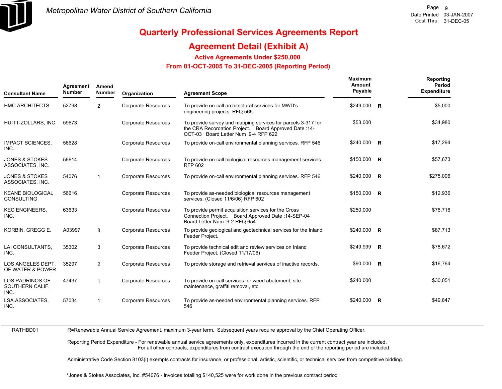

### **Agreement Detail (Exhibit A)**

**Active Agreements Under \$250,000** 

 **From 01-OCT-2005 To 31-DEC-2005 (Reporting Period)** 

| <b>Consultant Name</b>                            | Agreement<br><b>Number</b> | Amend<br><b>Number</b> | Organization               | <b>Agreement Scope</b>                                                                                                                                         | <b>Maximum</b><br>Amount<br>Payable | Reporting<br>Period<br><b>Expenditure</b> |
|---------------------------------------------------|----------------------------|------------------------|----------------------------|----------------------------------------------------------------------------------------------------------------------------------------------------------------|-------------------------------------|-------------------------------------------|
| <b>HMC ARCHITECTS</b>                             | 52798                      | 2                      | <b>Corporate Resources</b> | To provide on-call architectural services for MWD's<br>engineering projects. RFQ 565                                                                           | \$249,000 R                         | \$5,000                                   |
| HUITT-ZOLLARS, INC.                               | 59673                      |                        | <b>Corporate Resources</b> | To provide survey and mapping services for parcels 3-317 for<br>the CRA Recordation Project. Board Approved Date: 14-<br>OCT-03 Board Letter Num : 9-4 RFP 622 | \$53,000                            | \$34,980                                  |
| <b>IMPACT SCIENCES,</b><br>INC.                   | 56628                      |                        | <b>Corporate Resources</b> | To provide on-call environmental planning services. RFP 546                                                                                                    | \$240,000 R                         | \$17,294                                  |
| <b>JONES &amp; STOKES</b><br>ASSOCIATES, INC.     | 56614                      |                        | <b>Corporate Resources</b> | To provide on-call biological resources management services.<br><b>RFP 602</b>                                                                                 | \$150,000 R                         | \$57,673                                  |
| <b>JONES &amp; STOKES</b><br>ASSOCIATES, INC.     | 54076                      | $\mathbf 1$            | <b>Corporate Resources</b> | To provide on-call environmental planning services. RFP 546                                                                                                    | \$240,000 R                         | \$275,006                                 |
| <b>KEANE BIOLOGICAL</b><br><b>CONSULTING</b>      | 56616                      |                        | <b>Corporate Resources</b> | To provide as-needed biological resources management<br>services. (Closed 11/6/06) RFP 602                                                                     | $$150,000$ R                        | \$12,936                                  |
| <b>KEC ENGINEERS,</b><br>INC.                     | 63633                      |                        | <b>Corporate Resources</b> | To provide permit acquisition services for the Cross<br>Connection Project. Board Approved Date: 14-SEP-04<br>Board Letter Num : 9-2 RFQ 654                   | \$250,000                           | \$76,716                                  |
| KORBIN, GREGG E.                                  | A03997                     | 8                      | <b>Corporate Resources</b> | To provide geological and geotechnical services for the Inland<br>Feeder Project.                                                                              | $$240,000$ R                        | \$87,713                                  |
| LAI CONSULTANTS,<br>INC.                          | 35302                      | 3                      | <b>Corporate Resources</b> | To provide technical edit and review services on Inland<br>Feeder Project. (Closed 11/17/06)                                                                   | \$249,999 R                         | \$78,672                                  |
| LOS ANGELES DEPT.<br>OF WATER & POWER             | 35297                      | 2                      | <b>Corporate Resources</b> | To provide storage and retrieval services of inactive records.                                                                                                 | $$90,000$ R                         | \$16,764                                  |
| <b>LOS PADRINOS OF</b><br>SOUTHERN CALIF.<br>INC. | 47437                      | $\mathbf 1$            | <b>Corporate Resources</b> | To provide on-call services for weed abatement, site<br>maintenance, graffiti removal, etc.                                                                    | \$240,000                           | \$30,051                                  |
| <b>LSA ASSOCIATES,</b><br>INC.                    | 57034                      |                        | <b>Corporate Resources</b> | To provide as-needed environmental planning services. RFP<br>546                                                                                               | $$240,000$ R                        | \$49,847                                  |

RATHBD01

R=Renewable Annual Service Agreement, maximum 3-year term. Subsequent years require approval by the Chief Operating Officer.

Reporting Period Expenditure - For renewable annual service agreements only, expenditures incurred in the current contract year are included. For all other contracts, expenditures from contract execution through the end of the reporting period are included.

Administrative Code Section 8103(i) exempts contracts for insurance, or professional, artistic, scientific, or technical services from competitive bidding.

\*Jones & Stokes Associates, Inc. #54076 - Invoices totalling \$140,525 were for work done in the previous contract period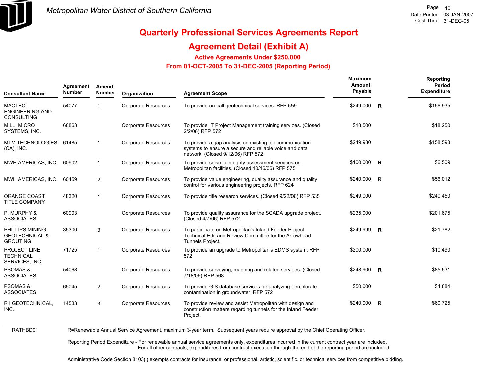

### **Agreement Detail (Exhibit A)**

**Active Agreements Under \$250,000** 

 **From 01-OCT-2005 To 31-DEC-2005 (Reporting Period)** 

| <b>Consultant Name</b>                                           | Agreement<br><b>Number</b> | Amend<br><b>Number</b> | Organization               | <b>Agreement Scope</b>                                                                                                                                 | Maximum<br>Amount<br>Payable |              | Reporting<br>Period<br><b>Expenditure</b> |
|------------------------------------------------------------------|----------------------------|------------------------|----------------------------|--------------------------------------------------------------------------------------------------------------------------------------------------------|------------------------------|--------------|-------------------------------------------|
| <b>MACTEC</b><br><b>ENGINEERING AND</b><br><b>CONSULTING</b>     | 54077                      | 1                      | <b>Corporate Resources</b> | To provide on-call geotechnical services. RFP 559                                                                                                      | \$249,000                    | $\mathsf{R}$ | \$156,935                                 |
| <b>MILLI MICRO</b><br>SYSTEMS, INC.                              | 68863                      |                        | <b>Corporate Resources</b> | To provide IT Project Management training services. (Closed<br>2/2/06) RFP 572                                                                         | \$18,500                     |              | \$18,250                                  |
| MTM TECHNOLOGIES 61485<br>$(CA)$ , INC.                          |                            | $\mathbf{1}$           | <b>Corporate Resources</b> | To provide a gap analysis on existing telecommunication<br>systems to ensure a secure and reliable voice and data<br>network. (Closed 9/12/06) RFP 572 | \$249,980                    |              | \$158,598                                 |
| MWH AMERICAS, INC.                                               | 60902                      | $\mathbf{1}$           | <b>Corporate Resources</b> | To provide seismic integrity assessment services on<br>Metropolitan facilities. (Closed 10/16/06) RFP 575                                              | $$100,000$ R                 |              | \$6,509                                   |
| MWH AMERICAS, INC.                                               | 60459                      | $\overline{2}$         | <b>Corporate Resources</b> | To provide value engineering, quality assurance and quality<br>control for various engineering projects. RFP 624                                       | \$240,000 R                  |              | \$56,012                                  |
| <b>ORANGE COAST</b><br><b>TITLE COMPANY</b>                      | 48320                      | $\mathbf{1}$           | <b>Corporate Resources</b> | To provide title research services. (Closed 9/22/06) RFP 535                                                                                           | \$249,000                    |              | \$240,450                                 |
| P. MURPHY &<br><b>ASSOCIATES</b>                                 | 60903                      |                        | <b>Corporate Resources</b> | To provide quality assurance for the SCADA upgrade project.<br>(Closed 4/7/06) RFP 572                                                                 | \$235,000                    |              | \$201,675                                 |
| PHILLIPS MINING,<br><b>GEOTECHNICAL &amp;</b><br><b>GROUTING</b> | 35300                      | 3                      | Corporate Resources        | To participate on Metropolitan's Inland Feeder Project<br>Technical Edit and Review Committee for the Arrowhead<br>Tunnels Project.                    | \$249,999 R                  |              | \$21,782                                  |
| PROJECT LINE<br><b>TECHNICAL</b><br>SERVICES, INC.               | 71725                      | $\mathbf{1}$           | <b>Corporate Resources</b> | To provide an upgrade to Metropolitan's EDMS system. RFP<br>572                                                                                        | \$200,000                    |              | \$10,490                                  |
| <b>PSOMAS &amp;</b><br><b>ASSOCIATES</b>                         | 54068                      |                        | <b>Corporate Resources</b> | To provide surveying, mapping and related services. (Closed<br>7/18/06) RFP 568                                                                        | \$248,900 R                  |              | \$85,531                                  |
| <b>PSOMAS &amp;</b><br><b>ASSOCIATES</b>                         | 65045                      | 2                      | <b>Corporate Resources</b> | To provide GIS database services for analyzing perchlorate<br>contamination in groundwater. RFP 572                                                    | \$50,000                     |              | \$4,884                                   |
| R I GEOTECHNICAL,<br>INC.                                        | 14533                      | 3                      | <b>Corporate Resources</b> | To provide review and assist Metropolitan with design and<br>construction matters regarding tunnels for the Inland Feeder<br>Project.                  | \$240,000 R                  |              | \$60,725                                  |

RATHBD01 R=Renewable Annual Service Agreement, maximum 3-year term. Subsequent years require approval by the Chief Operating Officer.

> Reporting Period Expenditure - For renewable annual service agreements only, expenditures incurred in the current contract year are included. For all other contracts, expenditures from contract execution through the end of the reporting period are included.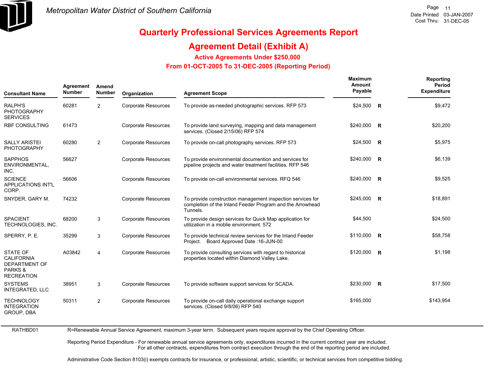

RATHBD01

# **Quarterly Professional Services Agreements Report**

### **Agreement Detail (Exhibit A)**

**Active Agreements Under \$250,000** 

 **From 01-OCT-2005 To 31-DEC-2005 (Reporting Period)** 

| <b>Consultant Name</b>                                                                       | Agreement<br><b>Number</b> | Amend<br><b>Number</b> | Organization               | <b>Agreement Scope</b>                                                                                                              | Maximum<br>Amount<br>Payable | Reporting<br>Period<br><b>Expenditure</b> |
|----------------------------------------------------------------------------------------------|----------------------------|------------------------|----------------------------|-------------------------------------------------------------------------------------------------------------------------------------|------------------------------|-------------------------------------------|
| <b>RALPH'S</b><br><b>PHOTOGRAPHY</b><br><b>SERVICES</b>                                      | 60281                      | $\overline{2}$         | <b>Corporate Resources</b> | To provide as-needed photographic services. RFP 573                                                                                 | $$24,500$ R                  | \$9,472                                   |
| <b>RBF CONSULTING</b>                                                                        | 61473                      |                        | <b>Corporate Resources</b> | To provide land surveying, mapping and data management<br>services. (Closed 2/15/06) RFP 574                                        | $$240,000$ R                 | \$20,200                                  |
| <b>SALLY ARISTEI</b><br><b>PHOTOGRAPHY</b>                                                   | 60280                      | 2                      | <b>Corporate Resources</b> | To provide on-call photography services. RFP 573                                                                                    | $$24,500$ R                  | \$5,975                                   |
| <b>SAPPHOS</b><br>ENVIRONMENTAL,<br>INC.                                                     | 56627                      |                        | <b>Corporate Resources</b> | To provide environmental documention and services for<br>pipeline projects and water treatment facilities. RFP 546                  | $$240,000$ R                 | \$6,139                                   |
| <b>SCIENCE</b><br>APPLICATIONS INT'L<br>CORP.                                                | 56606                      |                        | <b>Corporate Resources</b> | To provide on-call environmental services. RFQ 546                                                                                  | $$240,000$ R                 | \$9,525                                   |
| SNYDER, GARY M.                                                                              | 74232                      |                        | <b>Corporate Resources</b> | To provide construction management inspection services for<br>completion of the Inland Feeder Program and the Arrowhead<br>Tunnels. | \$245,000 R                  | \$18,891                                  |
| <b>SPACIENT</b><br>TECHNOLOGIES, INC.                                                        | 68200                      | 3                      | <b>Corporate Resources</b> | To provide design services for Quick Map application for<br>utilization in a moblie environment. 572                                | \$44,500                     | \$24,500                                  |
| SPERRY, P. E.                                                                                | 35299                      | 3                      | <b>Corporate Resources</b> | To provide technical review services for the Inland Feeder<br>Project. Board Approved Date: 16-JUN-00                               | \$110,000 R                  | \$58,758                                  |
| <b>STATE OF</b><br><b>CALIFORNIA</b><br><b>DEPARTMENT OF</b><br>PARKS &<br><b>RECREATION</b> | A03842                     | $\overline{4}$         | <b>Corporate Resources</b> | To provide consulting services with regard to historical<br>properties located within Diamond Valley Lake.                          | $$120,000$ R                 | \$1,198                                   |
| <b>SYSTEMS</b><br><b>INTEGRATED, LLC</b>                                                     | 38951                      | 3                      | <b>Corporate Resources</b> | To provide software support services for SCADA.                                                                                     | \$230,000 R                  | \$17,500                                  |
| <b>TECHNOLOGY</b><br><b>INTEGRATION</b><br>GROUP, DBA                                        | 50311                      | $\overline{2}$         | <b>Corporate Resources</b> | To provide on-call daily operational exchange support<br>services. (Closed 9/8/06) RFP 540                                          | \$165,000                    | \$143,954                                 |

R=Renewable Annual Service Agreement, maximum 3-year term. Subsequent years require approval by the Chief Operating Officer.

Reporting Period Expenditure - For renewable annual service agreements only, expenditures incurred in the current contract year are included. For all other contracts, expenditures from contract execution through the end of the reporting period are included.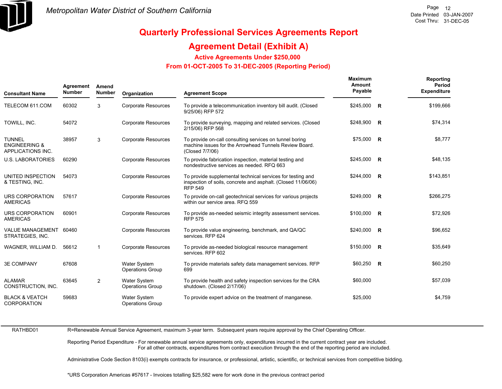

### **Agreement Detail (Exhibit A)**

**Active Agreements Under \$250,000** 

 **From 01-OCT-2005 To 31-DEC-2005 (Reporting Period)** 

| <b>Consultant Name</b>                                         | Agreement<br><b>Number</b> | Amend<br><b>Number</b> | Organization                                   | <b>Agreement Scope</b>                                                                                                                       | <b>Maximum</b><br>Amount<br>Payable | Reporting<br>Period<br><b>Expenditure</b> |
|----------------------------------------------------------------|----------------------------|------------------------|------------------------------------------------|----------------------------------------------------------------------------------------------------------------------------------------------|-------------------------------------|-------------------------------------------|
| TELECOM 611.COM                                                | 60302                      | 3                      | <b>Corporate Resources</b>                     | To provide a telecommunication inventory bill audit. (Closed<br>9/25/06) RFP 572                                                             | $$245,000$ R                        | \$199,666                                 |
| TOWILL, INC.                                                   | 54072                      |                        | <b>Corporate Resources</b>                     | To provide surveying, mapping and related services. (Closed<br>2/15/06) RFP 568                                                              | \$248,900 R                         | \$74,314                                  |
| <b>TUNNEL</b><br><b>ENGINEERING &amp;</b><br>APPLICATIONS INC. | 38957                      | 3                      | <b>Corporate Resources</b>                     | To provide on-call consulting services on tunnel boring<br>machine issues for the Arrowhead Tunnels Review Board.<br>(Closed 7/7/06)         | $$75,000$ R                         | \$8,777                                   |
| <b>U.S. LABORATORIES</b>                                       | 60290                      |                        | <b>Corporate Resources</b>                     | To provide fabrication inspection, material testing and<br>nondestructive services as needed. RFQ 663                                        | $$245,000$ R                        | \$48,135                                  |
| UNITED INSPECTION<br>& TESTING, INC.                           | 54073                      |                        | <b>Corporate Resources</b>                     | To provide supplemental technical services for testing and<br>inspection of soils, concrete and asphalt. (Closed 11/06/06)<br><b>RFP 549</b> | $$244,000$ R                        | \$143,851                                 |
| URS CORPORATION<br><b>AMERICAS</b>                             | 57617                      |                        | Corporate Resources                            | To provide on-call geotechnical services for various projects<br>within our service area. RFQ 559                                            | \$249,000 R                         | \$266,275                                 |
| URS CORPORATION<br><b>AMERICAS</b>                             | 60901                      |                        | <b>Corporate Resources</b>                     | To provide as-needed seismic integrity assessment services.<br><b>RFP 575</b>                                                                | \$100,000 R                         | \$72,926                                  |
| <b>VALUE MANAGEMENT</b><br>STRATEGIES, INC.                    | 60460                      |                        | Corporate Resources                            | To provide value engineering, benchmark, and QA/QC<br>services. RFP 624                                                                      | $$240,000$ R                        | \$96,652                                  |
| WAGNER, WILLIAM D.                                             | 56612                      | $\mathbf 1$            | Corporate Resources                            | To provide as-needed biological resource management<br>services. RFP 602                                                                     | $$150,000$ R                        | \$35,649                                  |
| <b>3E COMPANY</b>                                              | 67608                      |                        | Water System<br><b>Operations Group</b>        | To provide materials safety data management services. RFP<br>699                                                                             | $$60,250$ R                         | \$60,250                                  |
| <b>ALAMAR</b><br>CONSTRUCTION, INC.                            | 63645                      | $\overline{2}$         | <b>Water System</b><br><b>Operations Group</b> | To provide health and safety inspection services for the CRA<br>shutdown. (Closed 2/17/06)                                                   | \$60,000                            | \$57,039                                  |
| <b>BLACK &amp; VEATCH</b><br><b>CORPORATION</b>                | 59683                      |                        | <b>Water System</b><br><b>Operations Group</b> | To provide expert advice on the treatment of manganese.                                                                                      | \$25,000                            | \$4,759                                   |

RATHBD01

R=Renewable Annual Service Agreement, maximum 3-year term. Subsequent years require approval by the Chief Operating Officer.

Reporting Period Expenditure - For renewable annual service agreements only, expenditures incurred in the current contract year are included. For all other contracts, expenditures from contract execution through the end of the reporting period are included.

Administrative Code Section 8103(i) exempts contracts for insurance, or professional, artistic, scientific, or technical services from competitive bidding.

\*URS Corporation Americas #57617 - Invoices totalling \$25,582 were for work done in the previous contract period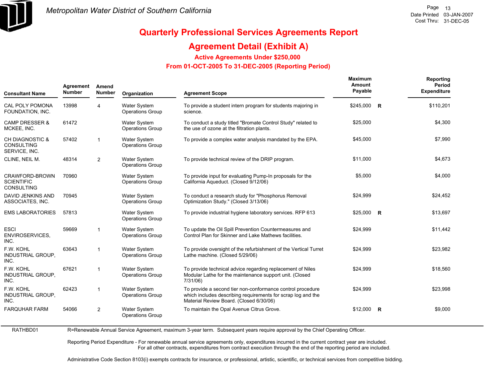

RATHBD01

# **Quarterly Professional Services Agreements Report**

### **Agreement Detail (Exhibit A)**

**Active Agreements Under \$250,000** 

 **From 01-OCT-2005 To 31-DEC-2005 (Reporting Period)** 

| Agreement<br>Amend<br><b>Number</b><br><b>Number</b><br><b>Consultant Name</b> |       | Organization   | <b>Agreement Scope</b>                         | <b>Maximum</b><br><b>Amount</b><br>Payable                                                                                                                            |           | Reporting<br><b>Period</b><br><b>Expenditure</b> |           |
|--------------------------------------------------------------------------------|-------|----------------|------------------------------------------------|-----------------------------------------------------------------------------------------------------------------------------------------------------------------------|-----------|--------------------------------------------------|-----------|
| <b>CAL POLY POMONA</b><br>FOUNDATION, INC.                                     | 13998 | 4              | <b>Water System</b><br><b>Operations Group</b> | To provide a student intern program for students majoring in<br>science.                                                                                              | \$245,000 | R                                                | \$110,201 |
| <b>CAMP DRESSER &amp;</b><br>MCKEE, INC.                                       | 61472 |                | <b>Water System</b><br><b>Operations Group</b> | To conduct a study titled "Bromate Control Study" related to<br>the use of ozone at the filtration plants.                                                            | \$25,000  |                                                  | \$4,300   |
| <b>CH DIAGNOSTIC &amp;</b><br><b>CONSULTING</b><br>SERVICE, INC.               | 57402 | $\mathbf{1}$   | <b>Water System</b><br><b>Operations Group</b> | To provide a complex water analysis mandated by the EPA.                                                                                                              | \$45,000  |                                                  | \$7,990   |
| CLINE, NEIL M.                                                                 | 48314 | $\overline{2}$ | <b>Water System</b><br><b>Operations Group</b> | To provide technical review of the DRIP program.                                                                                                                      | \$11.000  |                                                  | \$4,673   |
| CRAWFORD-BROWN<br><b>SCIENTIFIC</b><br><b>CONSULTING</b>                       | 70960 |                | <b>Water System</b><br><b>Operations Group</b> | To provide input for evaluating Pump-In proposals for the<br>California Aqueduct. (Closed 9/12/06)                                                                    | \$5,000   |                                                  | \$4,000   |
| <b>DAVID JENKINS AND</b><br>ASSOCIATES, INC.                                   | 70945 |                | <b>Water System</b><br><b>Operations Group</b> | To conduct a research study for "Phosphorus Removal<br>Optimization Study." (Closed 3/13/06)                                                                          | \$24,999  |                                                  | \$24,452  |
| <b>EMS LABORATORIES</b>                                                        | 57813 |                | <b>Water System</b><br><b>Operations Group</b> | To provide industrial hygiene laboratory services. RFP 613                                                                                                            | \$25,000  | R                                                | \$13,697  |
| <b>ESCI</b><br><b>ENVIROSERVICES,</b><br>INC.                                  | 59669 | $\mathbf{1}$   | <b>Water System</b><br><b>Operations Group</b> | To update the Oil Spill Prevention Countermeasures and<br>Control Plan for Skinner and Lake Mathews facilities.                                                       | \$24,999  |                                                  | \$11,442  |
| F.W. KOHL<br>INDUSTRIAL GROUP,<br>INC.                                         | 63643 | $\mathbf{1}$   | Water System<br><b>Operations Group</b>        | To provide oversight of the refurbishment of the Vertical Turret<br>Lathe machine. (Closed 5/29/06)                                                                   | \$24,999  |                                                  | \$23,982  |
| F.W. KOHL<br><b>INDUSTRIAL GROUP,</b><br>INC.                                  | 67621 | $\overline{1}$ | <b>Water System</b><br><b>Operations Group</b> | To provide technical advice regarding replacement of Niles<br>Modular Lathe for the maintenance support unit. (Closed<br>7/31/06)                                     | \$24,999  |                                                  | \$18,560  |
| F.W. KOHL<br>INDUSTRIAL GROUP,<br>INC.                                         | 62423 | $\mathbf{1}$   | <b>Water System</b><br><b>Operations Group</b> | To provide a second tier non-conformance control procedure<br>which includes describing requirements for scrap log and the<br>Material Review Board. (Closed 6/30/06) | \$24,999  |                                                  | \$23,998  |
| <b>FARQUHAR FARM</b>                                                           | 54066 | 2              | <b>Water System</b><br><b>Operations Group</b> | To maintain the Opal Avenue Citrus Grove.                                                                                                                             | \$12.000  | <b>R</b>                                         | \$9,000   |

R=Renewable Annual Service Agreement, maximum 3-year term. Subsequent years require approval by the Chief Operating Officer.

Reporting Period Expenditure - For renewable annual service agreements only, expenditures incurred in the current contract year are included. For all other contracts, expenditures from contract execution through the end of the reporting period are included.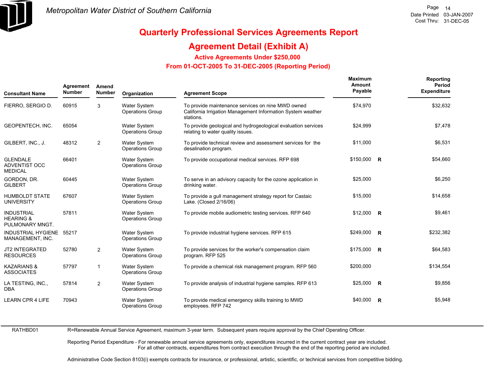

### **Agreement Detail (Exhibit A)**

**Active Agreements Under \$250,000** 

 **From 01-OCT-2005 To 31-DEC-2005 (Reporting Period)** 

| <b>Consultant Name</b>                                       | Agreement<br><b>Number</b> | Amend<br><b>Number</b> | Organization                                   | <b>Agreement Scope</b>                                                                                                        | <b>Maximum</b><br>Amount<br>Payable | Reporting<br>Period<br><b>Expenditure</b> |
|--------------------------------------------------------------|----------------------------|------------------------|------------------------------------------------|-------------------------------------------------------------------------------------------------------------------------------|-------------------------------------|-------------------------------------------|
| FIERRO, SERGIO D.                                            | 60915                      | 3                      | Water System<br><b>Operations Group</b>        | To provide maintenance services on nine MWD owned<br>California Irrigation Management Information System weather<br>stations. | \$74,970                            | \$32,632                                  |
| GEOPENTECH, INC.                                             | 65054                      |                        | Water System<br><b>Operations Group</b>        | To provide geological and hydrogeological evaluation services<br>relating to water quality issues.                            | \$24,999                            | \$7,478                                   |
| GILBERT, INC., J.                                            | 48312                      | $\overline{2}$         | <b>Water System</b><br><b>Operations Group</b> | To provide technical review and assessment services for the<br>desalination program.                                          | \$11,000                            | \$6,531                                   |
| <b>GLENDALE</b><br>ADVENTIST OCC<br><b>MEDICAL</b>           | 66401                      |                        | <b>Water System</b><br><b>Operations Group</b> | To provide occupational medical services. RFP 698                                                                             | \$150,000 R                         | \$54,660                                  |
| GORDON, DR.<br><b>GILBERT</b>                                | 60445                      |                        | <b>Water System</b><br><b>Operations Group</b> | To serve in an advisory capacity for the ozone application in<br>drinking water.                                              | \$25,000                            | \$6,250                                   |
| <b>HUMBOLDT STATE</b><br><b>UNIVERSITY</b>                   | 67607                      |                        | <b>Water System</b><br><b>Operations Group</b> | To provide a gull management strategy report for Castaic<br>Lake. (Closed 2/16/06)                                            | \$15,000                            | \$14,658                                  |
| <b>INDUSTRIAL</b><br><b>HEARING &amp;</b><br>PULMONARY MNGT. | 57811                      |                        | <b>Water System</b><br><b>Operations Group</b> | To provide mobile audiometric testing services. RFP 640                                                                       | $$12,000$ R                         | \$9,461                                   |
| INDUSTRIAL HYGIENE 55217<br>MANAGEMENT, INC.                 |                            |                        | <b>Water System</b><br><b>Operations Group</b> | To provide industrial hygiene services. RFP 615                                                                               | $$249,000$ R                        | \$232,382                                 |
| <b>JT2 INTEGRATED</b><br><b>RESOURCES</b>                    | 52780                      | 2                      | <b>Water System</b><br><b>Operations Group</b> | To provide services for the worker's compensation claim<br>program. RFP 525                                                   | \$175,000 R                         | \$64,583                                  |
| <b>KAZARIANS &amp;</b><br><b>ASSOCIATES</b>                  | 57797                      | $\mathbf{1}$           | <b>Water System</b><br><b>Operations Group</b> | To provide a chemical risk management program. RFP 560                                                                        | \$200,000                           | \$134,554                                 |
| LA TESTING, INC.,<br><b>DBA</b>                              | 57814                      | $\overline{2}$         | Water System<br><b>Operations Group</b>        | To provide analysis of industrial hygiene samples. RFP 613                                                                    | \$25,000 R                          | \$9,856                                   |
| <b>LEARN CPR 4 LIFE</b>                                      | 70943                      |                        | <b>Water System</b><br><b>Operations Group</b> | To provide medical emergency skills training to MWD<br>employees. RFP 742                                                     | \$40,000 R                          | \$5,948                                   |

RATHBD01

R=Renewable Annual Service Agreement, maximum 3-year term. Subsequent years require approval by the Chief Operating Officer.

Reporting Period Expenditure - For renewable annual service agreements only, expenditures incurred in the current contract year are included. For all other contracts, expenditures from contract execution through the end of the reporting period are included.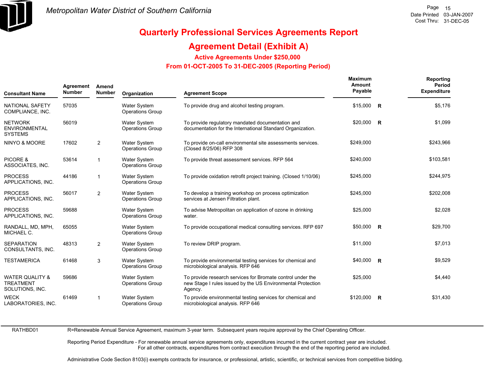

### **Agreement Detail (Exhibit A)**

**Active Agreements Under \$250,000** 

 **From 01-OCT-2005 To 31-DEC-2005 (Reporting Period)** 

| <b>Consultant Name</b>                                            | Agreement<br>Amend<br><b>Number</b><br><b>Number</b><br>Organization |                |                                                | <b>Agreement Scope</b>                                                                                                               | Maximum<br>Amount<br>Payable | Reporting<br>Period<br><b>Expenditure</b> |
|-------------------------------------------------------------------|----------------------------------------------------------------------|----------------|------------------------------------------------|--------------------------------------------------------------------------------------------------------------------------------------|------------------------------|-------------------------------------------|
| NATIONAL SAFETY<br>COMPLIANCE, INC.                               | 57035                                                                |                | <b>Water System</b><br><b>Operations Group</b> | To provide drug and alcohol testing program.                                                                                         | $$15,000$ R                  | \$5,176                                   |
| <b>NETWORK</b><br><b>ENVIRONMENTAL</b><br><b>SYSTEMS</b>          | 56019                                                                |                | <b>Water System</b><br><b>Operations Group</b> | To provide regulatory mandated documentation and<br>documentation for the International Standard Organization.                       | \$20,000 R                   | \$1,099                                   |
| NINYO & MOORE                                                     | 17602                                                                | $\overline{2}$ | <b>Water System</b><br><b>Operations Group</b> | To provide on-call environmental site assessments services.<br>(Closed 8/25/06) RFP 308                                              | \$249,000                    | \$243,966                                 |
| PICORE &<br>ASSOCIATES, INC.                                      | 53614                                                                | $\mathbf{1}$   | Water System<br><b>Operations Group</b>        | To provide threat assessment services. RFP 564                                                                                       | \$240,000                    | \$103,581                                 |
| <b>PROCESS</b><br>APPLICATIONS, INC.                              | 44186                                                                | -1             | <b>Water System</b><br><b>Operations Group</b> | To provide oxidation retrofit project training. (Closed 1/10/06)                                                                     | \$245,000                    | \$244,975                                 |
| <b>PROCESS</b><br>APPLICATIONS, INC.                              | 56017                                                                | 2              | <b>Water System</b><br><b>Operations Group</b> | To develop a training workshop on process optimization<br>services at Jensen Filtration plant.                                       | \$245,000                    | \$202,008                                 |
| <b>PROCESS</b><br>APPLICATIONS, INC.                              | 59688                                                                |                | <b>Water System</b><br><b>Operations Group</b> | To advise Metropolitan on application of ozone in drinking<br>water.                                                                 | \$25,000                     | \$2,028                                   |
| RANDALL, MD, MPH,<br>MICHAEL C.                                   | 65055                                                                |                | <b>Water System</b><br><b>Operations Group</b> | To provide occupational medical consulting services. RFP 697                                                                         | \$50,000 R                   | \$29,700                                  |
| <b>SEPARATION</b><br>CONSULTANTS, INC.                            | 48313                                                                | $\overline{2}$ | <b>Water System</b><br><b>Operations Group</b> | To review DRIP program.                                                                                                              | \$11,000                     | \$7,013                                   |
| <b>TESTAMERICA</b>                                                | 61468                                                                | 3              | <b>Water System</b><br><b>Operations Group</b> | To provide environmental testing services for chemical and<br>microbiological analysis. RFP 646                                      | $$40,000$ R                  | \$9,529                                   |
| <b>WATER QUALITY &amp;</b><br><b>TREATMENT</b><br>SOLUTIONS, INC. | 59686                                                                |                | <b>Water System</b><br><b>Operations Group</b> | To provide research services for Bromate control under the<br>new Stage I rules issued by the US Environmental Protection<br>Agency. | \$25,000                     | \$4,440                                   |
| <b>WECK</b><br>LABORATORIES, INC.                                 | 61469                                                                | -1             | <b>Water System</b><br><b>Operations Group</b> | To provide environmental testing services for chemical and<br>microbiological analysis. RFP 646                                      | \$120,000 R                  | \$31,430                                  |

RATHBD01

R=Renewable Annual Service Agreement, maximum 3-year term. Subsequent years require approval by the Chief Operating Officer.

Reporting Period Expenditure - For renewable annual service agreements only, expenditures incurred in the current contract year are included. For all other contracts, expenditures from contract execution through the end of the reporting period are included.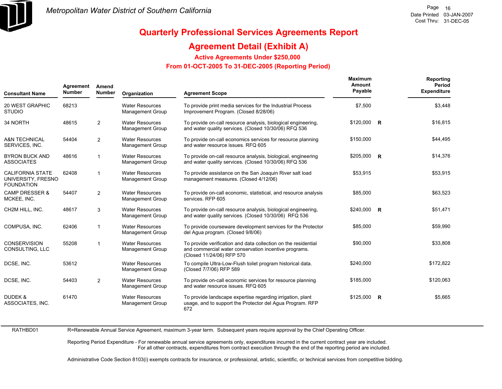

# **Quarterly Professional Services Agreements Report**

### **Agreement Detail (Exhibit A)**

**Active Agreements Under \$250,000** 

 **From 01-OCT-2005 To 31-DEC-2005 (Reporting Period)** 

| <b>Consultant Name</b>                                             | Agreement<br><b>Number</b> | Amend<br><b>Number</b> | Organization                                      | <b>Agreement Scope</b>                                                                                                                               | <b>Maximum</b><br>Amount<br>Payable | Reporting<br>Period<br><b>Expenditure</b> |
|--------------------------------------------------------------------|----------------------------|------------------------|---------------------------------------------------|------------------------------------------------------------------------------------------------------------------------------------------------------|-------------------------------------|-------------------------------------------|
| <b>20 WEST GRAPHIC</b><br><b>STUDIO</b>                            | 68213                      |                        | <b>Water Resources</b><br><b>Management Group</b> | To provide print media services for the Industrial Process<br>Improvement Program. (Closed 8/28/06)                                                  | \$7,500                             | \$3,448                                   |
| 34 NORTH                                                           | 48615                      | $\overline{2}$         | <b>Water Resources</b><br><b>Management Group</b> | To provide on-call resource analysis, biological engineering,<br>and water quality services. (Closed 10/30/06) RFQ 536                               | \$120,000 R                         | \$16,815                                  |
| <b>A&amp;N TECHNICAL</b><br>SERVICES, INC.                         | 54404                      | $\overline{2}$         | <b>Water Resources</b><br><b>Management Group</b> | To provide on-call economics services for resource planning<br>and water resource issues. RFQ 605                                                    | \$150,000                           | \$44,495                                  |
| <b>BYRON BUCK AND</b><br><b>ASSOCIATES</b>                         | 48616                      | $\mathbf{1}$           | <b>Water Resources</b><br><b>Management Group</b> | To provide on-call resource analysis, biological, engineering<br>and water quality services. (Closed 10/30/06) RFQ 536                               | $$205,000$ R                        | \$14,376                                  |
| <b>CALIFORNIA STATE</b><br>UNIVERSITY, FRESNO<br><b>FOUNDATION</b> | 62408                      | $\mathbf{1}$           | <b>Water Resources</b><br><b>Management Group</b> | To provide assistance on the San Joaquin River salt load<br>management measures. (Closed 4/12/06)                                                    | \$53,915                            | \$53,915                                  |
| <b>CAMP DRESSER &amp;</b><br>MCKEE, INC.                           | 54407                      | 2                      | <b>Water Resources</b><br><b>Management Group</b> | To provide on-call economic, statistical, and resource analysis<br>services. RFP 605                                                                 | \$85,000                            | \$63,523                                  |
| CH2M HILL, INC.                                                    | 48617                      | 3                      | <b>Water Resources</b><br><b>Management Group</b> | To provide on-call resource analysis, biological engineering,<br>and water quality services. (Closed 10/30/06) RFQ 536                               | \$240,000 R                         | \$51,471                                  |
| COMPUSA, INC.                                                      | 62406                      | $\mathbf{1}$           | <b>Water Resources</b><br>Management Group        | To provide courseware development services for the Protector<br>del Agua program. (Closed 9/8/06)                                                    | \$85,000                            | \$59,990                                  |
| <b>CONSERVISION</b><br>CONSULTING, LLC                             | 55208                      | $\mathbf{1}$           | <b>Water Resources</b><br><b>Management Group</b> | To provide verification and data collection on the residential<br>and commercial water conservation incentive programs.<br>(Closed 11/24/06) RFP 570 | \$90,000                            | \$33,808                                  |
| DCSE, INC.                                                         | 53612                      |                        | <b>Water Resources</b><br><b>Management Group</b> | To compile Ultra-Low-Flush toilet program historical data.<br>(Closed 7/7/06) RFP 589                                                                | \$240,000                           | \$172,822                                 |
| DCSE, INC.                                                         | 54403                      | 2                      | <b>Water Resources</b><br><b>Management Group</b> | To provide on-call economic services for resource planning<br>and water resource issues. RFQ 605                                                     | \$185,000                           | \$120,063                                 |
| <b>DUDEK &amp;</b><br>ASSOCIATES, INC.                             | 61470                      |                        | <b>Water Resources</b><br><b>Management Group</b> | To provide landscape expertise regarding irrigation, plant<br>usage, and to support the Protector del Agua Program. RFP<br>672                       | \$125,000 R                         | \$5,665                                   |

RATHBD01

R=Renewable Annual Service Agreement, maximum 3-year term. Subsequent years require approval by the Chief Operating Officer.

Reporting Period Expenditure - For renewable annual service agreements only, expenditures incurred in the current contract year are included. For all other contracts, expenditures from contract execution through the end of the reporting period are included.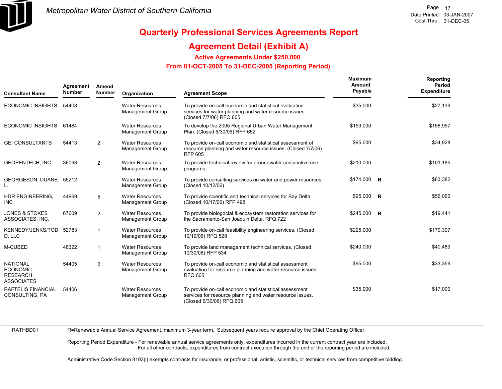

### **Agreement Detail (Exhibit A)**

**Active Agreements Under \$250,000** 

 **From 01-OCT-2005 To 31-DEC-2005 (Reporting Period)** 

| <b>Consultant Name</b>                                                     | Agreement<br><b>Number</b> | Amend<br><b>Number</b> | <b>Agreement Scope</b><br>Organization            |                                                                                                                                                 | Maximum<br>Amount<br>Payable | Reporting<br>Period<br><b>Expenditure</b> |
|----------------------------------------------------------------------------|----------------------------|------------------------|---------------------------------------------------|-------------------------------------------------------------------------------------------------------------------------------------------------|------------------------------|-------------------------------------------|
| <b>ECONOMIC INSIGHTS</b>                                                   | 54408                      |                        | <b>Water Resources</b><br><b>Management Group</b> | To provide on-call economic and statistical evaluation<br>services for water planning and water resource issues.<br>(Closed 7/7/06) RFQ 605     | \$35,000                     | \$27,139                                  |
| <b>ECONOMIC INSIGHTS</b>                                                   | 61484                      |                        | <b>Water Resources</b><br><b>Management Group</b> | To develop the 2005 Regional Urban Water Management<br>Plan. (Closed 6/30/06) RFP 652                                                           | \$159,000                    | \$158,957                                 |
| <b>GEI CONSULTANTS</b>                                                     | 54413                      | $\overline{2}$         | <b>Water Resources</b><br><b>Management Group</b> | To provide on-call economic and statistical assessment of<br>resource planning and water resource issues. (Closed 7/7/06)<br><b>RFP 605</b>     | \$95,000                     | \$34,928                                  |
| GEOPENTECH, INC.                                                           | 36093                      | $\overline{2}$         | <b>Water Resources</b><br><b>Management Group</b> | To provide technical review for groundwater conjunctive use<br>programs.                                                                        | \$210,000                    | \$101,185                                 |
| GEORGESON, DUANE 55212                                                     |                            |                        | <b>Water Resources</b><br>Management Group        | To provide consulting services on water and power resources.<br>(Closed 10/12/06)                                                               | $$174,000$ R                 | \$83,382                                  |
| HDR ENGINEERING,<br><b>INC</b>                                             | 44969                      | 5                      | <b>Water Resources</b><br><b>Management Group</b> | To provide scientific and technical services for Bay Delta.<br>(Closed 10/17/06) RFP 498                                                        | $$95,000$ R                  | \$56,060                                  |
| <b>JONES &amp; STOKES</b><br>ASSOCIATES, INC.                              | 67609                      | $\overline{2}$         | <b>Water Resources</b><br><b>Management Group</b> | To provide biologocial & ecosystem restoration services for<br>the Sacramento-San Joaquin Delta. RFQ 722                                        | $$245,000$ R                 | \$19,441                                  |
| KENNEDY/JENKS/TOD<br>D, LLC                                                | 52783                      | 1                      | <b>Water Resources</b><br><b>Management Group</b> | To provide on-call feasibility engineering services. (Closed<br>10/19/06) RFQ 528                                                               | \$225,000                    | \$179,307                                 |
| M-CUBED                                                                    | 48322                      | 1                      | <b>Water Resources</b><br><b>Management Group</b> | To provide land management technical services. (Closed<br>10/30/06) RFP 534                                                                     | \$240,000                    | \$40,489                                  |
| <b>NATIONAL</b><br><b>ECONOMIC</b><br><b>RESEARCH</b><br><b>ASSOCIATES</b> | 54405                      | $\overline{2}$         | <b>Water Resources</b><br><b>Management Group</b> | To provide on-call economic and statistical assessment<br>evaluation for resource planning and water resource issues.<br><b>RFQ 605</b>         | \$95,000                     | \$33,359                                  |
| RAFTELIS FINANCIAL<br>CONSULTING, PA                                       | 54406                      |                        | <b>Water Resources</b><br><b>Management Group</b> | To provide on-call economic and statistical assessment<br>services for resource planning and water resource issues.<br>(Closed 6/30/06) RFQ 605 | \$35,000                     | \$17,000                                  |

RATHBD01

R=Renewable Annual Service Agreement, maximum 3-year term. Subsequent years require approval by the Chief Operating Officer.

Reporting Period Expenditure - For renewable annual service agreements only, expenditures incurred in the current contract year are included. For all other contracts, expenditures from contract execution through the end of the reporting period are included.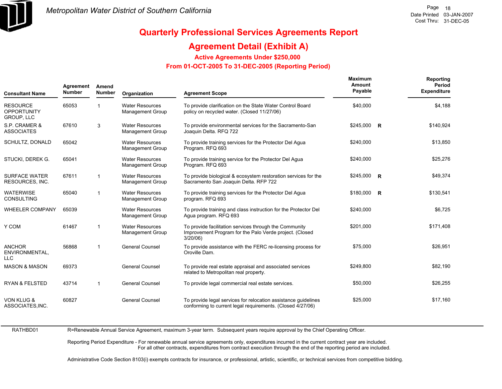

### **Agreement Detail (Exhibit A)**

**Active Agreements Under \$250,000** 

 **From 01-OCT-2005 To 31-DEC-2005 (Reporting Period)** 

| <b>Consultant Name</b>                              | Agreement<br>Amend<br><b>Number</b><br><b>Number</b> |                | Organization                                      | <b>Agreement Scope</b>                                                                                                           | <b>Maximum</b><br>Amount<br>Payable | Reporting<br><b>Period</b><br><b>Expenditure</b> |
|-----------------------------------------------------|------------------------------------------------------|----------------|---------------------------------------------------|----------------------------------------------------------------------------------------------------------------------------------|-------------------------------------|--------------------------------------------------|
| <b>RESOURCE</b><br><b>OPPORTUNITY</b><br>GROUP, LLC | 65053                                                |                | <b>Water Resources</b><br><b>Management Group</b> | To provide clarification on the State Water Control Board<br>policy on recycled water. (Closed 11/27/06)                         | \$40,000                            | \$4,188                                          |
| S.P. CRAMER &<br><b>ASSOCIATES</b>                  | 67610                                                | 3              | <b>Water Resources</b><br><b>Management Group</b> | To provide environmental services for the Sacramento-San<br>Joaquin Delta. RFQ 722                                               | $$245,000$ R                        | \$140,924                                        |
| SCHULTZ, DONALD                                     | 65042                                                |                | <b>Water Resources</b><br><b>Management Group</b> | To provide training services for the Protector Del Agua<br>Program. RFQ 693                                                      | \$240,000                           | \$13,850                                         |
| STUCKI, DEREK G.                                    | 65041                                                |                | <b>Water Resources</b><br><b>Management Group</b> | To provide training service for the Protector Del Agua<br>Program. RFQ 693                                                       | \$240,000                           | \$25,276                                         |
| <b>SURFACE WATER</b><br>RESOURCES, INC.             | 67611                                                | $\overline{1}$ | <b>Water Resources</b><br><b>Management Group</b> | To provide biological & ecosystem restoration services for the<br>Sacramento San Joaquin Delta. RFP 722                          | $$245,000$ R                        | \$49,374                                         |
| <b>WATERWISE</b><br>CONSULTING                      | 65040                                                | -1             | <b>Water Resources</b><br><b>Management Group</b> | To provide training services for the Protector Del Agua<br>program. RFQ 693                                                      | \$180,000 R                         | \$130,541                                        |
| <b>WHEELER COMPANY</b>                              | 65039                                                |                | <b>Water Resources</b><br>Management Group        | To provide training and class instruction for the Protector Del<br>Aqua program. RFQ 693                                         | \$240,000                           | \$6,725                                          |
| Y COM                                               | 61467                                                | $\overline{1}$ | <b>Water Resources</b><br><b>Management Group</b> | To provide facilitation services through the Community<br>Improvement Program for the Palo Verde project. (Closed<br>$3/20/06$ ) | \$201,000                           | \$171,408                                        |
| <b>ANCHOR</b><br>ENVIRONMENTAL,<br><b>LLC</b>       | 56868                                                | $\overline{1}$ | <b>General Counsel</b>                            | To provide assistance with the FERC re-licensing process for<br>Oroville Dam.                                                    | \$75,000                            | \$26,951                                         |
| <b>MASON &amp; MASON</b>                            | 69373                                                |                | <b>General Counsel</b>                            | To provide real estate appraisal and associated services<br>related to Metropolitan real property.                               | \$249.800                           | \$82,190                                         |
| <b>RYAN &amp; FELSTED</b>                           | 43714                                                | $\mathbf{1}$   | <b>General Counsel</b>                            | To provide legal commercial real estate services.                                                                                | \$50,000                            | \$26,255                                         |
| <b>VON KLUG &amp;</b><br>ASSOCIATES, INC.           | 60827                                                |                | <b>General Counsel</b>                            | To provide legal services for relocation assistance quidelines<br>conforming to current legal requirements. (Closed 4/27/06)     | \$25,000                            | \$17,160                                         |

RATHBD01 R=Renewable Annual Service Agreement, maximum 3-year term. Subsequent years require approval by the Chief Operating Officer.

> Reporting Period Expenditure - For renewable annual service agreements only, expenditures incurred in the current contract year are included. For all other contracts, expenditures from contract execution through the end of the reporting period are included.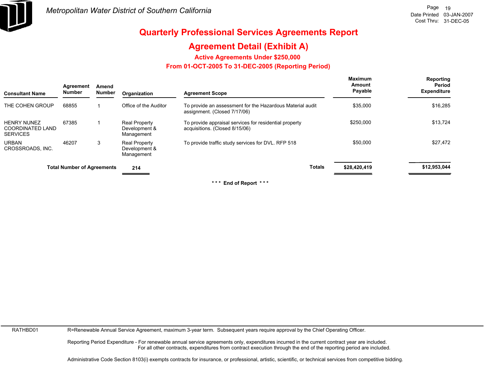

# **Agreement Detail (Exhibit A)**

**Active Agreements Under \$250,000** 

 **From 01-OCT-2005 To 31-DEC-2005 (Reporting Period)** 

| <b>Consultant Name</b>                                           | Agreement<br><b>Number</b>        | Amend<br><b>Number</b> | Organization                                        | <b>Agreement Scope</b>                                                                    | Maximum<br>Amount<br>Payable | Reporting<br>Period<br><b>Expenditure</b> |
|------------------------------------------------------------------|-----------------------------------|------------------------|-----------------------------------------------------|-------------------------------------------------------------------------------------------|------------------------------|-------------------------------------------|
| THE COHEN GROUP                                                  | 68855                             |                        | Office of the Auditor                               | To provide an assessment for the Hazardous Material audit<br>assignment. (Closed 7/17/06) | \$35,000                     | \$16,285                                  |
| <b>HENRY NUNEZ</b><br><b>COORDINATED LAND</b><br><b>SERVICES</b> | 67385                             |                        | <b>Real Property</b><br>Development &<br>Management | To provide appraisal services for residential property<br>acquisitions. (Closed 8/15/06)  | \$250,000                    | \$13,724                                  |
| <b>URBAN</b><br>CROSSROADS, INC.                                 | 46207                             | 3                      | <b>Real Property</b><br>Development &<br>Management | To provide traffic study services for DVL. RFP 518                                        | \$50,000                     | \$27,472                                  |
|                                                                  | <b>Total Number of Agreements</b> |                        | 214                                                 | <b>Totals</b>                                                                             | \$28,420,419                 | \$12,953,044                              |

**\* \* \* End of Report \* \* \***

RATHBD01

R=Renewable Annual Service Agreement, maximum 3-year term. Subsequent years require approval by the Chief Operating Officer.

Reporting Period Expenditure - For renewable annual service agreements only, expenditures incurred in the current contract year are included. For all other contracts, expenditures from contract execution through the end of the reporting period are included.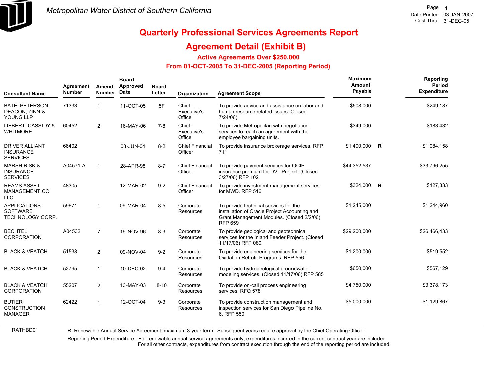

RATHBD01

# **Quarterly Professional Services Agreements Report**

#### **Agreement Detail (Exhibit B)**

**Active Agreements Over \$250,000**

#### **From 01-OCT-2005 To 31-DEC-2005 (Reporting Period)**

| <b>Consultant Name</b>                                         | Agreement<br><b>Number</b> | Amend<br><b>Number</b>  | <b>Board</b><br>Approved<br>Date | <b>Board</b><br>Letter | Organization                      | <b>Agreement Scope</b>                                                                                                                                | Maximum<br>Amount<br>Payable | Reporting<br>Period<br><b>Expenditure</b> |
|----------------------------------------------------------------|----------------------------|-------------------------|----------------------------------|------------------------|-----------------------------------|-------------------------------------------------------------------------------------------------------------------------------------------------------|------------------------------|-------------------------------------------|
| BATE, PETERSON,<br>DEACON, ZINN &<br>YOUNG LLP                 | 71333                      | $\overline{1}$          | 11-OCT-05                        | 5F                     | Chief<br>Executive's<br>Office    | To provide advice and assistance on labor and<br>human resource related issues. Closed<br>7/24/06                                                     | \$508,000                    | \$249,187                                 |
| LIEBERT. CASSIDY &<br><b>WHITMORE</b>                          | 60452                      | $\overline{2}$          | 16-MAY-06                        | 7-8                    | Chief<br>Executive's<br>Office    | To provide Metropolitan with negotiation<br>services to reach an agreement with the<br>employee bargaining units.                                     | \$349,000                    | \$183,432                                 |
| <b>DRIVER ALLIANT</b><br><b>INSURANCE</b><br><b>SERVICES</b>   | 66402                      |                         | 08-JUN-04                        | $8 - 2$                | <b>Chief Financial</b><br>Officer | To provide insurance brokerage services. RFP<br>711                                                                                                   | \$1,400,000 R                | \$1,084,158                               |
| <b>MARSH RISK &amp;</b><br><b>INSURANCE</b><br><b>SERVICES</b> | A04571-A                   | $\overline{\mathbf{1}}$ | 28-APR-98                        | $8 - 7$                | <b>Chief Financial</b><br>Officer | To provide payment services for OCIP<br>insurance premium for DVL Project. (Closed<br>3/27/06) RFP 102                                                | \$44,352,537                 | \$33,796,255                              |
| <b>REAMS ASSET</b><br>MANAGEMENT CO.<br><b>LLC</b>             | 48305                      |                         | 12-MAR-02                        | $9 - 2$                | <b>Chief Financial</b><br>Officer | To provide investment management services<br>for MWD, RFP 516                                                                                         | \$324,000 R                  | \$127,333                                 |
| <b>APPLICATIONS</b><br><b>SOFTWARE</b><br>TECHNOLOGY CORP.     | 59671                      | $\mathbf{1}$            | 09-MAR-04                        | $8-5$                  | Corporate<br>Resources            | To provide technical services for the<br>installation of Oracle Project Accounting and<br>Grant Management Modules. (Closed 2/2/06)<br><b>RFP 659</b> | \$1,245,000                  | \$1,244,960                               |
| <b>BECHTEL</b><br><b>CORPORATION</b>                           | A04532                     | $\overline{7}$          | 19-NOV-96                        | $8 - 3$                | Corporate<br>Resources            | To provide geological and geotechnical<br>services for the Inland Feeder Project. (Closed<br>11/17/06) RFP 080                                        | \$29,200,000                 | \$26,466,433                              |
| <b>BLACK &amp; VEATCH</b>                                      | 51538                      | 2                       | 09-NOV-04                        | $9 - 2$                | Corporate<br>Resources            | To provide engineering services for the<br>Oxidation Retrofit Programs. RFP 556                                                                       | \$1,200,000                  | \$519,552                                 |
| <b>BLACK &amp; VEATCH</b>                                      | 52795                      | $\mathbf{1}$            | 10-DEC-02                        | $9 - 4$                | Corporate<br>Resources            | To provide hydrogeological groundwater<br>modeling services. (Closed 11/17/06) RFP 585                                                                | \$650,000                    | \$567,129                                 |
| <b>BLACK &amp; VEATCH</b><br><b>CORPORATION</b>                | 55207                      | 2                       | 13-MAY-03                        | $8 - 10$               | Corporate<br><b>Resources</b>     | To provide on-call process engineering<br>services. RFQ 578                                                                                           | \$4,750,000                  | \$3,378,173                               |
| <b>BUTIER</b><br><b>CONSTRUCTION</b><br><b>MANAGER</b>         | 62422                      | $\mathbf{1}$            | 12-OCT-04                        | $9 - 3$                | Corporate<br>Resources            | To provide construction management and<br>inspection services for San Diego Pipeline No.<br>6. RFP 550                                                | \$5,000,000                  | \$1,129,867                               |

R=Renewable Annual Service Agreement, maximum 3-year term. Subsequent years require approval by the Chief Operating Officer.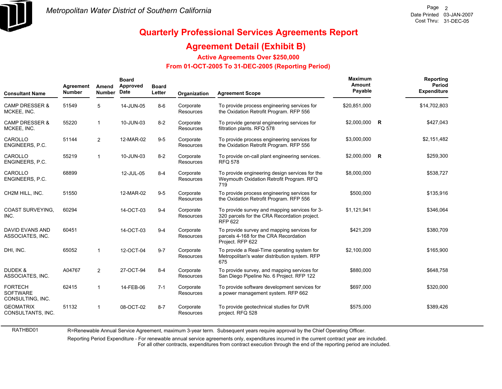

RATHBD01

# **Quarterly Professional Services Agreements Report**

#### **Agreement Detail (Exhibit B)**

**Active Agreements Over \$250,000**

#### **From 01-OCT-2005 To 31-DEC-2005 (Reporting Period)**

| <b>Consultant Name</b>                                | Agreement<br><b>Number</b> | Amend<br><b>Number</b> | <b>Board</b><br>Approved<br>Date | <b>Board</b><br>Letter | Organization           | <b>Agreement Scope</b>                                                                                          | Maximum<br>Amount<br>Payable | Reporting<br><b>Period</b><br><b>Expenditure</b> |
|-------------------------------------------------------|----------------------------|------------------------|----------------------------------|------------------------|------------------------|-----------------------------------------------------------------------------------------------------------------|------------------------------|--------------------------------------------------|
| <b>CAMP DRESSER &amp;</b><br>MCKEE, INC.              | 51549                      | 5                      | 14-JUN-05                        | $8-6$                  | Corporate<br>Resources | To provide process engineering services for<br>the Oxidation Retrofit Program. RFP 556                          | \$20,851,000                 | \$14,702,803                                     |
| <b>CAMP DRESSER &amp;</b><br>MCKEE, INC.              | 55220                      | $\mathbf{1}$           | 10-JUN-03                        | $8 - 2$                | Corporate<br>Resources | To provide general engineering services for<br>filtration plants. RFQ 578                                       | \$2,000,000 R                | \$427,043                                        |
| CAROLLO<br>ENGINEERS, P.C.                            | 51144                      | 2                      | 12-MAR-02                        | $9-5$                  | Corporate<br>Resources | To provide process engineering services for<br>the Oxidation Retrofit Program. RFP 556                          | \$3,000,000                  | \$2,151,482                                      |
| CAROLLO<br>ENGINEERS, P.C.                            | 55219                      | $\mathbf{1}$           | 10-JUN-03                        | $8-2$                  | Corporate<br>Resources | To provide on-call plant engineering services.<br><b>RFQ 578</b>                                                | \$2,000,000 R                | \$259,300                                        |
| CAROLLO<br>ENGINEERS, P.C.                            | 68899                      |                        | 12-JUL-05                        | $8 - 4$                | Corporate<br>Resources | To provide engineering design services for the<br>Weymouth Oxidation Retrofit Program. RFQ<br>719               | \$8,000,000                  | \$538,727                                        |
| CH2M HILL, INC.                                       | 51550                      |                        | 12-MAR-02                        | $9 - 5$                | Corporate<br>Resources | To provide process engineering services for<br>the Oxidation Retrofit Program. RFP 556                          | \$500,000                    | \$135,916                                        |
| <b>COAST SURVEYING.</b><br>INC.                       | 60294                      |                        | 14-OCT-03                        | $9 - 4$                | Corporate<br>Resources | To provide survey and mapping services for 3-<br>320 parcels for the CRA Recordation project.<br><b>RFP 622</b> | \$1,121,941                  | \$346,064                                        |
| <b>DAVID EVANS AND</b><br>ASSOCIATES, INC.            | 60451                      |                        | 14-OCT-03                        | $9 - 4$                | Corporate<br>Resources | To provide survey and mapping services for<br>parcels 4-168 for the CRA Recordation<br>Project. RFP 622         | \$421,209                    | \$380,709                                        |
| DHI, INC.                                             | 65052                      | $\mathbf{1}$           | 12-OCT-04                        | $9 - 7$                | Corporate<br>Resources | To provide a Real-Time operating system for<br>Metropolitan's water distribution system. RFP<br>675             | \$2,100,000                  | \$165,900                                        |
| DUDEK &<br>ASSOCIATES, INC.                           | A04767                     | 2                      | 27-OCT-94                        | $8 - 4$                | Corporate<br>Resources | To provide survey, and mapping services for<br>San Diego Pipeline No. 6 Project. RFP 122                        | \$880,000                    | \$648,758                                        |
| <b>FORTECH</b><br><b>SOFTWARE</b><br>CONSULTING, INC. | 62415                      | $\mathbf{1}$           | 14-FEB-06                        | $7 - 1$                | Corporate<br>Resources | To provide software development services for<br>a power management system. RFP 662                              | \$697,000                    | \$320,000                                        |
| <b>GEOMATRIX</b><br>CONSULTANTS, INC.                 | 51132                      | $\mathbf{1}$           | 08-OCT-02                        | $8 - 7$                | Corporate<br>Resources | To provide geotechnical studies for DVR<br>project. RFQ 528                                                     | \$575,000                    | \$389,426                                        |

R=Renewable Annual Service Agreement, maximum 3-year term. Subsequent years require approval by the Chief Operating Officer.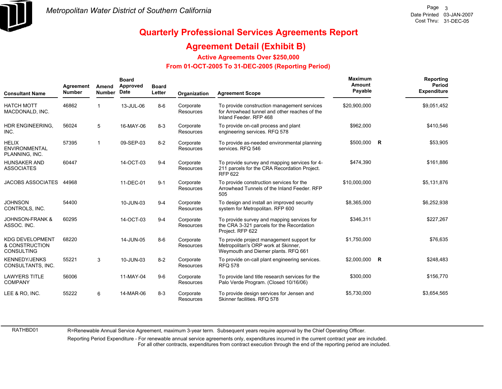

#### **Agreement Detail (Exhibit B)**

**Active Agreements Over \$250,000**

#### **From 01-OCT-2005 To 31-DEC-2005 (Reporting Period)**

| <b>Consultant Name</b>                                        | Agreement<br><b>Number</b> | Amend<br><b>Number</b> | <b>Board</b><br>Approved<br>Date | <b>Board</b><br>Letter | Organization                  | <b>Agreement Scope</b>                                                                                                  | Maximum<br>Amount<br>Payable |             | Reporting<br>Period<br><b>Expenditure</b> |
|---------------------------------------------------------------|----------------------------|------------------------|----------------------------------|------------------------|-------------------------------|-------------------------------------------------------------------------------------------------------------------------|------------------------------|-------------|-------------------------------------------|
| <b>HATCH MOTT</b><br>MACDONALD, INC.                          | 46862                      |                        | 13-JUL-06                        | $8 - 6$                | Corporate<br>Resources        | To provide construction management services<br>for Arrowhead tunnel and other reaches of the<br>Inland Feeder, RFP 468  | \$20,900,000                 |             | \$9,051,452                               |
| HDR ENGINEERING,<br>INC.                                      | 56024                      | 5                      | 16-MAY-06                        | $8 - 3$                | Corporate<br>Resources        | To provide on-call process and plant<br>engineering services. RFQ 578                                                   | \$962,000                    |             | \$410,546                                 |
| <b>HELIX</b><br><b>ENVIRONMENTAL</b><br>PLANNING, INC.        | 57395                      | 1                      | 09-SEP-03                        | $8 - 2$                | Corporate<br><b>Resources</b> | To provide as-needed environmental planning<br>services. RFQ 546                                                        | \$500,000                    | <b>R</b>    | \$53,905                                  |
| <b>HUNSAKER AND</b><br><b>ASSOCIATES</b>                      | 60447                      |                        | 14-OCT-03                        | $9 - 4$                | Corporate<br><b>Resources</b> | To provide survey and mapping services for 4-<br>211 parcels for the CRA Recordation Project.<br><b>RFP 622</b>         | \$474,390                    |             | \$161,886                                 |
| JACOBS ASSOCIATES 44968                                       |                            |                        | 11-DEC-01                        | $9 - 1$                | Corporate<br><b>Resources</b> | To provide construction services for the<br>Arrowhead Tunnels of the Inland Feeder, RFP<br>505                          | \$10,000,000                 |             | \$5,131,876                               |
| <b>JOHNSON</b><br>CONTROLS, INC.                              | 54400                      |                        | 10-JUN-03                        | $9 - 4$                | Corporate<br>Resources        | To design and install an improved security<br>system for Metropolitan. RFP 600                                          | \$8,365,000                  |             | \$6,252,938                               |
| <b>JOHNSON-FRANK &amp;</b><br>ASSOC. INC.                     | 60295                      |                        | 14-OCT-03                        | $9 - 4$                | Corporate<br><b>Resources</b> | To provide survey and mapping services for<br>the CRA 3-321 parcels for the Recordation<br>Project. RFP 622             | \$346,311                    |             | \$227,267                                 |
| <b>KDG DEVELOPMENT</b><br>& CONSTRUCTION<br><b>CONSULTING</b> | 68220                      |                        | 14-JUN-05                        | $8 - 6$                | Corporate<br><b>Resources</b> | To provide project management support for<br>Metropolitan's ORP work at Skinner,<br>Weymouth and Diemer plants. RFQ 661 | \$1,750,000                  |             | \$76,635                                  |
| <b>KENNEDY/JENKS</b><br>CONSULTANTS, INC.                     | 55221                      | 3                      | 10-JUN-03                        | $8 - 2$                | Corporate<br><b>Resources</b> | To provide on-call plant engineering services.<br><b>RFQ 578</b>                                                        | \$2,000,000                  | $\mathbf R$ | \$248,483                                 |
| <b>LAWYERS TITLE</b><br><b>COMPANY</b>                        | 56006                      |                        | 11-MAY-04                        | $9-6$                  | Corporate<br>Resources        | To provide land title research services for the<br>Palo Verde Program. (Closed 10/16/06)                                | \$300,000                    |             | \$156,770                                 |
| LEE & RO, INC.                                                | 55222                      | 6                      | 14-MAR-06                        | $8 - 3$                | Corporate<br><b>Resources</b> | To provide design services for Jensen and<br>Skinner facilities, RFQ 578                                                | \$5,730,000                  |             | \$3,654,565                               |

RATHBD01

R=Renewable Annual Service Agreement, maximum 3-year term. Subsequent years require approval by the Chief Operating Officer.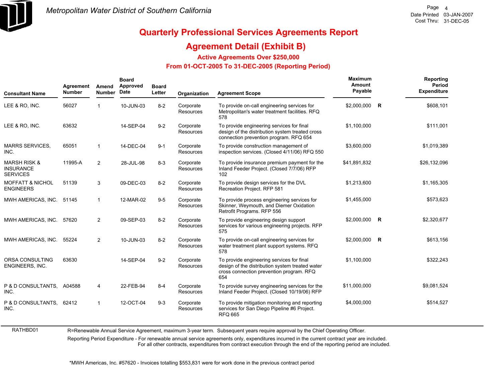

RATHBD01

# **Quarterly Professional Services Agreements Report**

#### **Agreement Detail (Exhibit B)**

**Active Agreements Over \$250,000**

#### **From 01-OCT-2005 To 31-DEC-2005 (Reporting Period)**

| <b>Consultant Name</b>                                         | Agreement<br><b>Number</b> | Amend<br><b>Number</b> | <b>Board</b><br>Approved<br>Date | <b>Board</b><br>Letter | Organization                  | <b>Agreement Scope</b>                                                                                                                          | Maximum<br>Amount<br>Payable |   | Reporting<br>Period<br><b>Expenditure</b> |
|----------------------------------------------------------------|----------------------------|------------------------|----------------------------------|------------------------|-------------------------------|-------------------------------------------------------------------------------------------------------------------------------------------------|------------------------------|---|-------------------------------------------|
| LEE & RO, INC.                                                 | 56027                      |                        | 10-JUN-03                        | $8 - 2$                | Corporate<br><b>Resources</b> | To provide on-call engineering services for<br>Metropolitan's water treatment facilities. RFQ<br>578                                            | \$2,000,000                  | R | \$608,101                                 |
| LEE & RO, INC.                                                 | 63632                      |                        | 14-SEP-04                        | $9 - 2$                | Corporate<br>Resources        | To provide engineering services for final<br>design of the distribution system treated cross<br>connection prevention program. RFQ 654          | \$1,100,000                  |   | \$111,001                                 |
| <b>MARRS SERVICES,</b><br>INC.                                 | 65051                      |                        | 14-DEC-04                        | $9 - 1$                | Corporate<br>Resources        | To provide construction management of<br>inspection services. (Closed 4/11/06) RFQ 550                                                          | \$3,600,000                  |   | \$1,019,389                               |
| <b>MARSH RISK &amp;</b><br><b>INSURANCE</b><br><b>SERVICES</b> | 11995-A                    | $\overline{2}$         | 28-JUL-98                        | $8 - 3$                | Corporate<br><b>Resources</b> | To provide insurance premium payment for the<br>Inland Feeder Project. (Closed 7/7/06) RFP<br>102                                               | \$41,891,832                 |   | \$26,132,096                              |
| <b>MOFFATT &amp; NICHOL</b><br><b>ENGINEERS</b>                | 51139                      | 3                      | 09-DEC-03                        | $8 - 2$                | Corporate<br><b>Resources</b> | To provide design services for the DVL<br>Recreation Project. RFP 581                                                                           | \$1,213,600                  |   | \$1,165,305                               |
| MWH AMERICAS, INC.                                             | 51145                      |                        | 12-MAR-02                        | $9-5$                  | Corporate<br><b>Resources</b> | To provide process engineering services for<br>Skinner, Weymouth, and Diemer Oxidation<br>Retrofit Programs. RFP 556                            | \$1,455,000                  |   | \$573,623                                 |
| MWH AMERICAS, INC.                                             | 57620                      | $\overline{2}$         | 09-SEP-03                        | $8 - 2$                | Corporate<br><b>Resources</b> | To provide engineering design support<br>services for various engineering projects. RFP<br>575                                                  | \$2,000,000 R                |   | \$2,320,677                               |
| MWH AMERICAS, INC.                                             | 55224                      | $\overline{2}$         | 10-JUN-03                        | $8 - 2$                | Corporate<br><b>Resources</b> | To provide on-call engineering services for<br>water treatment plant support systems. RFQ<br>578                                                | \$2,000,000 R                |   | \$613,156                                 |
| ORSA CONSULTING<br>ENGINEERS, INC.                             | 63630                      |                        | 14-SEP-04                        | $9 - 2$                | Corporate<br><b>Resources</b> | To provide engineering services for final<br>design of the distribution system treated water<br>cross connection prevention program. RFQ<br>654 | \$1,100,000                  |   | \$322,243                                 |
| P & D CONSULTANTS. A04588<br>INC.                              |                            | 4                      | 22-FEB-94                        | $8 - 4$                | Corporate<br>Resources        | To provide survey engineering services for the<br>Inland Feeder Project. (Closed 10/19/06) RFP                                                  | \$11,000,000                 |   | \$9,081,524                               |
| P & D CONSULTANTS.<br>INC.                                     | 62412                      | -1                     | 12-OCT-04                        | $9 - 3$                | Corporate<br><b>Resources</b> | To provide mitigation monitoring and reporting<br>services for San Diego Pipeline #6 Project.<br><b>RFQ 665</b>                                 | \$4,000,000                  |   | \$514,527                                 |

R=Renewable Annual Service Agreement, maximum 3-year term. Subsequent years require approval by the Chief Operating Officer.

Reporting Period Expenditure - For renewable annual service agreements only, expenditures incurred in the current contract year are included.

For all other contracts, expenditures from contract execution through the end of the reporting period are included.

\*MWH Americas, Inc. #57620 - Invoices totalling \$553,831 were for work done in the previous contract period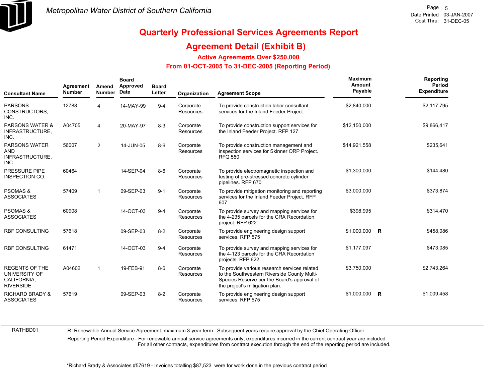

#### **Agreement Detail (Exhibit B)**

**Active Agreements Over \$250,000**

#### **From 01-OCT-2005 To 31-DEC-2005 (Reporting Period)**

| <b>Consultant Name</b>                                                    | Agreement<br><b>Number</b> | Amend<br><b>Number</b> | <b>Board</b><br>Approved<br>Date | <b>Board</b><br>Letter | Organization                  | <b>Agreement Scope</b>                                                                                                                                                       | Maximum<br>Amount<br>Payable |              | Reporting<br>Period<br><b>Expenditure</b> |
|---------------------------------------------------------------------------|----------------------------|------------------------|----------------------------------|------------------------|-------------------------------|------------------------------------------------------------------------------------------------------------------------------------------------------------------------------|------------------------------|--------------|-------------------------------------------|
| <b>PARSONS</b><br>CONSTRUCTORS.<br>INC.                                   | 12788                      | 4                      | 14-MAY-99                        | $9 - 4$                | Corporate<br>Resources        | To provide construction labor consultant<br>services for the Inland Feeder Project.                                                                                          | \$2,840,000                  |              | \$2,117,795                               |
| <b>PARSONS WATER &amp;</b><br>INFRASTRUCTURE,<br>INC.                     | A04705                     | 4                      | 20-MAY-97                        | $8 - 3$                | Corporate<br><b>Resources</b> | To provide construction support services for<br>the Inland Feeder Project. RFP 127                                                                                           | \$12,150,000                 |              | \$9,866,417                               |
| <b>PARSONS WATER</b><br><b>AND</b><br>INFRASTRUCTURE,<br>INC.             | 56007                      | $\overline{2}$         | 14-JUN-05                        | $8 - 6$                | Corporate<br><b>Resources</b> | To provide construction management and<br>inspection services for Skinner ORP Project.<br><b>RFQ 550</b>                                                                     | \$14.921.558                 |              | \$235,641                                 |
| PRESSURE PIPE<br>INSPECTION CO.                                           | 60464                      |                        | 14-SEP-04                        | $8 - 6$                | Corporate<br>Resources        | To provide electromagnetic inspection and<br>testing of pre-stressed concrete cylinder<br>pipelines. RFP 670                                                                 | \$1,300,000                  |              | \$144,480                                 |
| <b>PSOMAS &amp;</b><br><b>ASSOCIATES</b>                                  | 57409                      | 1                      | 09-SEP-03                        | $9 - 1$                | Corporate<br><b>Resources</b> | To provide mitigation monitoring and reporting<br>services for the Inland Feeder Project. RFP<br>607                                                                         | \$3,000,000                  |              | \$373,874                                 |
| <b>PSOMAS &amp;</b><br><b>ASSOCIATES</b>                                  | 60908                      |                        | 14-OCT-03                        | $9 - 4$                | Corporate<br><b>Resources</b> | To provide survey and mapping services for<br>the 4-235 parcels for the CRA Recordation<br>project. RFP 622                                                                  | \$398,995                    |              | \$314,470                                 |
| <b>RBF CONSULTING</b>                                                     | 57618                      |                        | 09-SEP-03                        | $8 - 2$                | Corporate<br><b>Resources</b> | To provide engineering design support<br>services. RFP 575                                                                                                                   | \$1,000,000                  | $\mathsf{R}$ | \$458,086                                 |
| <b>RBF CONSULTING</b>                                                     | 61471                      |                        | 14-OCT-03                        | $9 - 4$                | Corporate<br>Resources        | To provide survey and mapping services for<br>the 4-123 parcels for the CRA Recordation<br>projects. RFP 622                                                                 | \$1,177,097                  |              | \$473,085                                 |
| <b>REGENTS OF THE</b><br>UNIVERSITY OF<br>CALIFORNIA,<br><b>RIVERSIDE</b> | A04602                     | $\mathbf{1}$           | 19-FEB-91                        | $8 - 6$                | Corporate<br><b>Resources</b> | To provide various research services related<br>to the Southwestern Riverside County Multi-<br>Species Reserve per the Board's approval of<br>the project's mitigation plan. | \$3,750,000                  |              | \$2,743,264                               |
| <b>RICHARD BRADY &amp;</b><br><b>ASSOCIATES</b>                           | 57619                      |                        | 09-SEP-03                        | $8 - 2$                | Corporate<br><b>Resources</b> | To provide engineering design support<br>services. RFP 575                                                                                                                   | \$1.000.000                  | R            | \$1,009,458                               |

RATHBD01

R=Renewable Annual Service Agreement, maximum 3-year term. Subsequent years require approval by the Chief Operating Officer.

Reporting Period Expenditure - For renewable annual service agreements only, expenditures incurred in the current contract year are included. For all other contracts, expenditures from contract execution through the end of the reporting period are included.

\*Richard Brady & Associates #57619 - Invoices totalling \$87,523 were for work done in the previous contract period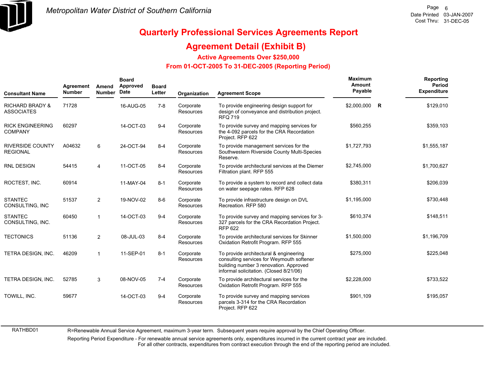

RATHBD01

# **Quarterly Professional Services Agreements Report**

#### **Agreement Detail (Exhibit B)**

**Active Agreements Over \$250,000**

#### **From 01-OCT-2005 To 31-DEC-2005 (Reporting Period)**

| <b>Consultant Name</b>                          | Agreement<br><b>Number</b> | Amend<br><b>Number</b> | <b>Board</b><br>Approved<br>Date | <b>Board</b><br>Letter | Organization                  | <b>Agreement Scope</b>                                                                                                                                                   | <b>Maximum</b><br>Amount<br>Payable | Reporting<br><b>Period</b><br>Expenditure |
|-------------------------------------------------|----------------------------|------------------------|----------------------------------|------------------------|-------------------------------|--------------------------------------------------------------------------------------------------------------------------------------------------------------------------|-------------------------------------|-------------------------------------------|
| <b>RICHARD BRADY &amp;</b><br><b>ASSOCIATES</b> | 71728                      |                        | 16-AUG-05                        | $7 - 8$                | Corporate<br><b>Resources</b> | To provide engineering design support for<br>design of conveyance and distribution project.<br><b>RFQ 719</b>                                                            | \$2,000,000 R                       | \$129,010                                 |
| <b>RICK ENGINEERING</b><br><b>COMPANY</b>       | 60297                      |                        | 14-OCT-03                        | $9 - 4$                | Corporate<br><b>Resources</b> | To provide survey and mapping services for<br>the 4-092 parcels for the CRA Recordation<br>Project. RFP 622                                                              | \$560,255                           | \$359,103                                 |
| <b>RIVERSIDE COUNTY</b><br><b>REGIONAL</b>      | A04632                     | 6                      | 24-OCT-94                        | $8 - 4$                | Corporate<br><b>Resources</b> | To provide management services for the<br>Southwestern Riverside County Multi-Species<br>Reserve.                                                                        | \$1.727.793                         | \$1,555,187                               |
| <b>RNL DESIGN</b>                               | 54415                      | 4                      | 11-OCT-05                        | $8 - 4$                | Corporate<br><b>Resources</b> | To provide architectural services at the Diemer<br>Filtration plant. RFP 555                                                                                             | \$2,745,000                         | \$1,700,627                               |
| ROCTEST, INC.                                   | 60914                      |                        | 11-MAY-04                        | $8 - 1$                | Corporate<br>Resources        | To provide a system to record and collect data<br>on water seepage rates. RFP 628                                                                                        | \$380,311                           | \$206,039                                 |
| <b>STANTEC</b><br>CONSULTING, INC               | 51537                      | $\overline{2}$         | 19-NOV-02                        | $8-6$                  | Corporate<br><b>Resources</b> | To provide infrastructure design on DVL<br>Recreation, RFP 580                                                                                                           | \$1,195,000                         | \$730,448                                 |
| <b>STANTEC</b><br>CONSULTING, INC.              | 60450                      |                        | 14-OCT-03                        | $9 - 4$                | Corporate<br><b>Resources</b> | To provide survey and mapping services for 3-<br>327 parcels for the CRA Recordation Project.<br><b>RFP 622</b>                                                          | \$610,374                           | \$148,511                                 |
| <b>TECTONICS</b>                                | 51136                      | $\overline{2}$         | 08-JUL-03                        | $8 - 4$                | Corporate<br><b>Resources</b> | To provide architectural services for Skinner<br>Oxidation Retrofit Program. RFP 555                                                                                     | \$1,500,000                         | \$1,196,709                               |
| TETRA DESIGN, INC.                              | 46209                      | $\mathbf 1$            | 11-SEP-01                        | $8 - 1$                | Corporate<br><b>Resources</b> | To provide architectural & engineering<br>consulting services for Weymouth softener<br>building number 3 renovation. Approved<br>informal solicitation. (Closed 8/21/06) | \$275,000                           | \$225,048                                 |
| TETRA DESIGN, INC.                              | 52785                      | 3                      | 08-NOV-05                        | $7 - 4$                | Corporate<br>Resources        | To provide architectural services for the<br>Oxidation Retrofit Program. RFP 555                                                                                         | \$2,228,000                         | \$733,522                                 |
| TOWILL, INC.                                    | 59677                      |                        | 14-OCT-03                        | $9 - 4$                | Corporate<br>Resources        | To provide survey and mapping services<br>parcels 3-314 for the CRA Recordation<br>Project. RFP 622                                                                      | \$901,109                           | \$195,057                                 |

R=Renewable Annual Service Agreement, maximum 3-year term. Subsequent years require approval by the Chief Operating Officer.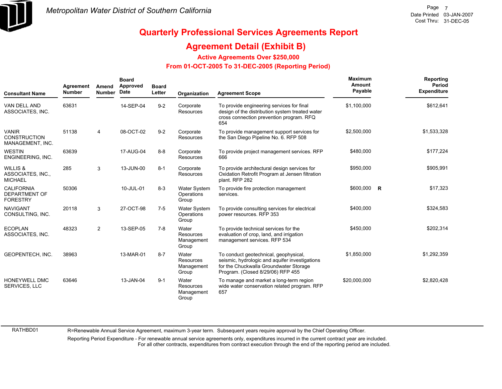

#### **Agreement Detail (Exhibit B)**

**Active Agreements Over \$250,000**

#### **From 01-OCT-2005 To 31-DEC-2005 (Reporting Period)**

| <b>Consultant Name</b>                                       | Agreement<br><b>Number</b> | Amend<br><b>Number</b> | <b>Board</b><br>Approved<br>Date | <b>Board</b><br>Letter | Organization                               | <b>Agreement Scope</b>                                                                                                                                                 | Maximum<br>Amount<br>Payable |              | Reporting<br>Period<br><b>Expenditure</b> |
|--------------------------------------------------------------|----------------------------|------------------------|----------------------------------|------------------------|--------------------------------------------|------------------------------------------------------------------------------------------------------------------------------------------------------------------------|------------------------------|--------------|-------------------------------------------|
| VAN DELL AND<br>ASSOCIATES, INC.                             | 63631                      |                        | 14-SEP-04                        | $9 - 2$                | Corporate<br>Resources                     | To provide engineering services for final<br>design of the distribution system treated water<br>cross connection prevention program. RFQ<br>654                        | \$1.100.000                  |              | \$612,641                                 |
| <b>VANIR</b><br><b>CONSTRUCTION</b><br>MANAGEMENT, INC.      | 51138                      | 4                      | 08-OCT-02                        | $9 - 2$                | Corporate<br>Resources                     | To provide management support services for<br>the San Diego Pipeline No. 6. RFP 508                                                                                    | \$2,500,000                  |              | \$1,533,328                               |
| <b>WESTIN</b><br>ENGINEERING, INC.                           | 63639                      |                        | 17-AUG-04                        | $8 - 8$                | Corporate<br>Resources                     | To provide project management services. RFP<br>666                                                                                                                     | \$480,000                    |              | \$177,224                                 |
| WILLIS &<br>ASSOCIATES, INC.,<br><b>MICHAEL</b>              | 285                        | 3                      | 13-JUN-00                        | $8 - 1$                | Corporate<br>Resources                     | To provide architectural design services for<br>Oxidation Retrofit Program at Jensen filtration<br>plant. RFP 282                                                      | \$950,000                    |              | \$905,991                                 |
| <b>CALIFORNIA</b><br><b>DEPARTMENT OF</b><br><b>FORESTRY</b> | 50306                      |                        | 10-JUL-01                        | $8 - 3$                | <b>Water System</b><br>Operations<br>Group | To provide fire protection management<br>services.                                                                                                                     | \$600,000                    | $\mathsf{R}$ | \$17,323                                  |
| <b>NAVIGANT</b><br>CONSULTING, INC.                          | 20118                      | 3                      | 27-OCT-98                        | $7 - 5$                | <b>Water System</b><br>Operations<br>Group | To provide consulting services for electrical<br>power resources. RFP 353                                                                                              | \$400,000                    |              | \$324,583                                 |
| <b>ECOPLAN</b><br>ASSOCIATES, INC.                           | 48323                      | $\overline{2}$         | 13-SEP-05                        | $7 - 8$                | Water<br>Resources<br>Management<br>Group  | To provide technical services for the<br>evaluation of crop, land, and irrigation<br>management services. RFP 534                                                      | \$450,000                    |              | \$202,314                                 |
| <b>GEOPENTECH. INC.</b>                                      | 38963                      |                        | 13-MAR-01                        | $8 - 7$                | Water<br>Resources<br>Management<br>Group  | To conduct geotechnical, geophysical,<br>seismic, hydrologic and aquifer investigations<br>for the Chuckwalla Groundwater Storage<br>Program. (Closed 8/29/06) RFP 455 | \$1,850,000                  |              | \$1,292,359                               |
| HONEYWELL DMC<br>SERVICES, LLC                               | 63646                      |                        | 13-JAN-04                        | $9 - 1$                | Water<br>Resources<br>Management<br>Group  | To manage and market a long-term region<br>wide water conservation related program. RFP<br>657                                                                         | \$20,000,000                 |              | \$2,820,428                               |

RATHBD01

R=Renewable Annual Service Agreement, maximum 3-year term. Subsequent years require approval by the Chief Operating Officer.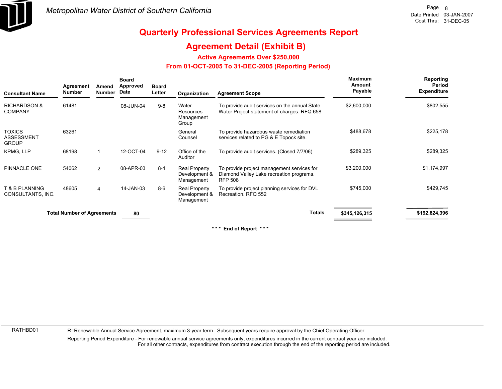

#### **Agreement Detail (Exhibit B)**

**Active Agreements Over \$250,000**

#### **From 01-OCT-2005 To 31-DEC-2005 (Reporting Period)**

| <b>Consultant Name</b>                             | Agreement<br><b>Number</b>        | Amend<br><b>Number</b> | <b>Board</b><br>Approved<br>Date | <b>Board</b><br>Letter | Organization                                 | <b>Agreement Scope</b>                                                                                   | <b>Maximum</b><br>Amount<br>Payable | Reporting<br>Period<br><b>Expenditure</b> |
|----------------------------------------------------|-----------------------------------|------------------------|----------------------------------|------------------------|----------------------------------------------|----------------------------------------------------------------------------------------------------------|-------------------------------------|-------------------------------------------|
| <b>RICHARDSON &amp;</b><br><b>COMPANY</b>          | 61481                             |                        | 08-JUN-04                        | $9 - 8$                | Water<br>Resources<br>Management<br>Group    | To provide audit services on the annual State<br>Water Project statement of charges. RFQ 658             | \$2,600,000                         | \$802,555                                 |
| <b>TOXICS</b><br><b>ASSESSMENT</b><br><b>GROUP</b> | 63261                             |                        |                                  |                        | General<br>Counsel                           | To provide hazardous waste remediation<br>services related to PG & E Topock site.                        | \$488,678                           | \$225,178                                 |
| KPMG, LLP                                          | 68198                             |                        | 12-OCT-04                        | $9 - 12$               | Office of the<br>Auditor                     | To provide audit services. (Closed 7/7/06)                                                               | \$289,325                           | \$289,325                                 |
| PINNACLE ONE                                       | 54062                             | $\overline{2}$         | 08-APR-03                        | $8 - 4$                | Real Property<br>Development &<br>Management | To provide project management services for<br>Diamond Valley Lake recreation programs.<br><b>RFP 508</b> | \$3,200,000                         | \$1,174,997                               |
| T & B PLANNING<br>CONSULTANTS, INC.                | 48605                             | 4                      | 14-JAN-03                        | $8-6$                  | Real Property<br>Development &<br>Management | To provide project planning services for DVL<br>Recreation, RFQ 552                                      | \$745,000                           | \$429,745                                 |
|                                                    | <b>Total Number of Agreements</b> |                        | 80                               |                        |                                              | <b>Totals</b>                                                                                            | \$345,126,315                       | \$192,824,396                             |

**\* \* \* End of Report \* \* \***

RATHBD01

R=Renewable Annual Service Agreement, maximum 3-year term. Subsequent years require approval by the Chief Operating Officer.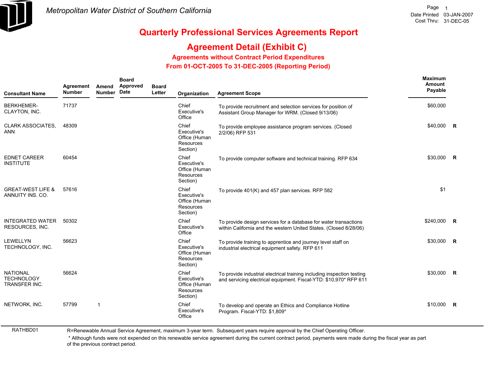

# **Agreement Detail (Exhibit C)**

**Agreements without Contract Period Expenditures**

 **From 01-OCT-2005 To 31-DEC-2005 (Reporting Period)** 

| <b>Consultant Name</b>                                | Agreement<br><b>Number</b> | Amend<br><b>Number</b> | <b>Board</b><br>Approved<br>Date | <b>Board</b><br>Letter | Organization                                                   | <b>Agreement Scope</b>                                                                                                                      | Maximum<br>Amount<br>Payable |                |
|-------------------------------------------------------|----------------------------|------------------------|----------------------------------|------------------------|----------------------------------------------------------------|---------------------------------------------------------------------------------------------------------------------------------------------|------------------------------|----------------|
| <b>BERKHEMER-</b><br>CLAYTON, INC.                    | 71737                      |                        |                                  |                        | Chief<br>Executive's<br>Office                                 | To provide recruitment and selection services for position of<br>Assistant Group Manager for WRM. (Closed 9/13/06)                          | \$60,000                     |                |
| <b>CLARK ASSOCIATES.</b><br><b>ANN</b>                | 48309                      |                        |                                  |                        | Chief<br>Executive's<br>Office (Human<br>Resources<br>Section) | To provide employee assistance program services. (Closed<br>2/2/06) RFP 531                                                                 | \$40,000 R                   |                |
| <b>EDNET CAREER</b><br><b>INSTITUTE</b>               | 60454                      |                        |                                  |                        | Chief<br>Executive's<br>Office (Human<br>Resources<br>Section) | To provide computer software and technical training. RFP 634                                                                                | \$30,000 R                   |                |
| <b>GREAT-WEST LIFE &amp;</b><br>ANNUITY INS. CO.      | 57616                      |                        |                                  |                        | Chief<br>Executive's<br>Office (Human<br>Resources<br>Section) | To provide 401(K) and 457 plan services. RFP 582                                                                                            | \$1                          |                |
| INTEGRATED WATER<br>RESOURCES, INC.                   | 50302                      |                        |                                  |                        | Chief<br>Executive's<br>Office                                 | To provide design services for a database for water transactions<br>within California and the western United States. (Closed 8/28/06)       | \$240,000 R                  |                |
| <b>LEWELLYN</b><br>TECHNOLOGY, INC.                   | 56623                      |                        |                                  |                        | Chief<br>Executive's<br>Office (Human<br>Resources<br>Section) | To provide training to apprentice and journey level staff on<br>industrial electrical equipment safety. RFP 611                             | \$30,000                     | $\overline{R}$ |
| <b>NATIONAL</b><br><b>TECHNOLOGY</b><br>TRANSFER INC. | 56624                      |                        |                                  |                        | Chief<br>Executive's<br>Office (Human<br>Resources<br>Section) | To provide industrial electrical training including inspection testing<br>and servicing electrical equipment. Fiscal-YTD: \$10,970* RFP 611 | \$30,000 R                   |                |
| NETWORK, INC.                                         | 57799                      | -1                     |                                  |                        | Chief<br>Executive's<br>Office                                 | To develop and operate an Ethics and Compliance Hotline<br>Program. Fiscal-YTD: \$1,809*                                                    | $$10,000$ R                  |                |

RATHBD01 R=Renewable Annual Service Agreement, maximum 3-year term. Subsequent years require approval by the Chief Operating Officer.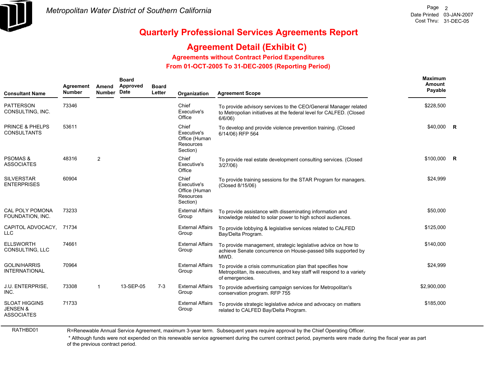

# **Agreement Detail (Exhibit C)**

**Agreements without Contract Period Expenditures**

 **From 01-OCT-2005 To 31-DEC-2005 (Reporting Period)** 

| <b>Consultant Name</b>                                           | Agreement<br><b>Number</b> | Amend<br><b>Number</b> | <b>Board</b><br>Approved<br>Date | <b>Board</b><br>Letter | Organization                                                   | <b>Agreement Scope</b>                                                                                                                                | Maximum<br><b>Amount</b><br>Payable |  |
|------------------------------------------------------------------|----------------------------|------------------------|----------------------------------|------------------------|----------------------------------------------------------------|-------------------------------------------------------------------------------------------------------------------------------------------------------|-------------------------------------|--|
| <b>PATTERSON</b><br>CONSULTING, INC.                             | 73346                      |                        |                                  |                        | Chief<br>Executive's<br>Office                                 | To provide advisory services to the CEO/General Manager related<br>to Metropolian initiatives at the federal level for CALFED. (Closed<br>$6/6/06$ )  | \$228,500                           |  |
| <b>PRINCE &amp; PHELPS</b><br><b>CONSULTANTS</b>                 | 53611                      |                        |                                  |                        | Chief<br>Executive's<br>Office (Human<br>Resources<br>Section) | To develop and provide violence prevention training. (Closed<br>6/14/06) RFP 564                                                                      | $$40.000$ R                         |  |
| <b>PSOMAS &amp;</b><br><b>ASSOCIATES</b>                         | 48316                      | $\overline{2}$         |                                  |                        | Chief<br>Executive's<br>Office                                 | To provide real estate development consulting services. (Closed<br>3/27/06                                                                            | \$100,000 R                         |  |
| <b>SILVERSTAR</b><br><b>ENTERPRISES</b>                          | 60904                      |                        |                                  |                        | Chief<br>Executive's<br>Office (Human<br>Resources<br>Section) | To provide training sessions for the STAR Program for managers.<br>(Closed 8/15/06)                                                                   | \$24,999                            |  |
| CAL POLY POMONA<br>FOUNDATION, INC.                              | 73233                      |                        |                                  |                        | <b>External Affairs</b><br>Group                               | To provide assistance with disseminating information and<br>knowledge related to solar power to high school audiences.                                | \$50,000                            |  |
| CAPITOL ADVOCACY,<br><b>LLC</b>                                  | 71734                      |                        |                                  |                        | <b>External Affairs</b><br>Group                               | To provide lobbying & legislative services related to CALFED<br>Bay/Delta Program.                                                                    | \$125,000                           |  |
| <b>ELLSWORTH</b><br>CONSULTING, LLC                              | 74661                      |                        |                                  |                        | <b>External Affairs</b><br>Group                               | To provide management, strategic legislative advice on how to<br>achieve Senate concurrence on House-passed bills supported by<br>MWD.                | \$140,000                           |  |
| <b>GOLIN/HARRIS</b><br><b>INTERNATIONAL</b>                      | 70964                      |                        |                                  |                        | <b>External Affairs</b><br>Group                               | To provide a crisis communication plan that specifies how<br>Metropolitan, its executives, and key staff will respond to a variety<br>of emergencies. | \$24,999                            |  |
| <b>J.U. ENTERPRISE,</b><br>INC.                                  | 73308                      | $\mathbf{1}$           | 13-SEP-05                        | $7-3$                  | <b>External Affairs</b><br>Group                               | To provide advertising campaign services for Metropolitan's<br>conservation program. RFP 755                                                          | \$2,900,000                         |  |
| <b>SLOAT HIGGINS</b><br><b>JENSEN &amp;</b><br><b>ASSOCIATES</b> | 71733                      |                        |                                  |                        | <b>External Affairs</b><br>Group                               | To provide strategic legislative advice and advocacy on matters<br>related to CALFED Bay/Delta Program.                                               | \$185,000                           |  |

RATHBD01

R=Renewable Annual Service Agreement, maximum 3-year term. Subsequent years require approval by the Chief Operating Officer.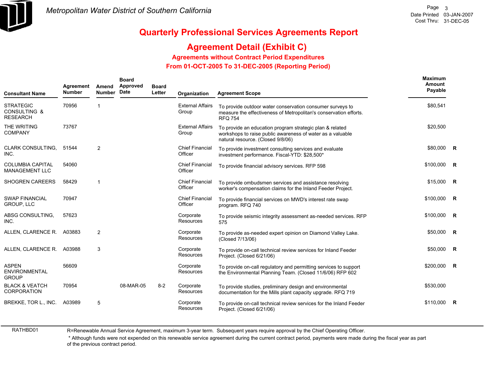

# **Agreement Detail (Exhibit C)**

**Agreements without Contract Period Expenditures**

 **From 01-OCT-2005 To 31-DEC-2005 (Reporting Period)** 

| <b>Consultant Name</b>                                         | Agreement<br><b>Number</b> | Amend<br><b>Number</b> | <b>Board</b><br>Approved<br>Date | <b>Board</b><br>Letter | Organization                      | <b>Agreement Scope</b>                                                                                                                                      | <b>Maximum</b><br>Amount<br>Payable |  |
|----------------------------------------------------------------|----------------------------|------------------------|----------------------------------|------------------------|-----------------------------------|-------------------------------------------------------------------------------------------------------------------------------------------------------------|-------------------------------------|--|
| <b>STRATEGIC</b><br><b>CONSULTING &amp;</b><br><b>RESEARCH</b> | 70956                      | 1                      |                                  |                        | <b>External Affairs</b><br>Group  | To provide outdoor water conservation consumer surveys to<br>measure the effectiveness of Metropolitan's conservation efforts.<br><b>RFQ 754</b>            | \$80,541                            |  |
| THE WRITING<br><b>COMPANY</b>                                  | 73767                      |                        |                                  |                        | <b>External Affairs</b><br>Group  | To provide an education program strategic plan & related<br>workshops to raise public awareness of water as a valuable<br>natural resource. (Closed 9/8/06) | \$20,500                            |  |
| <b>CLARK CONSULTING.</b><br>INC.                               | 51544                      | 2                      |                                  |                        | <b>Chief Financial</b><br>Officer | To provide investment consulting services and evaluate<br>investment performance. Fiscal-YTD: \$28,500*                                                     | \$80,000 R                          |  |
| <b>COLUMBIA CAPITAL</b><br><b>MANAGEMENT LLC</b>               | 54060                      |                        |                                  |                        | <b>Chief Financial</b><br>Officer | To provide financial advisory services. RFP 598                                                                                                             | \$100,000 R                         |  |
| <b>SHOGREN CAREERS</b>                                         | 58429                      | 1                      |                                  |                        | <b>Chief Financial</b><br>Officer | To provide ombudsmen services and assistance resolving<br>worker's compensation claims for the Inland Feeder Project.                                       | $$15,000$ R                         |  |
| <b>SWAP FINANCIAL</b><br><b>GROUP, LLC</b>                     | 70947                      |                        |                                  |                        | <b>Chief Financial</b><br>Officer | To provide financial services on MWD's interest rate swap<br>program. RFQ 740                                                                               | \$100,000 R                         |  |
| ABSG CONSULTING,<br>INC.                                       | 57623                      |                        |                                  |                        | Corporate<br><b>Resources</b>     | To provide seismic integrity assessment as-needed services. RFP<br>575                                                                                      | $$100,000$ R                        |  |
| ALLEN, CLARENCE R. A03883                                      |                            | $\overline{2}$         |                                  |                        | Corporate<br><b>Resources</b>     | To provide as-needed expert opinion on Diamond Valley Lake.<br>(Closed 7/13/06)                                                                             | \$50,000 R                          |  |
| ALLEN, CLARENCE R.                                             | A03988                     | 3                      |                                  |                        | Corporate<br><b>Resources</b>     | To provide on-call technical review services for Inland Feeder<br>Project. (Closed 6/21/06)                                                                 | \$50,000 R                          |  |
| <b>ASPEN</b><br><b>ENVIRONMENTAL</b><br><b>GROUP</b>           | 56609                      |                        |                                  |                        | Corporate<br>Resources            | To provide on-call regulatory and permitting services to support<br>the Environmental Planning Team. (Closed 11/6/06) RFP 602                               | \$200,000 R                         |  |
| <b>BLACK &amp; VEATCH</b><br>CORPORATION                       | 70954                      |                        | 08-MAR-05                        | $8 - 2$                | Corporate<br><b>Resources</b>     | To provide studies, preliminary design and environmental<br>documentation for the Mills plant capacity upgrade. RFQ 719                                     | \$530,000                           |  |
| BREKKE, TOR L., INC.                                           | A03989                     | 5                      |                                  |                        | Corporate<br>Resources            | To provide on-call technical review services for the Inland Feeder<br>Project. (Closed 6/21/06)                                                             | $$110.000$ R                        |  |

RATHBD01

R=Renewable Annual Service Agreement, maximum 3-year term. Subsequent years require approval by the Chief Operating Officer.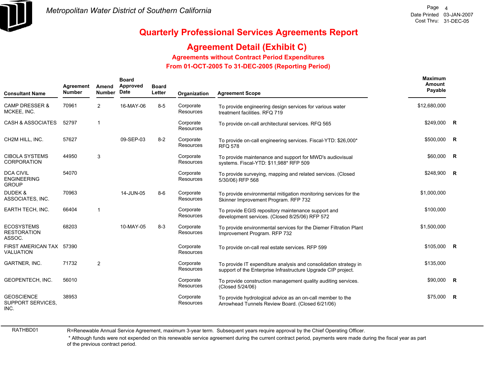

# **Agreement Detail (Exhibit C)**

#### **Agreements without Contract Period Expenditures**

 **From 01-OCT-2005 To 31-DEC-2005 (Reporting Period)** 

| <b>Consultant Name</b>                                 | Agreement<br><b>Number</b> | Amend<br><b>Number</b> | <b>Board</b><br>Approved<br>Date | <b>Board</b><br>Letter | Organization           | <b>Agreement Scope</b>                                                                                                            | Maximum<br>Amount<br>Payable |  |
|--------------------------------------------------------|----------------------------|------------------------|----------------------------------|------------------------|------------------------|-----------------------------------------------------------------------------------------------------------------------------------|------------------------------|--|
| <b>CAMP DRESSER &amp;</b><br>MCKEE, INC.               | 70961                      | $\overline{2}$         | 16-MAY-06                        | $8-5$                  | Corporate<br>Resources | To provide engineering design services for various water<br>treatment facilities. RFQ 719                                         | \$12,680,000                 |  |
| <b>CASH &amp; ASSOCIATES</b>                           | 52797                      | $\mathbf 1$            |                                  |                        | Corporate<br>Resources | To provide on-call architectural services. RFQ 565                                                                                | \$249,000 R                  |  |
| CH2M HILL, INC.                                        | 57627                      |                        | 09-SEP-03                        | $8 - 2$                | Corporate<br>Resources | To provide on-call engineering services. Fiscal-YTD: \$26,000*<br><b>RFQ 578</b>                                                  | \$500,000 R                  |  |
| <b>CIBOLA SYSTEMS</b><br><b>CORPORATION</b>            | 44950                      | 3                      |                                  |                        | Corporate<br>Resources | To provide maintenance and support for MWD's audiovisual<br>systems. Fiscal-YTD: \$11,988* RFP 509                                | \$60,000 R                   |  |
| <b>DCA CIVIL</b><br><b>ENGINEERING</b><br><b>GROUP</b> | 54070                      |                        |                                  |                        | Corporate<br>Resources | To provide surveying, mapping and related services. (Closed<br>5/30/06) RFP 568                                                   | \$248,900 R                  |  |
| <b>DUDEK &amp;</b><br>ASSOCIATES, INC.                 | 70963                      |                        | 14-JUN-05                        | $8-6$                  | Corporate<br>Resources | To provide environmental mitigation monitoring services for the<br>Skinner Improvement Program. RFP 732                           | \$1,000,000                  |  |
| <b>EARTH TECH, INC.</b>                                | 66404                      | $\mathbf{1}$           |                                  |                        | Corporate<br>Resources | To provide EGIS repository maintenance support and<br>development services. (Closed 8/25/06) RFP 572                              | \$100,000                    |  |
| <b>ECOSYSTEMS</b><br><b>RESTORATION</b><br>ASSOC.      | 68203                      |                        | 10-MAY-05                        | $8-3$                  | Corporate<br>Resources | To provide environmental services for the Diemer Filtration Plant<br>Improvement Program. RFP 732                                 | \$1,500,000                  |  |
| FIRST AMERICAN TAX 57390<br><b>VALUATION</b>           |                            |                        |                                  |                        | Corporate<br>Resources | To provide on-call real estate services. RFP 599                                                                                  | $$105,000$ R                 |  |
| GARTNER, INC.                                          | 71732                      | 2                      |                                  |                        | Corporate<br>Resources | To provide IT expenditure analysis and consolidation strategy in<br>support of the Enterprise Infrastructure Upgrade CIP project. | \$135,000                    |  |
| GEOPENTECH, INC.                                       | 56010                      |                        |                                  |                        | Corporate<br>Resources | To provide construction management quality auditing services.<br>(Closed 5/24/06)                                                 | \$90,000 R                   |  |
| <b>GEOSCIENCE</b><br><b>SUPPORT SERVICES.</b><br>INC.  | 38953                      |                        |                                  |                        | Corporate<br>Resources | To provide hydrological advice as an on-call member to the<br>Arrowhead Tunnels Review Board. (Closed 6/21/06)                    | $$75,000$ R                  |  |

RATHBD01

R=Renewable Annual Service Agreement, maximum 3-year term. Subsequent years require approval by the Chief Operating Officer.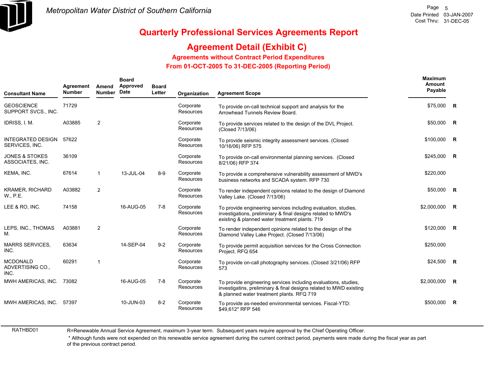

# **Agreement Detail (Exhibit C)**

**Agreements without Contract Period Expenditures**

 **From 01-OCT-2005 To 31-DEC-2005 (Reporting Period)** 

| <b>Consultant Name</b>                        | Agreement<br><b>Number</b> | Amend<br><b>Number</b> | <b>Board</b><br>Approved<br>Date | <b>Board</b><br>Letter | Organization                  | <b>Agreement Scope</b>                                                                                                                                                             | Maximum<br><b>Amount</b><br>Payable |                |
|-----------------------------------------------|----------------------------|------------------------|----------------------------------|------------------------|-------------------------------|------------------------------------------------------------------------------------------------------------------------------------------------------------------------------------|-------------------------------------|----------------|
| <b>GEOSCIENCE</b><br>SUPPORT SVCS., INC.      | 71729                      |                        |                                  |                        | Corporate<br>Resources        | To provide on-call technical support and analysis for the<br>Arrowhead Tunnels Review Board.                                                                                       | \$75,000 R                          |                |
| IDRISS, I. M.                                 | A03885                     | 2                      |                                  |                        | Corporate<br><b>Resources</b> | To provide services related to the design of the DVL Project.<br>(Closed 7/13/06)                                                                                                  | $$50,000$ R                         |                |
| <b>INTEGRATED DESIGN</b><br>SERVICES, INC.    | 57622                      |                        |                                  |                        | Corporate<br>Resources        | To provide seismic integrity assessment services. (Closed<br>10/16/06) RFP 575                                                                                                     | \$100,000                           | $\mathsf{R}$   |
| <b>JONES &amp; STOKES</b><br>ASSOCIATES, INC. | 36109                      |                        |                                  |                        | Corporate<br>Resources        | To provide on-call environmental planning services. (Closed<br>8/21/06) RFP 374                                                                                                    | $$245,000$ R                        |                |
| KEMA, INC.                                    | 67614                      | $\mathbf{1}$           | 13-JUL-04                        | $8-9$                  | Corporate<br>Resources        | To provide a comprehensive vulnerability assessment of MWD's<br>business networks and SCADA system. RFP 730                                                                        | \$220,000                           |                |
| <b>KRAMER, RICHARD</b><br>W., P.E.            | A03882                     | $\overline{2}$         |                                  |                        | Corporate<br><b>Resources</b> | To render independent opinions related to the design of Diamond<br>Valley Lake. (Closed 7/13/06)                                                                                   | $$50,000$ R                         |                |
| LEE & RO, INC.                                | 74158                      |                        | 16-AUG-05                        | $7-8$                  | Corporate<br>Resources        | To provide engineering services including evaluation, studies,<br>investigations, preliminary & final designs related to MWD's<br>existing & planned water treatment plants. 719   | \$2,000,000                         | $\mathsf{R}$   |
| LEPS, INC., THOMAS<br>Μ.                      | A03881                     | $\overline{2}$         |                                  |                        | Corporate<br>Resources        | To render independent opinions related to the design of the<br>Diamond Valley Lake Project. (Closed 7/13/06)                                                                       | \$120,000 R                         |                |
| <b>MARRS SERVICES,</b><br>INC.                | 63634                      |                        | 14-SEP-04                        | $9 - 2$                | Corporate<br>Resources        | To provide permit acquisition services for the Cross Connection<br>Project. RFQ 654                                                                                                | \$250,000                           |                |
| <b>MCDONALD</b><br>ADVERTISING CO.,<br>INC.   | 60291                      | 1                      |                                  |                        | Corporate<br>Resources        | To provide on-call photography services. (Closed 3/21/06) RFP<br>573                                                                                                               | $$24,500$ R                         |                |
| MWH AMERICAS, INC.                            | 73082                      |                        | 16-AUG-05                        | $7 - 8$                | Corporate<br>Resources        | To provide engineering services including evaluations, studies,<br>investigatins, preliminary & final designs related to MWD existing<br>& planned water treatment plants. RFQ 719 | \$2,000,000                         | $\overline{R}$ |
| MWH AMERICAS, INC.                            | 57397                      |                        | 10-JUN-03                        | $8 - 2$                | Corporate<br>Resources        | To provide as-needed environmental services. Fiscal-YTD:<br>\$49,612* RFP 546                                                                                                      | \$500,000                           | $\overline{R}$ |

RATHBD01

R=Renewable Annual Service Agreement, maximum 3-year term. Subsequent years require approval by the Chief Operating Officer.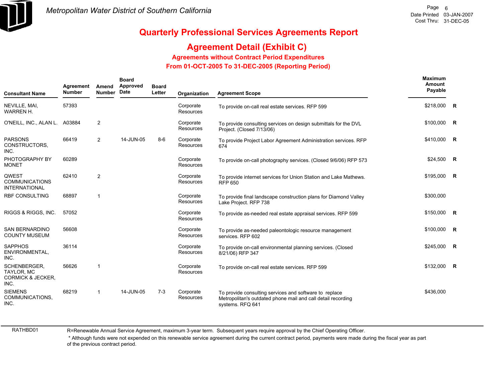

# **Agreement Detail (Exhibit C)**

#### **Agreements without Contract Period Expenditures**

 **From 01-OCT-2005 To 31-DEC-2005 (Reporting Period)** 

| <b>Consultant Name</b>                                                    | Agreement<br><b>Number</b> | Amend<br><b>Number</b>  | <b>Board</b><br>Approved<br>Date | <b>Board</b><br>Letter | Organization                  | <b>Agreement Scope</b>                                                                                                                     | <b>Maximum</b><br><b>Amount</b><br>Payable |                |
|---------------------------------------------------------------------------|----------------------------|-------------------------|----------------------------------|------------------------|-------------------------------|--------------------------------------------------------------------------------------------------------------------------------------------|--------------------------------------------|----------------|
| NEVILLE, MAI,<br><b>WARREN H.</b>                                         | 57393                      |                         |                                  |                        | Corporate<br><b>Resources</b> | To provide on-call real estate services. RFP 599                                                                                           | \$218,000 R                                |                |
| O'NEILL, INC., ALAN L.                                                    | A03884                     | 2                       |                                  |                        | Corporate<br>Resources        | To provide consulting services on design submittals for the DVL<br>Project. (Closed 7/13/06)                                               | \$100,000                                  | $\overline{R}$ |
| <b>PARSONS</b><br>CONSTRUCTORS.<br>INC.                                   | 66419                      | $\overline{2}$          | 14-JUN-05                        | $8-6$                  | Corporate<br>Resources        | To provide Project Labor Agreement Administration services. RFP<br>674                                                                     | \$410,000                                  | <b>R</b>       |
| PHOTOGRAPHY BY<br><b>MONET</b>                                            | 60289                      |                         |                                  |                        | Corporate<br><b>Resources</b> | To provide on-call photography services. (Closed 9/6/06) RFP 573                                                                           | $$24,500$ R                                |                |
| <b>QWEST</b><br><b>COMMUNICATIONS</b><br><b>INTERNATIONAL</b>             | 62410                      | $\overline{2}$          |                                  |                        | Corporate<br>Resources        | To provide internet services for Union Station and Lake Mathews.<br><b>RFP 650</b>                                                         | \$195,000                                  | $\overline{R}$ |
| <b>RBF CONSULTING</b>                                                     | 68897                      | $\overline{\mathbf{1}}$ |                                  |                        | Corporate<br><b>Resources</b> | To provide final landscape construction plans for Diamond Valley<br>Lake Project. RFP 738                                                  | \$300,000                                  |                |
| RIGGS & RIGGS, INC.                                                       | 57052                      |                         |                                  |                        | Corporate<br><b>Resources</b> | To provide as-needed real estate appraisal services. RFP 599                                                                               | \$150,000 R                                |                |
| <b>SAN BERNARDINO</b><br><b>COUNTY MUSEUM</b>                             | 56608                      |                         |                                  |                        | Corporate<br><b>Resources</b> | To provide as-needed paleontologic resource management<br>services. RFP 602                                                                | \$100,000                                  | $\overline{R}$ |
| <b>SAPPHOS</b><br>ENVIRONMENTAL,<br>INC.                                  | 36114                      |                         |                                  |                        | Corporate<br>Resources        | To provide on-call environmental planning services. (Closed<br>8/21/06) RFP 347                                                            | \$245,000                                  | R              |
| SCHENBERGER,<br><b>TAYLOR, MC</b><br><b>CORMICK &amp; JECKER,</b><br>INC. | 56626                      | $\overline{1}$          |                                  |                        | Corporate<br><b>Resources</b> | To provide on-call real estate services. RFP 599                                                                                           | \$132,000                                  | $\overline{R}$ |
| <b>SIEMENS</b><br>COMMUNICATIONS,<br>INC.                                 | 68219                      | $\overline{\mathbf{1}}$ | 14-JUN-05                        | $7-3$                  | Corporate<br><b>Resources</b> | To provide consulting services and software to replace<br>Metropolitan's outdated phone mail and call detail recording<br>systems. RFQ 641 | \$436,000                                  |                |

RATHBD01

R=Renewable Annual Service Agreement, maximum 3-year term. Subsequent years require approval by the Chief Operating Officer.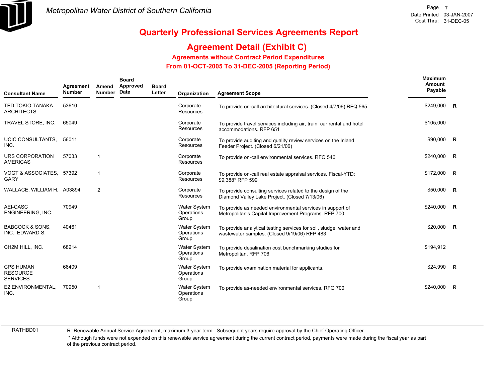

# **Agreement Detail (Exhibit C)**

**Agreements without Contract Period Expenditures**

 **From 01-OCT-2005 To 31-DEC-2005 (Reporting Period)** 

| <b>Consultant Name</b>                                 | Agreement<br><b>Number</b> | Amend<br><b>Number</b> | <b>Board</b><br>Approved<br>Date | <b>Board</b><br>Letter | Organization                               | <b>Agreement Scope</b>                                                                                             | Maximum<br>Amount<br>Payable |                         |
|--------------------------------------------------------|----------------------------|------------------------|----------------------------------|------------------------|--------------------------------------------|--------------------------------------------------------------------------------------------------------------------|------------------------------|-------------------------|
| <b>TED TOKIO TANAKA</b><br><b>ARCHITECTS</b>           | 53610                      |                        |                                  |                        | Corporate<br><b>Resources</b>              | To provide on-call architectural services. (Closed 4/7/06) RFQ 565                                                 | \$249,000                    | R                       |
| TRAVEL STORE, INC.                                     | 65049                      |                        |                                  |                        | Corporate<br><b>Resources</b>              | To provide travel services including air, train, car rental and hotel<br>accommodations. RFP 651                   | \$105,000                    |                         |
| UCIC CONSULTANTS.<br>INC.                              | 56011                      |                        |                                  |                        | Corporate<br>Resources                     | To provide auditing and quality review services on the Inland<br>Feeder Project. (Closed 6/21/06)                  | \$90,000                     | R                       |
| URS CORPORATION<br><b>AMERICAS</b>                     | 57033                      | $\overline{1}$         |                                  |                        | Corporate<br><b>Resources</b>              | To provide on-call environmental services. RFQ 546                                                                 | \$240,000                    | R                       |
| VOGT & ASSOCIATES, 57392<br><b>GARY</b>                |                            | -1                     |                                  |                        | Corporate<br>Resources                     | To provide on-call real estate appraisal services. Fiscal-YTD:<br>\$9.388* RFP 599                                 | \$172,000                    | <b>R</b>                |
| WALLACE, WILLIAM H. A03894                             |                            | $\overline{2}$         |                                  |                        | Corporate<br>Resources                     | To provide consulting services related to the design of the<br>Diamond Valley Lake Project. (Closed 7/13/06)       | \$50,000                     | $\overline{\mathbf{R}}$ |
| AEI-CASC<br>ENGINEERING, INC.                          | 70949                      |                        |                                  |                        | <b>Water System</b><br>Operations<br>Group | To provide as needed environmental services in support of<br>Metropolitan's Capital Improvement Programs. RFP 700  | \$240,000                    | <b>R</b>                |
| <b>BABCOCK &amp; SONS.</b><br>INC., EDWARD S.          | 40461                      |                        |                                  |                        | <b>Water System</b><br>Operations<br>Group | To provide analytical testing services for soil, sludge, water and<br>wastewater samples. (Closed 9/19/06) RFP 483 | \$20,000                     | $\overline{R}$          |
| CH2M HILL, INC.                                        | 68214                      |                        |                                  |                        | <b>Water System</b><br>Operations<br>Group | To provide desalination cost benchmarking studies for<br>Metropolitan. RFP 706                                     | \$194,912                    |                         |
| <b>CPS HUMAN</b><br><b>RESOURCE</b><br><b>SERVICES</b> | 66409                      |                        |                                  |                        | <b>Water System</b><br>Operations<br>Group | To provide examination material for applicants.                                                                    | $$24,990$ R                  |                         |
| E2 ENVIRONMENTAL,<br>INC.                              | 70950                      | $\overline{1}$         |                                  |                        | <b>Water System</b><br>Operations<br>Group | To provide as-needed environmental services. RFQ 700                                                               | \$240,000                    | R                       |

RATHBD01

R=Renewable Annual Service Agreement, maximum 3-year term. Subsequent years require approval by the Chief Operating Officer.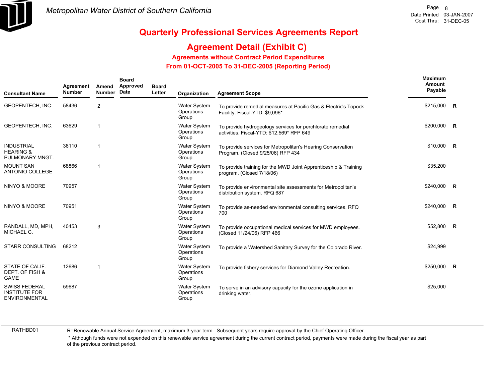

# **Agreement Detail (Exhibit C)**

**Agreements without Contract Period Expenditures**

 **From 01-OCT-2005 To 31-DEC-2005 (Reporting Period)** 

| <b>Consultant Name</b>                                               | Agreement<br><b>Number</b> | Amend<br><b>Number</b> | <b>Board</b><br>Approved<br>Date | <b>Board</b><br>Letter | Organization                               | <b>Agreement Scope</b>                                                                                 | Maximum<br>Amount<br>Payable |                |
|----------------------------------------------------------------------|----------------------------|------------------------|----------------------------------|------------------------|--------------------------------------------|--------------------------------------------------------------------------------------------------------|------------------------------|----------------|
| GEOPENTECH, INC.                                                     | 58436                      | $\overline{2}$         |                                  |                        | <b>Water System</b><br>Operations<br>Group | To provide remedial measures at Pacific Gas & Electric's Topock<br>Facility. Fiscal-YTD: \$9,096*      | \$215,000 R                  |                |
| <b>GEOPENTECH. INC.</b>                                              | 63629                      | 1                      |                                  |                        | <b>Water System</b><br>Operations<br>Group | To provide hydrogeology services for perchlorate remedial<br>activities. Fiscal-YTD: \$12,569* RFP 649 | \$200,000 R                  |                |
| <b>INDUSTRIAL</b><br><b>HEARING &amp;</b><br>PULMONARY MNGT.         | 36110                      |                        |                                  |                        | <b>Water System</b><br>Operations<br>Group | To provide services for Metropolitan's Hearing Conservation<br>Program. (Closed 9/25/06) RFP 434       | $$10,000$ R                  |                |
| <b>MOUNT SAN</b><br>ANTONIO COLLEGE                                  | 68866                      | 1                      |                                  |                        | Water System<br>Operations<br>Group        | To provide training for the MWD Joint Apprenticeship & Training<br>program. (Closed 7/18/06)           | \$35,200                     |                |
| <b>NINYO &amp; MOORE</b>                                             | 70957                      |                        |                                  |                        | <b>Water System</b><br>Operations<br>Group | To provide environmental site assessments for Metropolitan's<br>distribution system. RFQ 687           | \$240,000                    | $\overline{R}$ |
| <b>NINYO &amp; MOORE</b>                                             | 70951                      |                        |                                  |                        | <b>Water System</b><br>Operations<br>Group | To provide as-needed environmental consulting services. RFQ<br>700                                     | \$240,000 R                  |                |
| RANDALL, MD, MPH,<br>MICHAEL C.                                      | 40453                      | 3                      |                                  |                        | <b>Water System</b><br>Operations<br>Group | To provide occupational medical services for MWD employees.<br>(Closed 11/24/06) RFP 466               | \$52,800 R                   |                |
| <b>STARR CONSULTING</b>                                              | 68212                      |                        |                                  |                        | Water System<br>Operations<br>Group        | To provide a Watershed Sanitary Survey for the Colorado River.                                         | \$24,999                     |                |
| STATE OF CALIF.<br>DEPT. OF FISH &<br><b>GAME</b>                    | 12686                      | 1                      |                                  |                        | <b>Water System</b><br>Operations<br>Group | To provide fishery services for Diamond Valley Recreation.                                             | \$250,000 R                  |                |
| <b>SWISS FEDERAL</b><br><b>INSTITUTE FOR</b><br><b>ENVIRONMENTAL</b> | 59687                      |                        |                                  |                        | <b>Water System</b><br>Operations<br>Group | To serve in an advisory capacity for the ozone application in<br>drinking water.                       | \$25,000                     |                |

RATHBD01

R=Renewable Annual Service Agreement, maximum 3-year term. Subsequent years require approval by the Chief Operating Officer.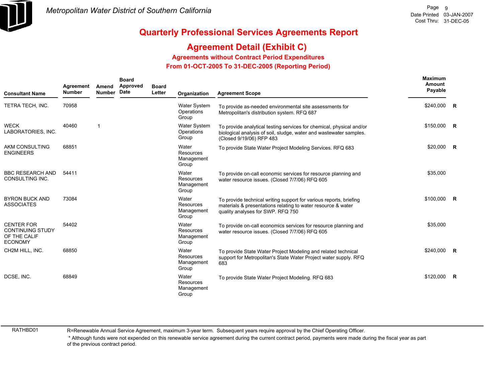

# **Agreement Detail (Exhibit C)**

**Agreements without Contract Period Expenditures**

 **From 01-OCT-2005 To 31-DEC-2005 (Reporting Period)** 

| <b>Consultant Name</b>                                                         | Agreement<br><b>Number</b> | Amend<br><b>Number</b> | <b>Board</b><br>Approved<br>Date | <b>Board</b><br>Letter | Organization                                     | <b>Agreement Scope</b>                                                                                                                                                  | <b>Maximum</b><br>Amount<br>Payable |  |
|--------------------------------------------------------------------------------|----------------------------|------------------------|----------------------------------|------------------------|--------------------------------------------------|-------------------------------------------------------------------------------------------------------------------------------------------------------------------------|-------------------------------------|--|
| TETRA TECH, INC.                                                               | 70958                      |                        |                                  |                        | Water System<br>Operations<br>Group              | To provide as-needed environmental site assessments for<br>Metropolitan's distribution system. RFQ 687                                                                  | \$240,000 R                         |  |
| <b>WECK</b><br>LABORATORIES, INC.                                              | 40460                      | -1                     |                                  |                        | Water System<br>Operations<br>Group              | To provide analytical testing services for chemical, physical and/or<br>biological analysis of soil, sludge, water and wastewater samples.<br>(Closed 9/19/06) RFP 483  | $$150,000$ R                        |  |
| AKM CONSULTING<br><b>ENGINEERS</b>                                             | 68851                      |                        |                                  |                        | Water<br><b>Resources</b><br>Management<br>Group | To provide State Water Project Modeling Services. RFQ 683                                                                                                               | $$20,000$ R                         |  |
| <b>BBC RESEARCH AND</b><br>CONSULTING INC.                                     | 54411                      |                        |                                  |                        | Water<br><b>Resources</b><br>Management<br>Group | To provide on-call economic services for resource planning and<br>water resource issues. (Closed 7/7/06) RFQ 605                                                        | \$35,000                            |  |
| <b>BYRON BUCK AND</b><br><b>ASSOCIATES</b>                                     | 73084                      |                        |                                  |                        | Water<br>Resources<br>Management<br>Group        | To provide technical writing support for various reports, briefing<br>materials & presentations relating to water resource & water<br>quality analyses for SWP. RFQ 750 | $$100,000$ R                        |  |
| <b>CENTER FOR</b><br><b>CONTINUING STUDY</b><br>OF THE CALIF<br><b>ECONOMY</b> | 54402                      |                        |                                  |                        | Water<br><b>Resources</b><br>Management<br>Group | To provide on-call economics services for resource planning and<br>water resource issues. (Closed 7/7/06) RFQ 605                                                       | \$35,000                            |  |
| CH2M HILL, INC.                                                                | 68850                      |                        |                                  |                        | Water<br>Resources<br>Management<br>Group        | To provide State Water Project Modeling and related technical<br>support for Metropolitan's State Water Project water supply. RFQ<br>683                                | \$240,000 R                         |  |
| DCSE, INC.                                                                     | 68849                      |                        |                                  |                        | Water<br>Resources<br>Management<br>Group        | To provide State Water Project Modeling. RFQ 683                                                                                                                        | $$120,000$ R                        |  |

RATHBD01

R=Renewable Annual Service Agreement, maximum 3-year term. Subsequent years require approval by the Chief Operating Officer.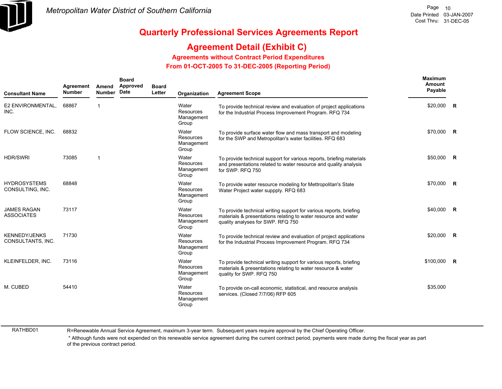

# **Agreement Detail (Exhibit C)**

**Agreements without Contract Period Expenditures**

 **From 01-OCT-2005 To 31-DEC-2005 (Reporting Period)** 

| <b>Consultant Name</b>                    | Agreement<br><b>Number</b> | Amend<br><b>Number</b> | <b>Board</b><br>Approved<br>Date | <b>Board</b><br>Letter | Organization                                     | <b>Agreement Scope</b>                                                                                                                                                    | Maximum<br>Amount<br>Payable |  |
|-------------------------------------------|----------------------------|------------------------|----------------------------------|------------------------|--------------------------------------------------|---------------------------------------------------------------------------------------------------------------------------------------------------------------------------|------------------------------|--|
| E2 ENVIRONMENTAL,<br>INC.                 | 68867                      | $\mathbf 1$            |                                  |                        | Water<br><b>Resources</b><br>Management<br>Group | To provide technical review and evaluation of project applications<br>for the Industrial Process Improvement Program. RFQ 734                                             | $$20,000$ R                  |  |
| FLOW SCIENCE, INC.                        | 68832                      |                        |                                  |                        | Water<br>Resources<br>Management<br>Group        | To provide surface water flow and mass transport and modeling<br>for the SWP and Metropolitan's water facilities. RFQ 683                                                 | \$70,000 R                   |  |
| <b>HDR/SWRI</b>                           | 73085                      | $\mathbf 1$            |                                  |                        | Water<br>Resources<br>Management<br>Group        | To provide technical support for various reports, briefing materials<br>and presentations related to water resource and quality analysis<br>for SWP. RFQ 750              | \$50,000 R                   |  |
| <b>HYDROSYSTEMS</b><br>CONSULTING, INC.   | 68848                      |                        |                                  |                        | Water<br><b>Resources</b><br>Management<br>Group | To provide water resource modeling for Mettropolitan's State<br>Water Project water suppply. RFQ 683                                                                      | \$70,000 R                   |  |
| <b>JAMES RAGAN</b><br><b>ASSOCIATES</b>   | 73117                      |                        |                                  |                        | Water<br>Resources<br>Management<br>Group        | To provide technical writing support for various reports, briefing<br>materials & presentations relating to water resource and water<br>quality analyses for SWP. RFQ 750 | \$40,000 R                   |  |
| <b>KENNEDY/JENKS</b><br>CONSULTANTS, INC. | 71730                      |                        |                                  |                        | Water<br><b>Resources</b><br>Management<br>Group | To provide technical review and evaluation of project applications<br>for the Industrial Process Improvement Program. RFQ 734                                             | \$20,000 R                   |  |
| KLEINFELDER, INC.                         | 73116                      |                        |                                  |                        | Water<br>Resources<br>Management<br>Group        | To provide technical writing support for various reports, briefing<br>materials & presentations relating to water resource & water<br>quality for SWP. RFQ 750            | $$100,000$ R                 |  |
| M. CUBED                                  | 54410                      |                        |                                  |                        | Water<br>Resources<br>Management<br>Group        | To provide on-call economic, statistical, and resource analysis<br>services. (Closed 7/7/06) RFP 605                                                                      | \$35,000                     |  |

RATHBD01

R=Renewable Annual Service Agreement, maximum 3-year term. Subsequent years require approval by the Chief Operating Officer.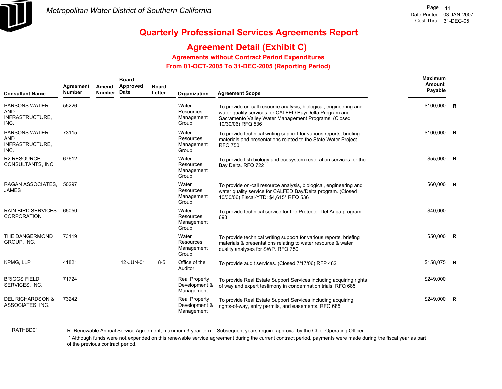

### **Agreement Detail (Exhibit C)**

**Agreements without Contract Period Expenditures**

 **From 01-OCT-2005 To 31-DEC-2005 (Reporting Period)** 

| <b>Consultant Name</b>                                 | Agreement<br><b>Number</b> | Amend<br><b>Number</b> | <b>Board</b><br>Approved<br><b>Date</b> | <b>Board</b><br>Letter | Organization                                        | <b>Agreement Scope</b>                                                                                                                                                                                    | Maximum<br>Amount<br>Payable |              |
|--------------------------------------------------------|----------------------------|------------------------|-----------------------------------------|------------------------|-----------------------------------------------------|-----------------------------------------------------------------------------------------------------------------------------------------------------------------------------------------------------------|------------------------------|--------------|
| PARSONS WATER<br>AND<br>INFRASTRUCTURE,<br>INC.        | 55226                      |                        |                                         |                        | Water<br>Resources<br>Management<br>Group           | To provide on-call resource analysis, biological, engineering and<br>water quality services for CALFED Bay/Delta Program and<br>Sacramento Valley Water Management Programs. (Closed<br>10/30/06) RFQ 536 | $$100,000$ R                 |              |
| <b>PARSONS WATER</b><br>AND<br>INFRASTRUCTURE,<br>INC. | 73115                      |                        |                                         |                        | Water<br>Resources<br>Management<br>Group           | To provide technical writing support for various reports, briefing<br>materials and presentations related to the State Water Project.<br><b>RFQ 750</b>                                                   | \$100,000 R                  |              |
| <b>R2 RESOURCE</b><br>CONSULTANTS, INC.                | 67612                      |                        |                                         |                        | Water<br>Resources<br>Management<br>Group           | To provide fish biology and ecosystem restoration services for the<br>Bay Delta. RFQ 722                                                                                                                  | \$55,000                     | R            |
| RAGAN ASSOCIATES,<br><b>JAMES</b>                      | 50297                      |                        |                                         |                        | Water<br>Resources<br>Management<br>Group           | To provide on-call resource analysis, biological, engineering and<br>water quality service for CALFED Bay/Delta program. (Closed<br>10/30/06) Fiscal-YTD: \$4,615* RFQ 536                                | \$60,000 R                   |              |
| <b>RAIN BIRD SERVICES</b><br><b>CORPORATION</b>        | 65050                      |                        |                                         |                        | Water<br>Resources<br>Management<br>Group           | To provide technical service for the Protector Del Auga program.<br>693                                                                                                                                   | \$40,000                     |              |
| THE DANGERMOND<br>GROUP, INC.                          | 73119                      |                        |                                         |                        | Water<br>Resources<br>Management<br>Group           | To provide technical writing support for various reports, briefing<br>materials & presentations relating to water resource & water<br>quality analyses for SWP. RFQ 750                                   | \$50,000                     | R            |
| <b>KPMG. LLP</b>                                       | 41821                      |                        | 12-JUN-01                               | $8-5$                  | Office of the<br>Auditor                            | To provide audit services. (Closed 7/17/06) RFP 482                                                                                                                                                       | \$158,075 R                  |              |
| <b>BRIGGS FIELD</b><br>SERVICES, INC.                  | 71724                      |                        |                                         |                        | <b>Real Property</b><br>Development &<br>Management | To provide Real Estate Support Services including acquiring rights<br>of way and expert testimony in condemnation trials. RFQ 685                                                                         | \$249,000                    |              |
| <b>DEL RICHARDSON &amp;</b><br>ASSOCIATES, INC.        | 73242                      |                        |                                         |                        | <b>Real Property</b><br>Development &<br>Management | To provide Real Estate Support Services including acquiring<br>rights-of-way, entry permits, and easements. RFQ 685                                                                                       | \$249,000                    | $\mathsf{R}$ |

RATHBD01

R=Renewable Annual Service Agreement, maximum 3-year term. Subsequent years require approval by the Chief Operating Officer.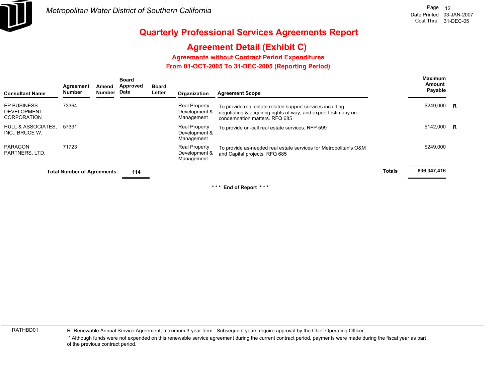

# **Agreement Detail (Exhibit C)**

**Agreements without Contract Period Expenditures**

 **From 01-OCT-2005 To 31-DEC-2005 (Reporting Period)** 

| <b>Consultant Name</b>                                  | Agreement<br><b>Number</b>        | Amend<br>Number | <b>Board</b><br><b>Approved</b><br>Date | <b>Board</b><br>Letter | Organization                                        | <b>Agreement Scope</b>                                                                                                                                       |               | <b>Maximum</b><br>Amount<br>Payable |  |
|---------------------------------------------------------|-----------------------------------|-----------------|-----------------------------------------|------------------------|-----------------------------------------------------|--------------------------------------------------------------------------------------------------------------------------------------------------------------|---------------|-------------------------------------|--|
| EP BUSINESS<br><b>DEVELOPMENT</b><br><b>CORPORATION</b> | 73364                             |                 |                                         |                        | <b>Real Property</b><br>Development &<br>Management | To provide real estate related support services including<br>negotiating & acquiring rights of way, and expert testimony on<br>condemnation matters. RFQ 685 |               | \$249,000 R                         |  |
| <b>HULL &amp; ASSOCIATES.</b><br>INC., BRUCE W.         | 57391                             |                 |                                         |                        | <b>Real Property</b><br>Development &<br>Management | To provide on-call real estate services. RFP 599                                                                                                             |               | $$142,000$ R                        |  |
| PARAGON<br>PARTNERS, LTD.                               | 71723                             |                 |                                         |                        | <b>Real Property</b><br>Development &<br>Management | To provide as-needed real estate services for Metropolitan's O&M<br>and Capital projects. RFQ 685                                                            |               | \$249,000                           |  |
|                                                         | <b>Total Number of Agreements</b> |                 | 114                                     |                        |                                                     |                                                                                                                                                              | <b>Totals</b> | \$36,347,416                        |  |
|                                                         |                                   |                 |                                         |                        |                                                     |                                                                                                                                                              |               |                                     |  |

**\* \* \* End of Report \* \* \***

RATHBD01

R=Renewable Annual Service Agreement, maximum 3-year term. Subsequent years require approval by the Chief Operating Officer.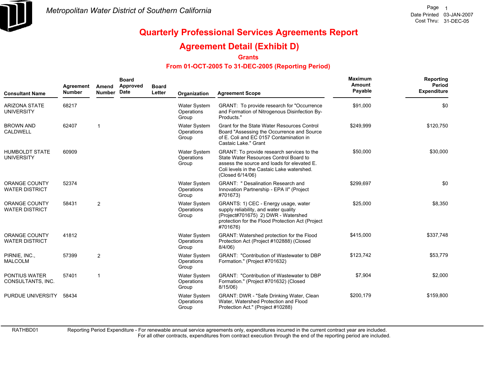

### **Agreement Detail (Exhibit D)**

**Grants**

#### **From 01-OCT-2005 To 31-DEC-2005 (Reporting Period)**

| <b>Consultant Name</b>                        | Agreement<br><b>Number</b> | Amend<br>Number | <b>Board</b><br>Approved<br>Date | <b>Board</b><br>Letter | Organization                        | <b>Agreement Scope</b>                                                                                                                                                                                | <b>Maximum</b><br>Amount<br>Payable | Reporting<br>Period<br><b>Expenditure</b> |
|-----------------------------------------------|----------------------------|-----------------|----------------------------------|------------------------|-------------------------------------|-------------------------------------------------------------------------------------------------------------------------------------------------------------------------------------------------------|-------------------------------------|-------------------------------------------|
| <b>ARIZONA STATE</b><br><b>UNIVERSITY</b>     | 68217                      |                 |                                  |                        | Water System<br>Operations<br>Group | GRANT: To provide research for "Occurrence"<br>and Formation of Nitrogenous Disinfection By-<br>Products."                                                                                            | \$91,000                            | \$0                                       |
| <b>BROWN AND</b><br>CALDWELL                  | 62407                      |                 |                                  |                        | Water System<br>Operations<br>Group | Grant for the State Water Resources Control<br>Board "Assessing the Occurrence and Source<br>of E. Coli and EC 0157 Contamination in<br>Castaic Lake." Grant                                          | \$249.999                           | \$120,750                                 |
| <b>HUMBOLDT STATE</b><br><b>UNIVERSITY</b>    | 60909                      |                 |                                  |                        | Water System<br>Operations<br>Group | GRANT: To provide research services to the<br>State Water Resources Control Board to<br>assess the source and loads for elevated E.<br>Coli levels in the Castaic Lake watershed.<br>(Closed 6/14/06) | \$50,000                            | \$30,000                                  |
| <b>ORANGE COUNTY</b><br><b>WATER DISTRICT</b> | 52374                      |                 |                                  |                        | Water System<br>Operations<br>Group | GRANT: " Desalination Research and<br>Innovation Partnership - EPA II" (Project<br>#701673)                                                                                                           | \$299,697                           | \$0                                       |
| <b>ORANGE COUNTY</b><br><b>WATER DISTRICT</b> | 58431                      | $\overline{2}$  |                                  |                        | Water System<br>Operations<br>Group | GRANTS: 1) CEC - Energy usage, water<br>supply reliability, and water quality<br>(Project#701675) 2) DWR - Watershed<br>protection for the Flood Protection Act (Project<br>#701676)                  | \$25,000                            | \$8,350                                   |
| <b>ORANGE COUNTY</b><br><b>WATER DISTRICT</b> | 41812                      |                 |                                  |                        | Water System<br>Operations<br>Group | GRANT: Watershed protection for the Flood<br>Protection Act (Project #102888) (Closed<br>8/4/06)                                                                                                      | \$415,000                           | \$337,748                                 |
| PIRNIE, INC.,<br><b>MALCOLM</b>               | 57399                      | $\overline{2}$  |                                  |                        | Water System<br>Operations<br>Group | GRANT: "Contribution of Wastewater to DBP<br>Formation." (Project #701632)                                                                                                                            | \$123,742                           | \$53,779                                  |
| PONTIUS WATER<br>CONSULTANTS, INC.            | 57401                      |                 |                                  |                        | Water System<br>Operations<br>Group | GRANT: "Contribution of Wastewater to DBP<br>Formation." (Project #701632) (Closed<br>8/15/06)                                                                                                        | \$7,904                             | \$2,000                                   |
| PURDUE UNIVERSITY                             | 58434                      |                 |                                  |                        | Water System<br>Operations<br>Group | GRANT: DWR - "Safe Drinking Water, Clean<br>Water, Watershed Protection and Flood<br>Protection Act." (Project #10288)                                                                                | \$200,179                           | \$159,800                                 |

RATHBD01

Reporting Period Expenditure - For renewable annual service agreements only, expenditures incurred in the current contract year are included.

For all other contracts, expenditures from contract execution through the end of the reporting period are included.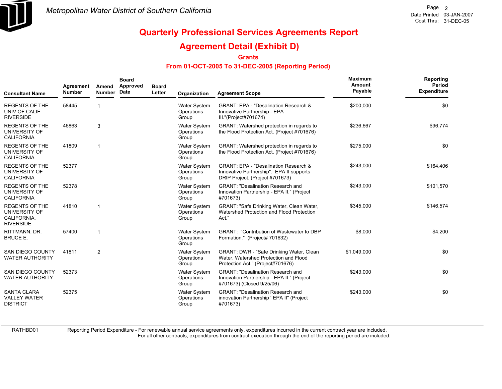

### **Agreement Detail (Exhibit D)**

**Grants**

#### **From 01-OCT-2005 To 31-DEC-2005 (Reporting Period)**

| <b>Consultant Name</b>                                                    | Agreement<br><b>Number</b> | Amend<br><b>Number</b> | <b>Board</b><br>Approved<br><b>Date</b> | <b>Board</b><br>Letter | Organization                               | <b>Agreement Scope</b>                                                                                                          | Maximum<br>Amount<br>Payable | Reporting<br>Period<br><b>Expenditure</b> |
|---------------------------------------------------------------------------|----------------------------|------------------------|-----------------------------------------|------------------------|--------------------------------------------|---------------------------------------------------------------------------------------------------------------------------------|------------------------------|-------------------------------------------|
| <b>REGENTS OF THE</b><br>UNIV OF CALIF<br><b>RIVERSIDE</b>                | 58445                      | 1                      |                                         |                        | Water System<br>Operations<br>Group        | <b>GRANT: EPA - "Desalination Research &amp;</b><br>Innovative Partnership - EPA<br>III."(Project#701674)                       | \$200,000                    | \$0                                       |
| <b>REGENTS OF THE</b><br>UNIVERSITY OF<br><b>CALIFORNIA</b>               | 46863                      | 3                      |                                         |                        | <b>Water System</b><br>Operations<br>Group | GRANT: Watershed protection in regards to<br>the Flood Protection Act. (Project #701676)                                        | \$236,667                    | \$96,774                                  |
| <b>REGENTS OF THE</b><br>UNIVERSITY OF<br><b>CALIFORNIA</b>               | 41809                      | 1                      |                                         |                        | Water System<br>Operations<br>Group        | GRANT: Watershed protection in regards to<br>the Flood Protection Act. (Project #701676)                                        | \$275,000                    | \$0                                       |
| <b>REGENTS OF THE</b><br>UNIVERSITY OF<br><b>CALIFORNIA</b>               | 52377                      |                        |                                         |                        | <b>Water System</b><br>Operations<br>Group | <b>GRANT: EPA - "Desalination Research &amp;</b><br>Innovative Partnership". EPA II supports<br>DRIP Project. (Project #701673) | \$243,000                    | \$164,406                                 |
| <b>REGENTS OF THE</b><br>UNIVERSITY OF<br><b>CALIFORNIA</b>               | 52378                      |                        |                                         |                        | <b>Water System</b><br>Operations<br>Group | <b>GRANT: "Desalination Research and</b><br>Innovation Partnership - EPA II." (Project<br>#701673)                              | \$243,000                    | \$101,570                                 |
| <b>REGENTS OF THE</b><br>UNIVERSITY OF<br>CALIFORNIA,<br><b>RIVERSIDE</b> | 41810                      | 1                      |                                         |                        | <b>Water System</b><br>Operations<br>Group | GRANT: "Safe Drinking Water, Clean Water,<br>Watershed Protection and Flood Protection<br>Act."                                 | \$345,000                    | \$146,574                                 |
| RITTMANN, DR.<br><b>BRUCE E.</b>                                          | 57400                      | 1                      |                                         |                        | Water System<br>Operations<br>Group        | GRANT: "Contribution of Wastewater to DBP<br>Formation." (Project# 701632)                                                      | \$8,000                      | \$4,200                                   |
| <b>SAN DIEGO COUNTY</b><br><b>WATER AUTHORITY</b>                         | 41811                      | $\overline{2}$         |                                         |                        | <b>Water System</b><br>Operations<br>Group | GRANT: DWR - "Safe Drinking Water, Clean<br>Water, Watershed Protection and Flood<br>Protection Act." (Project#701676)          | \$1,049,000                  | \$0                                       |
| <b>SAN DIEGO COUNTY</b><br><b>WATER AUTHORITY</b>                         | 52373                      |                        |                                         |                        | <b>Water System</b><br>Operations<br>Group | <b>GRANT: "Desalination Research and</b><br>Innovation Partnership - EPA II." (Project<br>#701673) (Closed 9/25/06)             | \$243,000                    | \$0                                       |
| <b>SANTA CLARA</b><br><b>VALLEY WATER</b><br><b>DISTRICT</b>              | 52375                      |                        |                                         |                        | <b>Water System</b><br>Operations<br>Group | <b>GRANT: "Desalination Research and</b><br>innovation Partnership ' EPA II" (Project<br>#701673)                               | \$243,000                    | \$0                                       |

RATHBD01

Reporting Period Expenditure - For renewable annual service agreements only, expenditures incurred in the current contract year are included.

For all other contracts, expenditures from contract execution through the end of the reporting period are included.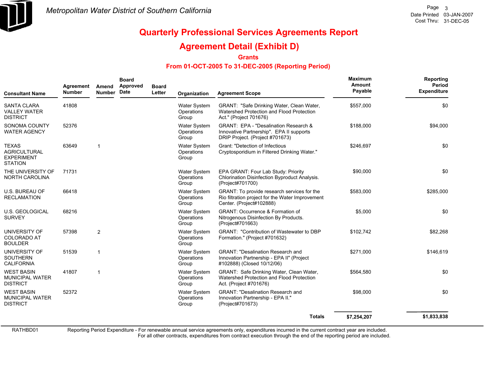

### **Agreement Detail (Exhibit D)**

**Grants**

#### **From 01-OCT-2005 To 31-DEC-2005 (Reporting Period)**

| <b>Consultant Name</b>                                                     | Agreement<br><b>Number</b> | Amend<br><b>Number</b>  | <b>Board</b><br>Approved<br>Date | <b>Board</b><br>Letter | Organization                               | <b>Agreement Scope</b>                                                                                                      | Maximum<br>Amount<br>Payable | Reporting<br>Period<br><b>Expenditure</b> |
|----------------------------------------------------------------------------|----------------------------|-------------------------|----------------------------------|------------------------|--------------------------------------------|-----------------------------------------------------------------------------------------------------------------------------|------------------------------|-------------------------------------------|
| <b>SANTA CLARA</b><br><b>VALLEY WATER</b><br><b>DISTRICT</b>               | 41808                      |                         |                                  |                        | <b>Water System</b><br>Operations<br>Group | GRANT: "Safe Drinking Water, Clean Water,<br>Watershed Protection and Flood Protection<br>Act." (Project 701676)            | \$557,000                    | \$0                                       |
| SONOMA COUNTY<br><b>WATER AGENCY</b>                                       | 52376                      |                         |                                  |                        | <b>Water System</b><br>Operations<br>Group | GRANT: EPA - "Desalination Research &<br>Innovative Partnership". EPA II supports<br>DRIP Project. (Project #701673)        | \$188,000                    | \$94,000                                  |
| <b>TEXAS</b><br><b>AGRICULTURAL</b><br><b>EXPERIMENT</b><br><b>STATION</b> | 63649                      | $\overline{\mathbf{1}}$ |                                  |                        | Water System<br>Operations<br>Group        | Grant: "Detection of Infectious<br>Cryptosporidium in Filtered Drinking Water."                                             | \$246,697                    | \$0                                       |
| THE UNIVERSITY OF<br>NORTH CAROLINA                                        | 71731                      |                         |                                  |                        | <b>Water System</b><br>Operations<br>Group | EPA GRANT: Four Lab Study: Priority<br>Chlorination Disinfection Byproduct Analysis.<br>(Project#701700)                    | \$90,000                     | \$0                                       |
| U.S. BUREAU OF<br><b>RECLAMATION</b>                                       | 66418                      |                         |                                  |                        | Water System<br>Operations<br>Group        | GRANT: To provide research services for the<br>Rio filtration project for the Water Improvement<br>Center. (Project#102888) | \$583,000                    | \$285,000                                 |
| <b>U.S. GEOLOGICAL</b><br><b>SURVEY</b>                                    | 68216                      |                         |                                  |                        | <b>Water System</b><br>Operations<br>Group | <b>GRANT: Occurrence &amp; Formation of</b><br>Nitrogenous Disinfection By Products.<br>(Project#701663)                    | \$5,000                      | \$0                                       |
| UNIVERSITY OF<br><b>COLORADO AT</b><br><b>BOULDER</b>                      | 57398                      | 2                       |                                  |                        | <b>Water System</b><br>Operations<br>Group | <b>GRANT: "Contribution of Wastewater to DBP</b><br>Formation." (Project #701632)                                           | \$102,742                    | \$82,268                                  |
| UNIVERSITY OF<br><b>SOUTHERN</b><br><b>CALIFORNIA</b>                      | 51539                      | $\overline{\mathbf{1}}$ |                                  |                        | Water System<br>Operations<br>Group        | <b>GRANT: "Desalination Research and</b><br>Innovation Partnership - EPA II" (Project<br>#102888) (Closed 10/12/06)         | \$271,000                    | \$146,619                                 |
| <b>WEST BASIN</b><br><b>MUNICIPAL WATER</b><br><b>DISTRICT</b>             | 41807                      | $\overline{\mathbf{1}}$ |                                  |                        | <b>Water System</b><br>Operations<br>Group | GRANT: Safe Drinking Water, Clean Water,<br>Watershed Protection and Flood Protection<br>Act. (Project #701676)             | \$564,580                    | \$0                                       |
| <b>WEST BASIN</b><br><b>MUNICIPAL WATER</b><br><b>DISTRICT</b>             | 52372                      |                         |                                  |                        | Water System<br>Operations<br>Group        | <b>GRANT: "Desalination Research and</b><br>Innovation Partnership - EPA II."<br>(Project#701673)                           | \$98,000                     | \$0                                       |
|                                                                            |                            |                         |                                  |                        |                                            | <b>Totals</b>                                                                                                               | \$7,254,207                  | \$1,833,838                               |

RATHBD01

Reporting Period Expenditure - For renewable annual service agreements only, expenditures incurred in the current contract year are included.

For all other contracts, expenditures from contract execution through the end of the reporting period are included.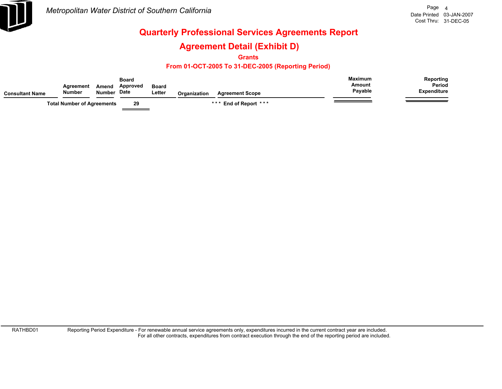

### **Agreement Detail (Exhibit D)**

**Grants**

#### **From 01-OCT-2005 To 31-DEC-2005 (Reporting Period)**

| Consultant Name | Agreement<br><b>Number</b>        | Amend<br><b>Number</b> | Board<br><b>Approved</b><br><b>Date</b> | <b>Board</b><br>Letter | Organization | <b>Agreement Scope</b>     | <b>Maximum</b><br>Amount<br>Payable | Reporting<br><b>Period</b><br><b>Expenditure</b> |
|-----------------|-----------------------------------|------------------------|-----------------------------------------|------------------------|--------------|----------------------------|-------------------------------------|--------------------------------------------------|
|                 | <b>Total Number of Agreements</b> |                        | 29                                      |                        |              | End of Report ***<br>* * * |                                     |                                                  |

RATHBD01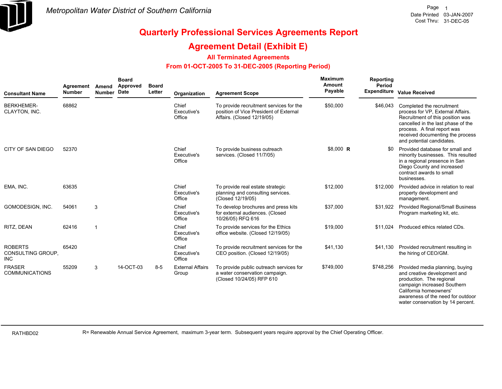

### **Agreement Detail (Exhibit E)**

#### **All Terminated Agreements**

#### **From 01-OCT-2005 To 31-DEC-2005 (Reporting Period)**

| <b>Consultant Name</b>                            | Agreement<br><b>Number</b> | Amend<br>Number Date | <b>Board</b><br><b>Approved</b> | <b>Board</b><br>Letter | Organization                     | <b>Agreement Scope</b>                                                                                          | <b>Maximum</b><br>Amount<br>Payable | Reporting<br><b>Period</b> | Expenditure Value Received                                                                                                                                                                                                               |
|---------------------------------------------------|----------------------------|----------------------|---------------------------------|------------------------|----------------------------------|-----------------------------------------------------------------------------------------------------------------|-------------------------------------|----------------------------|------------------------------------------------------------------------------------------------------------------------------------------------------------------------------------------------------------------------------------------|
| <b>BERKHEMER-</b><br>CLAYTON, INC.                | 68862                      |                      |                                 |                        | Chief<br>Executive's<br>Office   | To provide recruitment services for the<br>position of Vice President of External<br>Affairs. (Closed 12/19/05) | \$50,000                            | \$46,043                   | Completed the recruitment<br>process for VP, External Affairs.<br>Recruitment of this position was<br>cancelled in the last phase of the<br>process. A final report was<br>received documenting the process<br>and potential candidates. |
| CITY OF SAN DIEGO                                 | 52370                      |                      |                                 |                        | Chief<br>Executive's<br>Office   | To provide business outreach<br>services. (Closed 11/7/05)                                                      | \$8,000 R                           | SO.                        | Provided database for small and<br>minority businesses. This resulted<br>in a regional presence in San<br>Diego County and increased<br>contract awards to small<br>businesses.                                                          |
| EMA, INC.                                         | 63635                      |                      |                                 |                        | Chief<br>Executive's<br>Office   | To provide real estate strategic<br>planning and consulting services.<br>(Closed 12/19/05)                      | \$12,000                            | \$12,000                   | Provided advice in relation to real<br>property development and<br>management.                                                                                                                                                           |
| GOMODESIGN, INC.                                  | 54061                      | 3                    |                                 |                        | Chief<br>Executive's<br>Office   | To develop brochures and press kits<br>for external audiences. (Closed<br>10/26/05) RFQ 616                     | \$37,000                            | \$31,922                   | <b>Provided Regional/Small Business</b><br>Program marketing kit, etc.                                                                                                                                                                   |
| RITZ, DEAN                                        | 62416                      | -1                   |                                 |                        | Chief<br>Executive's<br>Office   | To provide services for the Ethics<br>office website. (Closed 12/19/05)                                         | \$19,000                            | \$11.024                   | Produced ethics related CDs.                                                                                                                                                                                                             |
| <b>ROBERTS</b><br>CONSULTING GROUP,<br><b>INC</b> | 65420                      |                      |                                 |                        | Chief<br>Executive's<br>Office   | To provide recruitment services for the<br>CEO position. (Closed 12/19/05)                                      | \$41,130                            | \$41,130                   | Provided recruitment resulting in<br>the hiring of CEO/GM.                                                                                                                                                                               |
| <b>FRASER</b><br><b>COMMUNICATIONS</b>            | 55209                      | 3                    | 14-OCT-03                       | $8 - 5$                | <b>External Affairs</b><br>Group | To provide public outreach services for<br>a water conservation campaign.<br>(Closed 10/24/05) RFP 610          | \$749,000                           | \$748,256                  | Provided media planning, buying<br>and creative development and<br>production. The regional<br>campaign increased Southern<br>California homeowners'<br>awareness of the need for outdoor<br>water conservation by 14 percent.           |

RATHBD02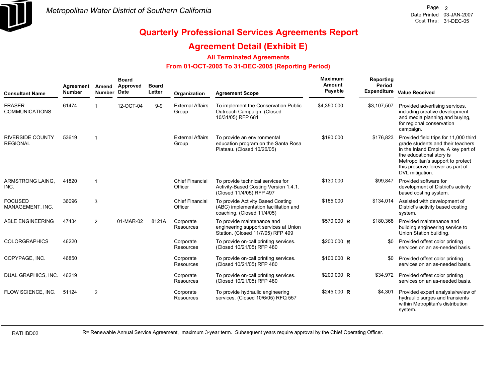

### **Agreement Detail (Exhibit E)**

#### **All Terminated Agreements**

#### **From 01-OCT-2005 To 31-DEC-2005 (Reporting Period)**

| <b>Consultant Name</b>                     | Agreement<br><b>Number</b> | Amend<br><b>Number</b> | <b>Board</b><br>Approved<br><b>Date</b> | <b>Board</b><br>Letter | Organization                      | <b>Agreement Scope</b>                                                                                   | Maximum<br><b>Amount</b><br>Payable | Reporting<br>Period<br><b>Expenditure</b> | <b>Value Received</b>                                                                                                                                                                                                                     |
|--------------------------------------------|----------------------------|------------------------|-----------------------------------------|------------------------|-----------------------------------|----------------------------------------------------------------------------------------------------------|-------------------------------------|-------------------------------------------|-------------------------------------------------------------------------------------------------------------------------------------------------------------------------------------------------------------------------------------------|
| <b>FRASER</b><br><b>COMMUNICATIONS</b>     | 61474                      |                        | 12-OCT-04                               | $9-9$                  | <b>External Affairs</b><br>Group  | To implement the Conservation Public<br>Outreach Campaign. (Closed<br>10/31/05) RFP 681                  | \$4,350,000                         | \$3,107,507                               | Provided advertising services,<br>including creative development<br>and media planning and buying,<br>for regional conservation<br>campaign.                                                                                              |
| <b>RIVERSIDE COUNTY</b><br><b>REGIONAL</b> | 53619                      | $\overline{1}$         |                                         |                        | <b>External Affairs</b><br>Group  | To provide an environmental<br>education program on the Santa Rosa<br>Plateau. (Closed 10/26/05)         | \$190,000                           | \$176,823                                 | Provided field trips for 11,000 third<br>grade students and their teachers<br>in the Inland Empire. A key part of<br>the educational story is<br>Metropolitan's support to protect<br>this preserve forever as part of<br>DVL mitigation. |
| ARMSTRONG LAING,<br>INC.                   | 41820                      | $\overline{1}$         |                                         |                        | <b>Chief Financial</b><br>Officer | To provide technical services for<br>Activity-Based Costing Version 1.4.1.<br>(Closed 11/4/05) RFP 497   | \$130,000                           | \$99,847                                  | Provided software for<br>development of District's activity<br>based costing system.                                                                                                                                                      |
| <b>FOCUSED</b><br>MANAGEMENT, INC.         | 36096                      | 3                      |                                         |                        | <b>Chief Financial</b><br>Officer | To provide Activity Based Costing<br>(ABC) implementation facilitation and<br>coaching. (Closed 11/4/05) | \$185,000                           | \$134,014                                 | Assisted with development of<br>District's activity based costing<br>system.                                                                                                                                                              |
| <b>ABLE ENGINEERING</b>                    | 47434                      | 2                      | 01-MAR-02                               | 8121A                  | Corporate<br>Resources            | To provide maintenance and<br>engineering support services at Union<br>Station. (Closed 11/7/05) RFP 499 | \$570,000 R                         | \$180,368                                 | Provided maintenance and<br>building engineering service to<br>Union Station building.                                                                                                                                                    |
| <b>COLORGRAPHICS</b>                       | 46220                      |                        |                                         |                        | Corporate<br>Resources            | To provide on-call printing services.<br>(Closed 10/21/05) RFP 480                                       | \$200,000 R                         | \$0                                       | Provided offset color printing<br>services on an as-needed basis.                                                                                                                                                                         |
| COPYPAGE, INC.                             | 46850                      |                        |                                         |                        | Corporate<br>Resources            | To provide on-call printing services.<br>(Closed 10/21/05) RFP 480                                       | $$100,000$ R                        |                                           | Provided offset color printing<br>services on an as-needed basis.                                                                                                                                                                         |
| DUAL GRAPHICS, INC.                        | 46219                      |                        |                                         |                        | Corporate<br>Resources            | To provide on-call printing services.<br>(Closed 10/21/05) RFP 480                                       | $$200,000$ R                        | \$34,972                                  | Provided offset color printing<br>services on an as-needed basis.                                                                                                                                                                         |
| FLOW SCIENCE, INC.                         | 51124                      | 2                      |                                         |                        | Corporate<br>Resources            | To provide hydraulic engineering<br>services. (Closed 10/6/05) RFQ 557                                   | $$245,000$ R                        | \$4,301                                   | Provided expert analysis/review of<br>hydraulic surges and transients<br>within Metroplitan's distribution<br>system.                                                                                                                     |

RATHBD02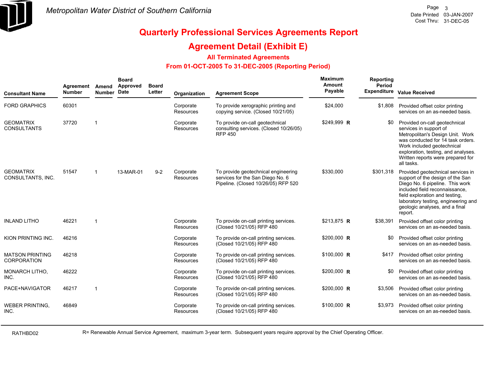

### **Agreement Detail (Exhibit E)**

**All Terminated Agreements**

#### **From 01-OCT-2005 To 31-DEC-2005 (Reporting Period)**

| <b>Consultant Name</b>                       | Agreement<br><b>Number</b> | Amend<br>Number Date | <b>Board</b><br>Approved | <b>Board</b><br>Letter | Organization           | <b>Agreement Scope</b>                                                                                         | Maximum<br>Amount<br>Payable | Reporting<br>Period<br>Expenditure | <b>Value Received</b>                                                                                                                                                                                                                                            |
|----------------------------------------------|----------------------------|----------------------|--------------------------|------------------------|------------------------|----------------------------------------------------------------------------------------------------------------|------------------------------|------------------------------------|------------------------------------------------------------------------------------------------------------------------------------------------------------------------------------------------------------------------------------------------------------------|
| <b>FORD GRAPHICS</b>                         | 60301                      |                      |                          |                        | Corporate<br>Resources | To provide xerographic printing and<br>copying service. (Closed 10/21/05)                                      | \$24,000                     | \$1,808                            | Provided offset color printing<br>services on an as-needed basis.                                                                                                                                                                                                |
| <b>GEOMATRIX</b><br><b>CONSULTANTS</b>       | 37720                      | -1                   |                          |                        | Corporate<br>Resources | To provide on-call geotechnical<br>consulting services. (Closed 10/26/05)<br><b>RFP 450</b>                    | \$249,999 R                  | \$0                                | Provided on-call geotechnical<br>services in support of<br>Metropolitan's Design Unit. Work<br>was conducted for 14 task orders.<br>Work included geotechnical<br>exploration, testing, and analyses.<br>Written reports were prepared for<br>all tasks.         |
| <b>GEOMATRIX</b><br>CONSULTANTS, INC.        | 51547                      | -1                   | 13-MAR-01                | $9 - 2$                | Corporate<br>Resources | To provide geotechnical engineering<br>services for the San Diego No. 6<br>Pipeline. (Closed 10/26/05) RFP 520 | \$330,000                    | \$301,318                          | Provided geotechnical services in<br>support of the design of the San<br>Diego No. 6 pipeline. This work<br>included field reconnaissance.<br>field exploration and testing,<br>laboratory testing, engineering and<br>geologic analyses, and a final<br>report. |
| <b>INLAND LITHO</b>                          | 46221                      | $\overline{1}$       |                          |                        | Corporate<br>Resources | To provide on-call printing services.<br>(Closed 10/21/05) RFP 480                                             | \$213,875 R                  | \$38,391                           | Provided offset color printing<br>services on an as-needed basis.                                                                                                                                                                                                |
| KION PRINTING INC.                           | 46216                      |                      |                          |                        | Corporate<br>Resources | To provide on-call printing services.<br>(Closed 10/21/05) RFP 480                                             | \$200,000 R                  | \$0                                | Provided offset color printing<br>services on an as-needed basis.                                                                                                                                                                                                |
| <b>MATSON PRINTING</b><br><b>CORPORATION</b> | 46218                      |                      |                          |                        | Corporate<br>Resources | To provide on-call printing services.<br>(Closed 10/21/05) RFP 480                                             | $$100,000$ R                 | \$417                              | Provided offset color printing<br>services on an as-needed basis.                                                                                                                                                                                                |
| <b>MONARCH LITHO.</b><br>INC.                | 46222                      |                      |                          |                        | Corporate<br>Resources | To provide on-call printing services.<br>(Closed 10/21/05) RFP 480                                             | \$200,000 R                  | \$0                                | Provided offset color printing<br>services on an as-needed basis.                                                                                                                                                                                                |
| PACE+NAVIGATOR                               | 46217                      | -1                   |                          |                        | Corporate<br>Resources | To provide on-call printing services.<br>(Closed 10/21/05) RFP 480                                             | \$200,000 R                  | \$3,506                            | Provided offset color printing<br>services on an as-needed basis.                                                                                                                                                                                                |
| <b>WEBER PRINTING,</b><br>INC.               | 46849                      |                      |                          |                        | Corporate<br>Resources | To provide on-call printing services.<br>(Closed 10/21/05) RFP 480                                             | $$100,000$ R                 | \$3,973                            | Provided offset color printing<br>services on an as-needed basis.                                                                                                                                                                                                |

RATHBD02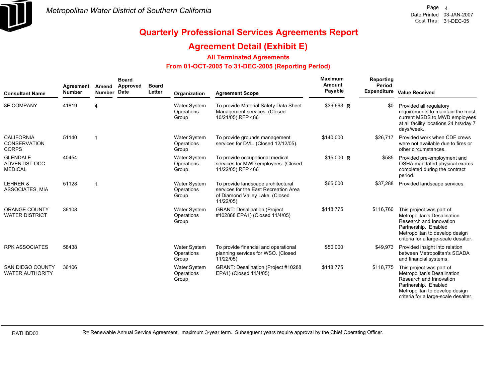

### **Agreement Detail (Exhibit E)**

#### **All Terminated Agreements**

#### **From 01-OCT-2005 To 31-DEC-2005 (Reporting Period)**

| <b>Consultant Name</b>                             | Agreement<br><b>Number</b> | Amend<br>Number Date | <b>Board</b><br><b>Approved</b> | <b>Board</b><br>Letter | Organization                               | <b>Agreement Scope</b>                                                                                                      | Maximum<br>Amount<br>Payable | Reporting<br>Period | Expenditure Value Received                                                                                                                                                           |
|----------------------------------------------------|----------------------------|----------------------|---------------------------------|------------------------|--------------------------------------------|-----------------------------------------------------------------------------------------------------------------------------|------------------------------|---------------------|--------------------------------------------------------------------------------------------------------------------------------------------------------------------------------------|
| <b>3E COMPANY</b>                                  | 41819                      | 4                    |                                 |                        | <b>Water System</b><br>Operations<br>Group | To provide Material Safety Data Sheet<br>Management services. (Closed<br>10/21/05) RFP 486                                  | \$39,663 R                   |                     | Provided all regulatory<br>requirements to maintain the most<br>current MSDS to MWD employees<br>at all facility locations 24 hrs/day 7<br>days/week.                                |
| <b>CALIFORNIA</b><br>CONSERVATION<br><b>CORPS</b>  | 51140                      | -1                   |                                 |                        | <b>Water System</b><br>Operations<br>Group | To provide grounds management<br>services for DVL. (Closed 12/12/05).                                                       | \$140,000                    | \$26,717            | Provided work when CDF crews<br>were not available due to fires or<br>other circumstances.                                                                                           |
| <b>GLENDALE</b><br>ADVENTIST OCC<br><b>MEDICAL</b> | 40454                      |                      |                                 |                        | <b>Water System</b><br>Operations<br>Group | To provide occupational medical<br>services for MWD employees. (Closed<br>11/22/05) RFP 466                                 | $$15,000$ R                  | \$585               | Provided pre-employment and<br>OSHA mandated physical exams<br>completed during the contract<br>period.                                                                              |
| LEHRER &<br>ASSOCIATES, MIA                        | 51128                      | $\mathbf{1}$         |                                 |                        | <b>Water System</b><br>Operations<br>Group | To provide landscape architectural<br>services for the East Recreation Area<br>of Diamond Valley Lake. (Closed<br>11/22/05) | \$65,000                     | \$37.288            | Provided landscape services.                                                                                                                                                         |
| <b>ORANGE COUNTY</b><br><b>WATER DISTRICT</b>      | 36108                      |                      |                                 |                        | <b>Water System</b><br>Operations<br>Group | <b>GRANT: Desalination (Project</b><br>#102888 EPA1) (Closed 11/4/05)                                                       | \$118,775                    | \$116,760           | This project was part of<br>Metropolitan's Desalination<br>Research and Innovation<br>Partnership. Enabled<br>Metropolitan to develop design<br>criteria for a large-scale desalter. |
| <b>RPK ASSOCIATES</b>                              | 58438                      |                      |                                 |                        | <b>Water System</b><br>Operations<br>Group | To provide financial and operational<br>planning services for WSO. (Closed<br>11/22/05)                                     | \$50,000                     | \$49,973            | Provided insight into relation<br>between Metropolitan's SCADA<br>and financial systems.                                                                                             |
| SAN DIEGO COUNTY<br><b>WATER AUTHORITY</b>         | 36106                      |                      |                                 |                        | <b>Water System</b><br>Operations<br>Group | GRANT: Desalination (Project #10288<br>EPA1) (Closed 11/4/05)                                                               | \$118,775                    | \$118,775           | This project was part of<br>Metropolitan's Desalination<br>Research and Innovation<br>Partnership. Enabled<br>Metropolitan to develop design<br>criteria for a large-scale desalter. |

RATHBD02